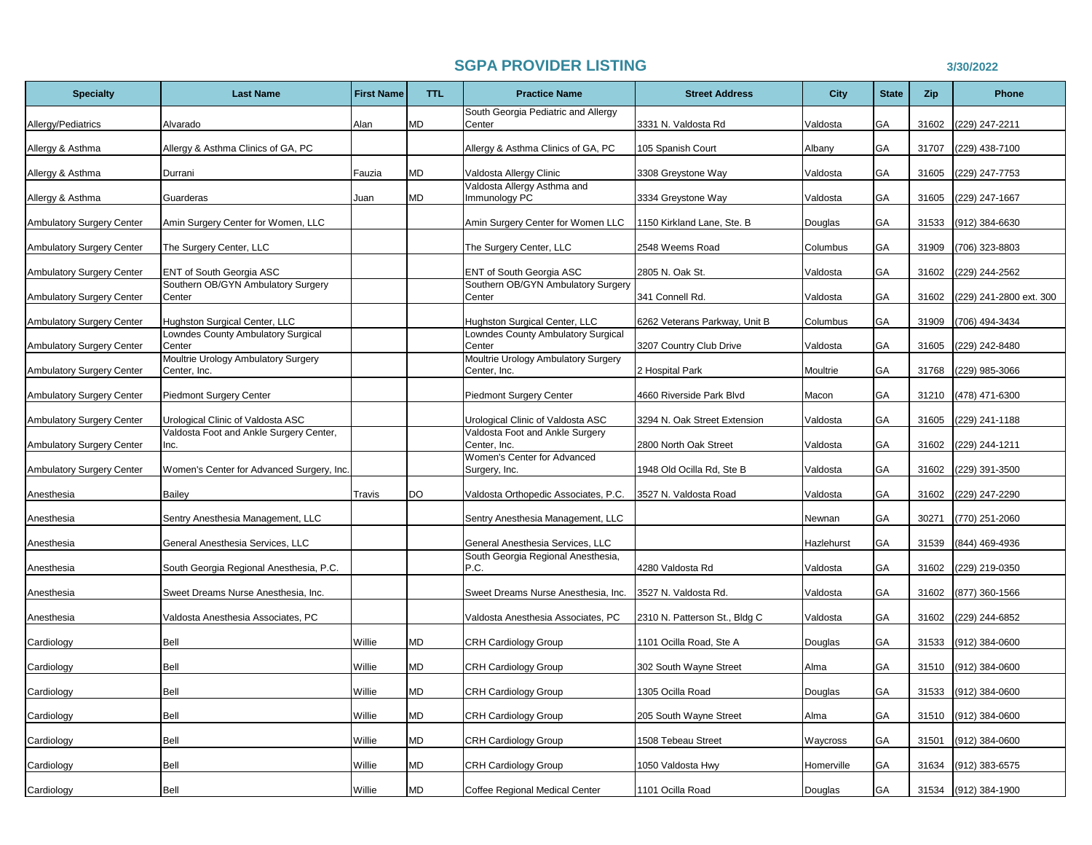## **SGPA PROVIDER LISTING 3/30/2022**

| <b>Specialty</b>                 | <b>Last Name</b>                                    | <b>First Name</b> | <b>TTL</b> | <b>Practice Name</b>                                | <b>Street Address</b>         | <b>City</b> | <b>State</b> | Zip   | <b>Phone</b>            |
|----------------------------------|-----------------------------------------------------|-------------------|------------|-----------------------------------------------------|-------------------------------|-------------|--------------|-------|-------------------------|
| Allergy/Pediatrics               | Alvarado                                            | Alan              | МD         | South Georgia Pediatric and Allergy<br>Center       | 3331 N. Valdosta Rd           | Valdosta    | GА           | 31602 | (229) 247-2211          |
| Allergy & Asthma                 | Allergy & Asthma Clinics of GA, PC                  |                   |            | Allergy & Asthma Clinics of GA, PC                  | 105 Spanish Court             | Albany      | GA           | 31707 | (229) 438-7100          |
| Allergy & Asthma                 | Durrani                                             | Fauzia            | МD         | Valdosta Allergy Clinic                             | 3308 Greystone Way            | Valdosta    | GA           | 31605 | (229) 247-7753          |
| Allergy & Asthma                 | Guarderas                                           | Juan              | MD         | Valdosta Allergy Asthma and<br>Immunology PC        | 3334 Greystone Way            | Valdosta    | GA           | 31605 | (229) 247-1667          |
| Ambulatory Surgery Center        | Amin Surgery Center for Women, LLC                  |                   |            | Amin Surgery Center for Women LLC                   | 1150 Kirkland Lane, Ste. B    | Douglas     | GА           | 31533 | (912) 384-6630          |
| <b>Ambulatory Surgery Center</b> | The Surgery Center, LLC                             |                   |            | The Surgery Center, LLC                             | 2548 Weems Road               | Columbus    | GА           | 31909 | (706) 323-8803          |
| Ambulatory Surgery Center        | ENT of South Georgia ASC                            |                   |            | ENT of South Georgia ASC                            | 2805 N. Oak St.               | Valdosta    | GA           | 31602 | (229) 244-2562          |
| Ambulatory Surgery Center        | Southern OB/GYN Ambulatory Surgery<br>Center        |                   |            | Southern OB/GYN Ambulatory Surgery<br>Center        | 341 Connell Rd.               | Valdosta    | GA           | 31602 | (229) 241-2800 ext. 300 |
| <b>Ambulatory Surgery Center</b> | Hughston Surgical Center, LLC                       |                   |            | Hughston Surgical Center, LLC                       | 6262 Veterans Parkway, Unit B | Columbus    | GA           | 31909 | (706) 494-3434          |
| <b>Ambulatory Surgery Center</b> | Lowndes County Ambulatory Surgical<br>Center        |                   |            | Lowndes County Ambulatory Surgical<br>Center        | 3207 Country Club Drive       | Valdosta    | GA           | 31605 | (229) 242-8480          |
| Ambulatory Surgery Center        | Moultrie Urology Ambulatory Surgery<br>Center, Inc. |                   |            | Moultrie Urology Ambulatory Surgery<br>Center, Inc. | 2 Hospital Park               | Moultrie    | GА           | 31768 | (229) 985-3066          |
| <b>Ambulatory Surgery Center</b> | <b>Piedmont Surgery Center</b>                      |                   |            | Piedmont Surgery Center                             | 4660 Riverside Park Blvd      | Macon       | GА           | 31210 | (478) 471-6300          |
| Ambulatory Surgery Center        | Urological Clinic of Valdosta ASC                   |                   |            | Jrological Clinic of Valdosta ASC                   | 3294 N. Oak Street Extension  | Valdosta    | GA           | 31605 | (229) 241-1188          |
| Ambulatory Surgery Center        | Valdosta Foot and Ankle Surgery Center,<br>Inc.     |                   |            | Valdosta Foot and Ankle Surgery<br>Center, Inc.     | 2800 North Oak Street         | Valdosta    | GА           | 31602 | (229) 244-1211          |
| Ambulatory Surgery Center        | Women's Center for Advanced Surgery, Inc.           |                   |            | Women's Center for Advanced<br>Surgery, Inc.        | 1948 Old Ocilla Rd, Ste B     | Valdosta    | GA           | 31602 | (229) 391-3500          |
| Anesthesia                       | Bailey                                              | Travis            | DO         | Valdosta Orthopedic Associates, P.C.                | 3527 N. Valdosta Road         | Valdosta    | GA           | 31602 | (229) 247-2290          |
| Anesthesia                       | Sentry Anesthesia Management, LLC                   |                   |            | Sentry Anesthesia Management, LLC                   |                               | Newnan      | GА           | 30271 | (770) 251-2060          |
| Anesthesia                       | General Anesthesia Services, LLC                    |                   |            | General Anesthesia Services, LLC                    |                               | Hazlehurst  | GA           | 31539 | (844) 469-4936          |
| Anesthesia                       | South Georgia Regional Anesthesia, P.C.             |                   |            | South Georgia Regional Anesthesia,<br>P.C.          | 4280 Valdosta Rd              | Valdosta    | GА           | 31602 | (229) 219-0350          |
| Anesthesia                       | Sweet Dreams Nurse Anesthesia, Inc.                 |                   |            | Sweet Dreams Nurse Anesthesia, Inc.                 | 3527 N. Valdosta Rd.          | Valdosta    | GA           | 31602 | (877) 360-1566          |
| Anesthesia                       | Valdosta Anesthesia Associates, PC                  |                   |            | Valdosta Anesthesia Associates, PC                  | 2310 N. Patterson St., Bldg C | Valdosta    | GA           | 31602 | (229) 244-6852          |
| Cardiology                       | Bell                                                | Willie            | MD         | CRH Cardiology Group                                | 1101 Ocilla Road, Ste A       | Douglas     | GA           | 31533 | (912) 384-0600          |
| Cardiology                       | Bell                                                | Willie            | МD         | <b>CRH Cardiology Group</b>                         | 302 South Wayne Street        | Alma        | GA           | 31510 | (912) 384-0600          |
| Cardiology                       | Bell                                                | Willie            | МD         | CRH Cardiology Group                                | 1305 Ocilla Road              | Douglas     | GА           | 31533 | $(912)$ 384-0600        |
| Cardiology                       | Bell                                                | Willie            | МD         | <b>CRH Cardiology Group</b>                         | 205 South Wayne Street        | Alma        | GA           | 31510 | (912) 384-0600          |
| Cardiology                       | Bell                                                | Willie            | MD         | <b>CRH Cardiology Group</b>                         | 1508 Tebeau Street            | Waycross    | GА           | 31501 | (912) 384-0600          |
| Cardiology                       | Bell                                                | Willie            | MD         | CRH Cardiology Group                                | 1050 Valdosta Hwy             | Homerville  | <b>GA</b>    | 31634 | (912) 383-6575          |
| Cardiology                       | Bell                                                | Willie            | <b>MD</b>  | Coffee Regional Medical Center                      | 1101 Ocilla Road              | Douglas     | GA           |       | 31534 (912) 384-1900    |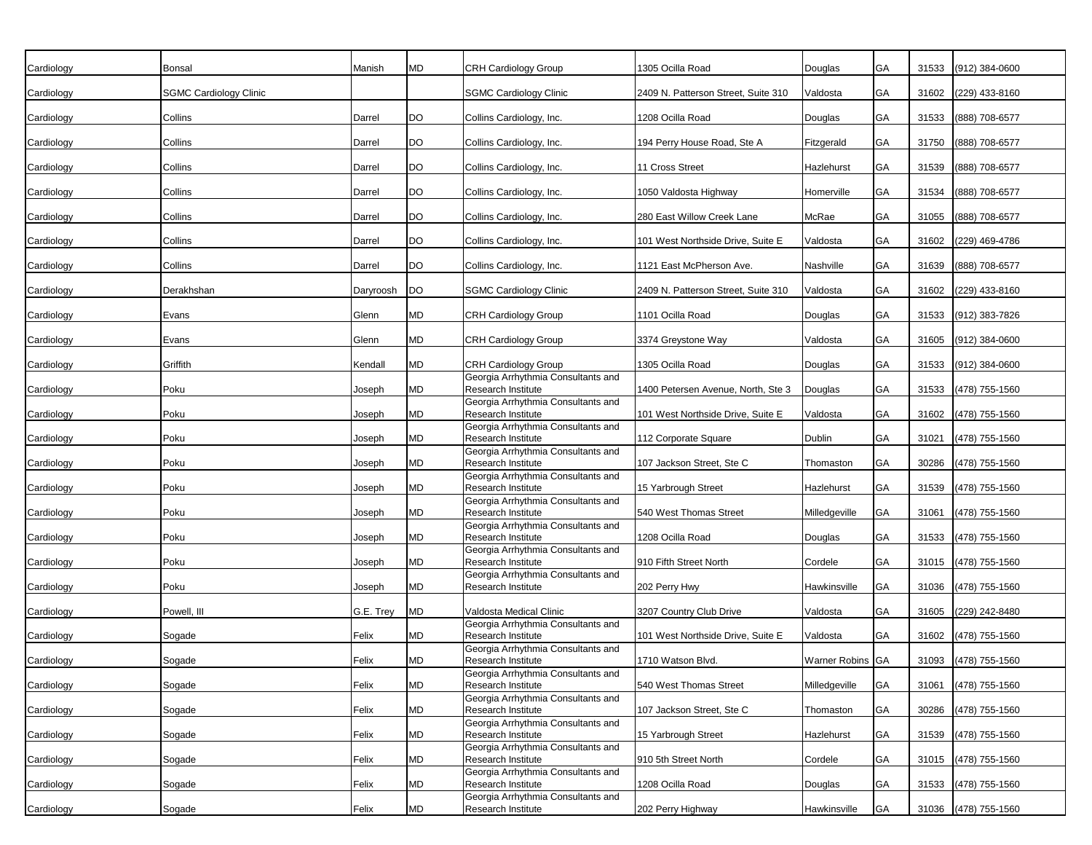| Cardiology | Bonsal                        | Manish    | MD        | CRH Cardiology Group                                     | 1305 Ocilla Road                    | Douglas          | GA | 31533 | (912) 384-0600       |
|------------|-------------------------------|-----------|-----------|----------------------------------------------------------|-------------------------------------|------------------|----|-------|----------------------|
| Cardiology | <b>SGMC Cardiology Clinic</b> |           |           | SGMC Cardiology Clinic                                   | 2409 N. Patterson Street, Suite 310 | Valdosta         | GA | 31602 | (229) 433-8160       |
| Cardiology | Collins                       | Darrel    | DO        | Collins Cardiology, Inc.                                 | 1208 Ocilla Road                    | Douglas          | GA | 31533 | (888) 708-6577       |
| Cardiology | Collins                       | Darrel    | <b>DO</b> | Collins Cardiology, Inc.                                 | 194 Perry House Road, Ste A         | Fitzgerald       | GA | 31750 | (888) 708-6577       |
| Cardiology | Collins                       | Darrel    | <b>DO</b> | Collins Cardiology, Inc.                                 | 11 Cross Street                     | Hazlehurst       | GA | 31539 | (888) 708-6577       |
| Cardiology | Collins                       | Darrel    | <b>DO</b> | Collins Cardiology, Inc.                                 | 1050 Valdosta Highway               | Homerville       | GA | 31534 | (888) 708-6577       |
| Cardiology | Collins                       | Darrel    | DO        | Collins Cardiology, Inc.                                 | 280 East Willow Creek Lane          | McRae            | GA | 31055 | (888) 708-6577       |
| Cardiology | Collins                       | Darrel    | <b>DO</b> | Collins Cardiology, Inc.                                 | 101 West Northside Drive, Suite E   | Valdosta         | GA | 31602 | (229) 469-4786       |
| Cardiology | Collins                       | Darrel    | DO        | Collins Cardiology, Inc.                                 | 1121 East McPherson Ave.            | Nashville        | GA | 31639 | (888) 708-6577       |
| Cardiology | Derakhshan                    | Daryroosh | <b>DO</b> | <b>SGMC Cardiology Clinic</b>                            | 2409 N. Patterson Street, Suite 310 | Valdosta         | GA | 31602 | (229) 433-8160       |
| Cardiology | Evans                         | Glenn     | MD        | CRH Cardiology Group                                     | 1101 Ocilla Road                    | Douglas          | GA | 31533 | (912) 383-7826       |
| Cardiology | Evans                         | Glenn     | <b>MD</b> | CRH Cardiology Group                                     | 3374 Greystone Way                  | Valdosta         | GA | 31605 | (912) 384-0600       |
| Cardiology | Griffith                      | Kendall   | MD        | CRH Cardiology Group                                     | 1305 Ocilla Road                    | Douglas          | GA | 31533 | $(912)$ 384-0600     |
| Cardiology | Poku                          | Joseph    | MD        | Georgia Arrhythmia Consultants and<br>Research Institute | 1400 Petersen Avenue, North, Ste 3  | Douglas          | GA | 31533 | (478) 755-1560       |
| Cardiology | Poku                          | Joseph    | MD        | Georgia Arrhythmia Consultants and<br>Research Institute | 101 West Northside Drive, Suite E   | Valdosta         | GA | 31602 | (478) 755-1560       |
| Cardiology | Poku                          | Joseph    | MD        | Georgia Arrhythmia Consultants and<br>Research Institute | 112 Corporate Square                | Dublin           | GA | 31021 | (478) 755-1560       |
| Cardiology | Poku                          | Joseph    | <b>MD</b> | Georgia Arrhythmia Consultants and<br>Research Institute | 107 Jackson Street, Ste C           | Thomaston        | GA | 30286 | (478) 755-1560       |
| Cardiology | Poku                          | Joseph    | <b>MD</b> | Georgia Arrhythmia Consultants and<br>Research Institute | 15 Yarbrough Street                 | Hazlehurst       | GA | 31539 | (478) 755-1560       |
| Cardiology | Poku                          | Joseph    | MD        | Georgia Arrhythmia Consultants and<br>Research Institute | 540 West Thomas Street              | Milledgeville    | GA | 31061 | (478) 755-1560       |
| Cardiology | Poku                          | Joseph    | MD        | Georgia Arrhythmia Consultants and<br>Research Institute | 1208 Ocilla Road                    | Douglas          | GA | 31533 | (478) 755-1560       |
| Cardiology | Poku                          | Joseph    | MD        | Georgia Arrhythmia Consultants and<br>Research Institute | 910 Fifth Street North              | Cordele          | GA | 31015 | $(478)$ 755-1560     |
| Cardiology | Poku                          | Joseph    | <b>MD</b> | Georgia Arrhythmia Consultants and<br>Research Institute | 202 Perry Hwy                       | Hawkinsville     | GA | 31036 | (478) 755-1560       |
| Cardiology | Powell, III                   | G.E. Trey | <b>MD</b> | Valdosta Medical Clinic                                  | 3207 Country Club Drive             | Valdosta         | GA | 31605 | (229) 242-8480       |
| Cardiology | Sogade                        | Felix     | MD        | Georgia Arrhythmia Consultants and<br>Research Institute | 101 West Northside Drive, Suite E   | Valdosta         | GA | 31602 | (478) 755-1560       |
| Cardiology | Sogade                        | Felix     | <b>MD</b> | Georgia Arrhythmia Consultants and<br>Research Institute | 1710 Watson Blvd.                   | Warner Robins GA |    |       | 31093 (478) 755-1560 |
| Cardiology | Sogade                        | Felix     | MD        | Georgia Arrhythmia Consultants and<br>Research Institute | 540 West Thomas Street              | Milledgeville    | GA | 31061 | (478) 755-1560       |
| Cardiology | Sogade                        | Felix     | MD        | Georgia Arrhythmia Consultants and<br>Research Institute | 107 Jackson Street, Ste C           | Thomaston        | GA | 30286 | $(478)$ 755-1560     |
|            |                               | Felix     | MD        | Georgia Arrhythmia Consultants and<br>Research Institute | 15 Yarbrough Street                 | Hazlehurst       | GA |       | 31539 (478) 755-1560 |
| Cardiology | Sogade                        |           |           | Georgia Arrhythmia Consultants and                       |                                     |                  |    |       |                      |
| Cardiology | Sogade                        | Felix     | MD        | Research Institute<br>Georgia Arrhythmia Consultants and | 910 5th Street North                | Cordele          | GA |       | 31015 (478) 755-1560 |
| Cardiology | Sogade                        | Felix     | <b>MD</b> | Research Institute<br>Georgia Arrhythmia Consultants and | 1208 Ocilla Road                    | Douglas          | GA |       | 31533 (478) 755-1560 |
| Cardiology | Sogade                        | Felix     | <b>MD</b> | Research Institute                                       | 202 Perry Highway                   | Hawkinsville     | GA |       | 31036 (478) 755-1560 |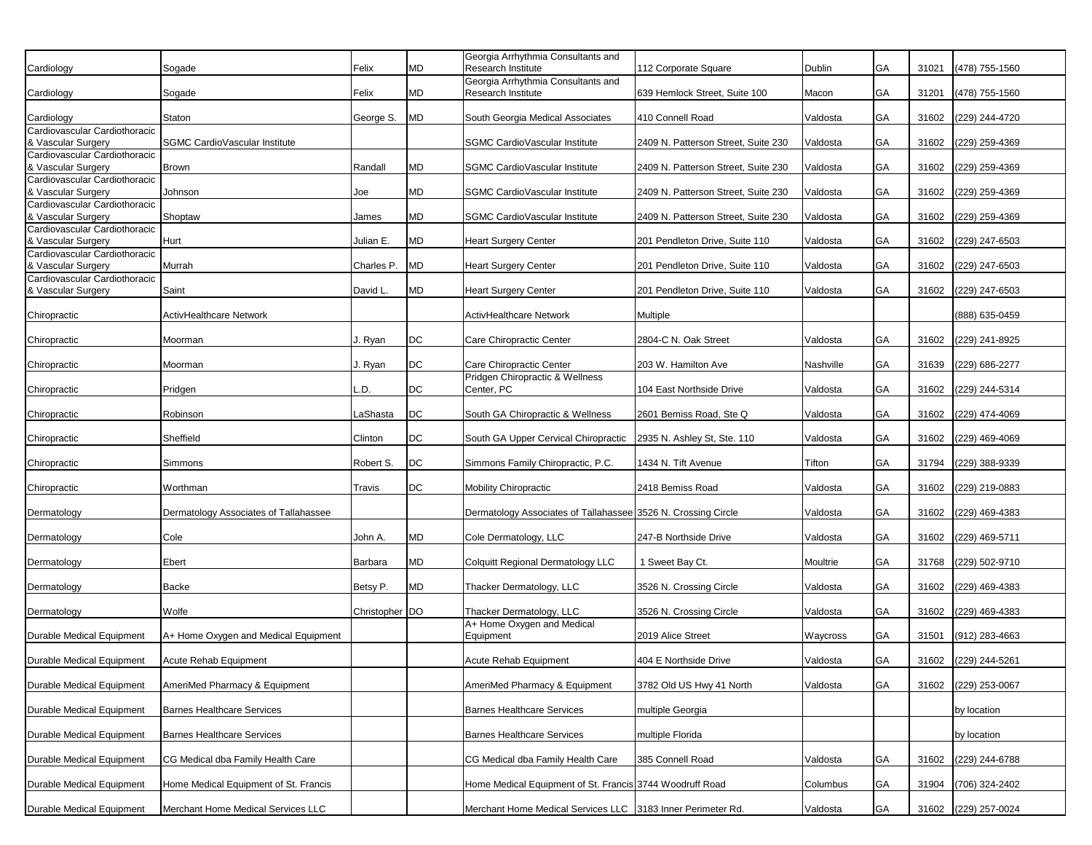|                                                     |                                       |                |           | Georgia Arrhythmia Consultants and                              |                                     |           |    |       |                      |
|-----------------------------------------------------|---------------------------------------|----------------|-----------|-----------------------------------------------------------------|-------------------------------------|-----------|----|-------|----------------------|
| Cardiology                                          | Sogade                                | Felix          | MD        | Research Institute                                              | 112 Corporate Square                | Dublin    | GA | 31021 | (478) 755-1560       |
| Cardiology                                          | Sogade                                | Felix          | MD        | Georgia Arrhythmia Consultants and<br><b>Research Institute</b> | 639 Hemlock Street, Suite 100       | Macon     | GA | 31201 | (478) 755-1560       |
| Cardiology                                          | Staton                                | George S.      | <b>MD</b> | South Georgia Medical Associates                                | 410 Connell Road                    | Valdosta  | GA | 31602 | (229) 244-4720       |
| Cardiovascular Cardiothoracic                       |                                       |                |           |                                                                 |                                     |           |    |       |                      |
| & Vascular Surgery                                  | SGMC CardioVascular Institute         |                |           | SGMC CardioVascular Institute                                   | 2409 N. Patterson Street, Suite 230 | Valdosta  | GA | 31602 | (229) 259-4369       |
| Cardiovascular Cardiothoracic                       |                                       |                |           |                                                                 |                                     |           |    |       |                      |
| & Vascular Surgery                                  | Brown                                 | Randall        | MD        | SGMC CardioVascular Institute                                   | 2409 N. Patterson Street, Suite 230 | Valdosta  | GA | 31602 | (229) 259-4369       |
| Cardiovascular Cardiothoracic<br>& Vascular Surgery | Johnson                               | Joe            | MD        | SGMC CardioVascular Institute                                   | 2409 N. Patterson Street, Suite 230 | Valdosta  | GA | 31602 | (229) 259-4369       |
| Cardiovascular Cardiothoracic                       |                                       |                |           |                                                                 |                                     |           |    |       |                      |
| & Vascular Surgery                                  | Shoptaw                               | James          | MD        | SGMC CardioVascular Institute                                   | 2409 N. Patterson Street, Suite 230 | Valdosta  | GA | 31602 | (229) 259-4369       |
| Cardiovascular Cardiothoracic<br>& Vascular Surgery | Hurt                                  | Julian E.      | <b>MD</b> | <b>Heart Surgery Center</b>                                     | 201 Pendleton Drive, Suite 110      | Valdosta  | GA | 31602 | (229) 247-6503       |
| Cardiovascular Cardiothoracic                       |                                       |                |           |                                                                 |                                     |           |    |       |                      |
| & Vascular Surgery                                  | Murrah                                | Charles P.     | <b>MD</b> | <b>Heart Surgery Center</b>                                     | 201 Pendleton Drive, Suite 110      | Valdosta  | GA | 31602 | (229) 247-6503       |
| Cardiovascular Cardiothoracic<br>& Vascular Surgery | Saint                                 | David L.       | <b>MD</b> | <b>Heart Surgery Center</b>                                     | 201 Pendleton Drive, Suite 110      | Valdosta  | GA | 31602 | (229) 247-6503       |
| Chiropractic                                        | ActivHealthcare Network               |                |           | ActivHealthcare Network                                         | <b>Multiple</b>                     |           |    |       | (888) 635-0459       |
| Chiropractic                                        | Moorman                               | J. Ryan        | DC        | Care Chiropractic Center                                        | 2804-C N. Oak Street                | Valdosta  | GA | 31602 | (229) 241-8925       |
| Chiropractic                                        | Moorman                               | J. Ryan        | DC        | Care Chiropractic Center                                        | 203 W. Hamilton Ave                 | Nashville | GA | 31639 | (229) 686-2277       |
|                                                     |                                       |                |           | Pridgen Chiropractic & Wellness                                 |                                     |           |    |       |                      |
| Chiropractic                                        | Pridgen                               | .D.            | DC        | Center, PC                                                      | 104 East Northside Drive            | Valdosta  | GA | 31602 | (229) 244-5314       |
| Chiropractic                                        | Robinson                              | LaShasta       | DC        | South GA Chiropractic & Wellness                                | 2601 Bemiss Road, Ste Q             | Valdosta  | GA | 31602 | (229) 474-4069       |
| Chiropractic                                        | Sheffield                             | Clinton        | DC        | South GA Upper Cervical Chiropractic                            | 2935 N. Ashley St, Ste. 110         | Valdosta  | GA | 31602 | (229) 469-4069       |
| Chiropractic                                        | Simmons                               | Robert S.      | DC        | Simmons Family Chiropractic, P.C.                               | 1434 N. Tift Avenue                 | Tifton    | GA | 31794 | (229) 388-9339       |
| Chiropractic                                        | Worthman                              | Travis         | DC        | Mobility Chiropractic                                           | 2418 Bemiss Road                    | Valdosta  | GA | 31602 | (229) 219-0883       |
| Dermatology                                         | Dermatology Associates of Tallahassee |                |           | Dermatology Associates of Tallahassee 3526 N. Crossing Circle   |                                     | Valdosta  | GA | 31602 | (229) 469-4383       |
| Dermatology                                         | Cole                                  | John A.        | <b>MD</b> | Cole Dermatology, LLC                                           | 247-B Northside Drive               | Valdosta  | GA | 31602 | (229) 469-5711       |
| Dermatology                                         | Ebert                                 | Barbara        | <b>MD</b> | Colquitt Regional Dermatology LLC                               | 1 Sweet Bay Ct.                     | Moultrie  | GA | 31768 | (229) 502-9710       |
| Dermatology                                         | Backe                                 | Betsy P.       | <b>MD</b> | Thacker Dermatology, LLC                                        | 3526 N. Crossing Circle             | Valdosta  | GA | 31602 | (229) 469-4383       |
| Dermatology                                         | Wolfe                                 | Christopher DO |           | Thacker Dermatology, LLC                                        | 3526 N. Crossing Circle             | Valdosta  | GA | 31602 | (229) 469-4383       |
| Durable Medical Equipment                           | A+ Home Oxygen and Medical Equipment  |                |           | A+ Home Oxygen and Medical<br>Equipment                         | 2019 Alice Street                   | Waycross  | GA | 31501 | (912) 283-4663       |
| Durable Medical Equipment                           | Acute Rehab Equipment                 |                |           | Acute Rehab Equipment                                           | 404 E Northside Drive               | Valdosta  | GA |       | 31602 (229) 244-5261 |
| Durable Medical Equipment                           | AmeriMed Pharmacy & Equipment         |                |           | AmeriMed Pharmacy & Equipment                                   | 3782 Old US Hwy 41 North            | Valdosta  | GA | 31602 | (229) 253-0067       |
| Durable Medical Equipment                           | <b>Barnes Healthcare Services</b>     |                |           | <b>Barnes Healthcare Services</b>                               | multiple Georgia                    |           |    |       | by location          |
| Durable Medical Equipment                           | <b>Barnes Healthcare Services</b>     |                |           | <b>Barnes Healthcare Services</b>                               | multiple Florida                    |           |    |       | by location          |
|                                                     |                                       |                |           |                                                                 |                                     |           |    |       |                      |
| Durable Medical Equipment                           | CG Medical dba Family Health Care     |                |           | CG Medical dba Family Health Care                               | 385 Connell Road                    | Valdosta  | GA | 31602 | (229) 244-6788       |
| Durable Medical Equipment                           | Home Medical Equipment of St. Francis |                |           | Home Medical Equipment of St. Francis 3744 Woodruff Road        |                                     | Columbus  | GA | 31904 | (706) 324-2402       |
| Durable Medical Equipment                           | Merchant Home Medical Services LLC    |                |           | Merchant Home Medical Services LLC 3183 Inner Perimeter Rd.     |                                     | Valdosta  | GA |       | 31602 (229) 257-0024 |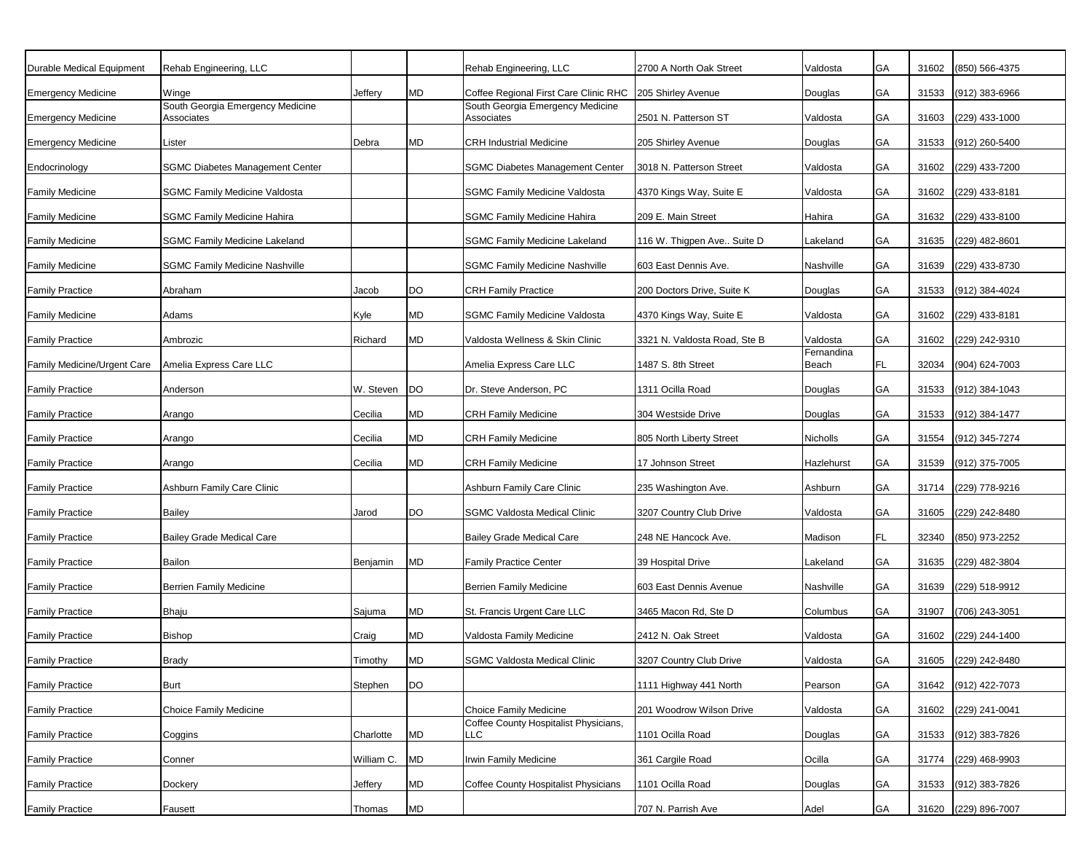| Durable Medical Equipment   | Rehab Engineering, LLC                         |            |           | Rehab Engineering, LLC                         | 2700 A North Oak Street      | Valdosta            | GA | 31602 | (850) 566-4375       |
|-----------------------------|------------------------------------------------|------------|-----------|------------------------------------------------|------------------------------|---------------------|----|-------|----------------------|
| <b>Emergency Medicine</b>   | Winge                                          | Jeffery    | MD        | Coffee Regional First Care Clinic RHC          | 205 Shirley Avenue           | Douglas             | GA | 31533 | (912) 383-6966       |
| <b>Emergency Medicine</b>   | South Georgia Emergency Medicine<br>Associates |            |           | South Georgia Emergency Medicine<br>Associates | 2501 N. Patterson ST         | Valdosta            | GA | 31603 | (229) 433-1000       |
| <b>Emergency Medicine</b>   | Lister                                         | Debra      | MD        | <b>CRH Industrial Medicine</b>                 | 205 Shirley Avenue           | Douglas             | GA | 31533 | (912) 260-5400       |
| Endocrinology               | <b>SGMC Diabetes Management Center</b>         |            |           | <b>SGMC Diabetes Management Center</b>         | 3018 N. Patterson Street     | Valdosta            | GA | 31602 | (229) 433-7200       |
| <b>Family Medicine</b>      | <b>SGMC Family Medicine Valdosta</b>           |            |           | SGMC Family Medicine Valdosta                  | 4370 Kings Way, Suite E      | Valdosta            | GA | 31602 | (229) 433-8181       |
| <b>Family Medicine</b>      | <b>SGMC Family Medicine Hahira</b>             |            |           | <b>SGMC Family Medicine Hahira</b>             | 209 E. Main Street           | Hahira              | GA | 31632 | (229) 433-8100       |
| <b>Family Medicine</b>      | <b>SGMC Family Medicine Lakeland</b>           |            |           | <b>SGMC Family Medicine Lakeland</b>           | 116 W. Thigpen Ave Suite D   | Lakeland            | GA | 31635 | (229) 482-8601       |
| <b>Family Medicine</b>      | <b>SGMC Family Medicine Nashville</b>          |            |           | <b>SGMC Family Medicine Nashville</b>          | 603 East Dennis Ave.         | Nashville           | GA | 31639 | (229) 433-8730       |
| <b>Family Practice</b>      | Abraham                                        | Jacob      | DO        | <b>CRH Family Practice</b>                     | 200 Doctors Drive, Suite K   | Douglas             | GA | 31533 | (912) 384-4024       |
| <b>Family Medicine</b>      | Adams                                          | Kyle       | MD        | <b>SGMC Family Medicine Valdosta</b>           | 4370 Kings Way, Suite E      | Valdosta            | GA | 31602 | (229) 433-8181       |
| <b>Family Practice</b>      | Ambrozic                                       | Richard    | MD        | Valdosta Wellness & Skin Clinic                | 3321 N. Valdosta Road, Ste B | Valdosta            | GA | 31602 | (229) 242-9310       |
| Family Medicine/Urgent Care | Amelia Express Care LLC                        |            |           | Amelia Express Care LLC                        | 1487 S. 8th Street           | Fernandina<br>Beach | FL | 32034 | (904) 624-7003       |
| <b>Family Practice</b>      | Anderson                                       | W. Steven  | <b>DO</b> | Dr. Steve Anderson, PC                         | 1311 Ocilla Road             | Douglas             | GA | 31533 | (912) 384-1043       |
| <b>Family Practice</b>      | Arango                                         | Cecilia    | MD        | <b>CRH Family Medicine</b>                     | 304 Westside Drive           | Douglas             | GA | 31533 | (912) 384-1477       |
| <b>Family Practice</b>      | Arango                                         | Cecilia    | MD        | <b>CRH Family Medicine</b>                     | 805 North Liberty Street     | Nicholls            | GA | 31554 | (912) 345-7274       |
| <b>Family Practice</b>      | Arango                                         | Cecilia    | <b>MD</b> | <b>CRH Family Medicine</b>                     | 17 Johnson Street            | Hazlehurst          | GA | 31539 | (912) 375-7005       |
| <b>Family Practice</b>      | Ashburn Family Care Clinic                     |            |           | Ashburn Family Care Clinic                     | 235 Washington Ave.          | Ashburn             | GA | 31714 | (229) 778-9216       |
| <b>Family Practice</b>      | <b>Bailey</b>                                  | Jarod      | DO        | SGMC Valdosta Medical Clinic                   | 3207 Country Club Drive      | Valdosta            | GA | 31605 | (229) 242-8480       |
| <b>Family Practice</b>      | <b>Bailey Grade Medical Care</b>               |            |           | <b>Bailey Grade Medical Care</b>               | 248 NE Hancock Ave.          | Madison             | FL | 32340 | (850) 973-2252       |
| <b>Family Practice</b>      | Bailon                                         | Benjamin   | <b>MD</b> | <b>Family Practice Center</b>                  | 39 Hospital Drive            | Lakeland            | GA | 31635 | (229) 482-3804       |
| <b>Family Practice</b>      | Berrien Family Medicine                        |            |           | <b>Berrien Family Medicine</b>                 | 603 East Dennis Avenue       | Nashville           | GA | 31639 | (229) 518-9912       |
| <b>Family Practice</b>      | Bhaju                                          | Sajuma     | MD        | St. Francis Urgent Care LLC                    | 3465 Macon Rd, Ste D         | Columbus            | GA | 31907 | (706) 243-3051       |
| <b>Family Practice</b>      | <b>Bishop</b>                                  | Craig      | MD        | Valdosta Family Medicine                       | 2412 N. Oak Street           | Valdosta            | GA | 31602 | (229) 244-1400       |
| <b>Family Practice</b>      | <b>Brady</b>                                   | Timothy    | <b>MD</b> | <b>SGMC Valdosta Medical Clinic</b>            | 3207 Country Club Drive      | Valdosta            | GA |       | 31605 (229) 242-8480 |
| <b>Family Practice</b>      | <b>Burt</b>                                    | Stephen    | <b>DO</b> |                                                | 1111 Highway 441 North       | Pearson             | GA | 31642 | (912) 422-7073       |
| <b>Family Practice</b>      | Choice Family Medicine                         |            |           | Choice Family Medicine                         | 201 Woodrow Wilson Drive     | Valdosta            | GA | 31602 | (229) 241-0041       |
| <b>Family Practice</b>      | Coggins                                        | Charlotte  | <b>MD</b> | Coffee County Hospitalist Physicians,<br>LLC   | 1101 Ocilla Road             | Douglas             | GA | 31533 | (912) 383-7826       |
| <b>Family Practice</b>      | Conner                                         | William C. | <b>MD</b> | Irwin Family Medicine                          | 361 Cargile Road             | Ocilla              | GA | 31774 | (229) 468-9903       |
| <b>Family Practice</b>      | Dockery                                        | Jeffery    | MD        | Coffee County Hospitalist Physicians           | 1101 Ocilla Road             | Douglas             | GA | 31533 | (912) 383-7826       |
| <b>Family Practice</b>      | Fausett                                        | Thomas     | MD        |                                                | 707 N. Parrish Ave           | Adel                | GA | 31620 | (229) 896-7007       |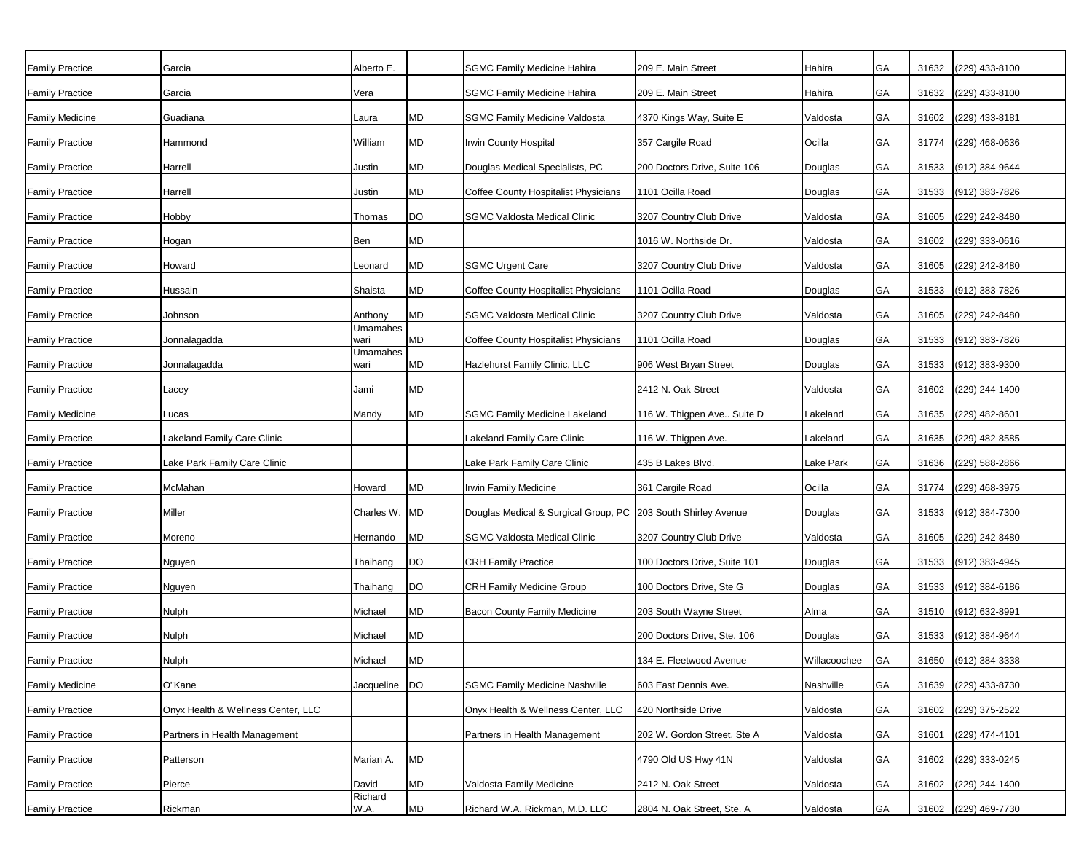| <b>Family Practice</b> | Garcia                             | Alberto E.       |           | SGMC Family Medicine Hahira                                     | 209 E. Main Street           | Hahira       | GA        | 31632 | (229) 433-8100       |
|------------------------|------------------------------------|------------------|-----------|-----------------------------------------------------------------|------------------------------|--------------|-----------|-------|----------------------|
| <b>Family Practice</b> | Garcia                             | Vera             |           | <b>SGMC Family Medicine Hahira</b>                              | 209 E. Main Street           | Hahira       | GA        | 31632 | (229) 433-8100       |
| Family Medicine        | Guadiana                           | Laura            | МD        | <b>SGMC Family Medicine Valdosta</b>                            | 4370 Kings Way, Suite E      | Valdosta     | GA        | 31602 | (229) 433-8181       |
| <b>Family Practice</b> | Hammond                            | William          | MD        | Irwin County Hospital                                           | 357 Cargile Road             | Ocilla       | GA        | 31774 | (229) 468-0636       |
| <b>Family Practice</b> | Harrell                            | Justin           | MD        | Douglas Medical Specialists, PC                                 | 200 Doctors Drive, Suite 106 | Douglas      | GA        | 31533 | (912) 384-9644       |
| <b>Family Practice</b> | Harrell                            | Justin           | MD        | Coffee County Hospitalist Physicians                            | 1101 Ocilla Road             | Douglas      | GA        | 31533 | (912) 383-7826       |
| <b>Family Practice</b> | Hobby                              | Thomas           | DO        | <b>SGMC Valdosta Medical Clinic</b>                             | 3207 Country Club Drive      | Valdosta     | GA        | 31605 | (229) 242-8480       |
| <b>Family Practice</b> | Hogan                              | Ben              | MD        |                                                                 | 1016 W. Northside Dr.        | Valdosta     | <b>GA</b> | 31602 | (229) 333-0616       |
| <b>Family Practice</b> | Howard                             | Leonard          | MD        | <b>SGMC Urgent Care</b>                                         | 3207 Country Club Drive      | Valdosta     | GA        | 31605 | (229) 242-8480       |
| <b>Family Practice</b> | Hussain                            | Shaista          | MD        | Coffee County Hospitalist Physicians                            | 1101 Ocilla Road             | Douglas      | GA        | 31533 | (912) 383-7826       |
| <b>Family Practice</b> | Johnson                            | Anthony          | MD        | <b>SGMC Valdosta Medical Clinic</b>                             | 3207 Country Club Drive      | Valdosta     | GA        | 31605 | (229) 242-8480       |
| <b>Family Practice</b> | Jonnalagadda                       | Umamahes<br>wari | MD        | Coffee County Hospitalist Physicians                            | 1101 Ocilla Road             | Douglas      | GA        | 31533 | (912) 383-7826       |
| <b>Family Practice</b> | Jonnalagadda                       | Umamahes<br>wari | MD        | Hazlehurst Family Clinic, LLC                                   | 906 West Bryan Street        | Douglas      | GA        | 31533 | (912) 383-9300       |
| <b>Family Practice</b> | Lacey                              | Jami             | MD        |                                                                 | 2412 N. Oak Street           | Valdosta     | GA        | 31602 | (229) 244-1400       |
| <b>Family Medicine</b> | Lucas                              | Mandy            | MD        | <b>SGMC Family Medicine Lakeland</b>                            | 116 W. Thigpen Ave Suite D   | Lakeland     | GA        | 31635 | (229) 482-8601       |
| <b>Family Practice</b> | Lakeland Family Care Clinic        |                  |           | Lakeland Family Care Clinic                                     | 116 W. Thigpen Ave.          | Lakeland     | GA        | 31635 | (229) 482-8585       |
| <b>Family Practice</b> | Lake Park Family Care Clinic       |                  |           | Lake Park Family Care Clinic                                    | 435 B Lakes Blvd.            | Lake Park    | GA        | 31636 | (229) 588-2866       |
| <b>Family Practice</b> | McMahan                            | Howard           | MD        | Irwin Family Medicine                                           | 361 Cargile Road             | Ocilla       | GA        | 31774 | (229) 468-3975       |
| <b>Family Practice</b> | Miller                             | Charles W.       | <b>MD</b> | Douglas Medical & Surgical Group, PC   203 South Shirley Avenue |                              | Douglas      | GA        | 31533 | (912) 384-7300       |
| <b>Family Practice</b> | Moreno                             | Hernando         | МD        | <b>SGMC Valdosta Medical Clinic</b>                             | 3207 Country Club Drive      | Valdosta     | GA        | 31605 | (229) 242-8480       |
| <b>Family Practice</b> | Nguyen                             | Thaihang         | <b>DO</b> | <b>CRH Family Practice</b>                                      | 100 Doctors Drive, Suite 101 | Douglas      | GA        | 31533 | (912) 383-4945       |
| <b>Family Practice</b> | Nguyen                             | Thaihang         | <b>DO</b> | <b>CRH Family Medicine Group</b>                                | 100 Doctors Drive, Ste G     | Douglas      | GA        | 31533 | (912) 384-6186       |
| <b>Family Practice</b> | Nulph                              | Michael          | MD        | Bacon County Family Medicine                                    | 203 South Wayne Street       | Alma         | GA        |       | 31510 (912) 632-8991 |
| <b>Family Practice</b> | Nulph                              | Michael          | MD        |                                                                 | 200 Doctors Drive, Ste. 106  | Douglas      | GA        | 31533 | (912) 384-9644       |
| <b>Family Practice</b> | Nulph                              | Michael          | <b>MD</b> |                                                                 | 134 E. Fleetwood Avenue      | Willacoochee | GA        |       | 31650 (912) 384-3338 |
| <b>Family Medicine</b> | O"Kane                             | Jacqueline DO    |           | <b>SGMC Family Medicine Nashville</b>                           | 603 East Dennis Ave.         | Nashville    | GA        |       | 31639 (229) 433-8730 |
| <b>Family Practice</b> | Onyx Health & Wellness Center, LLC |                  |           | Onyx Health & Wellness Center, LLC                              | 420 Northside Drive          | Valdosta     | GA        | 31602 | (229) 375-2522       |
| <b>Family Practice</b> | Partners in Health Management      |                  |           | Partners in Health Management                                   | 202 W. Gordon Street, Ste A  | Valdosta     | GA        | 31601 | (229) 474-4101       |
| <b>Family Practice</b> | Patterson                          | Marian A.        | <b>MD</b> |                                                                 | 4790 Old US Hwy 41N          | Valdosta     | GA        |       | 31602 (229) 333-0245 |
| <b>Family Practice</b> | Pierce                             | David            | MD        | Valdosta Family Medicine                                        | 2412 N. Oak Street           | Valdosta     | GA        |       | 31602 (229) 244-1400 |
| <b>Family Practice</b> | Rickman                            | Richard<br>W.A.  | MD        | Richard W.A. Rickman, M.D. LLC                                  | 2804 N. Oak Street, Ste. A   | Valdosta     | GA        |       | 31602 (229) 469-7730 |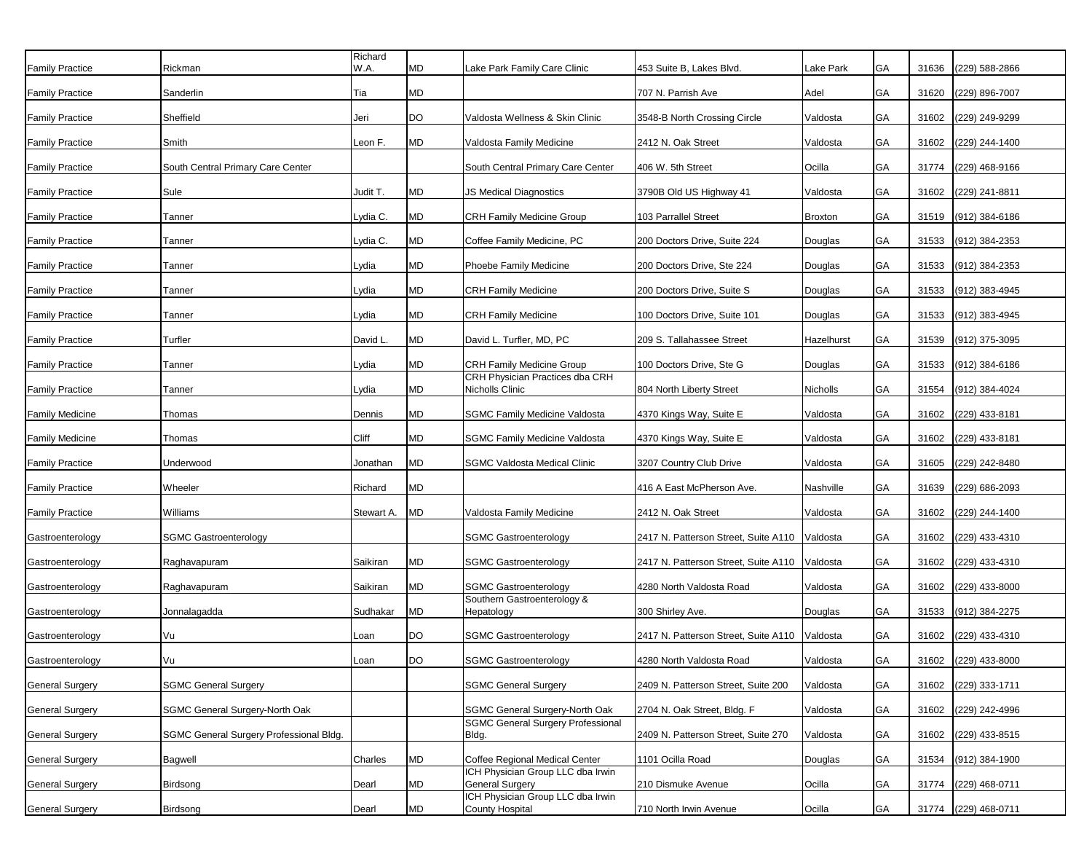| <b>Family Practice</b> | Rickman                                 | Richard<br>W.A. | MD         | Lake Park Family Care Clinic                                | 453 Suite B, Lakes Blvd.             | Lake Park  | GA        | 31636 | (229) 588-2866       |
|------------------------|-----------------------------------------|-----------------|------------|-------------------------------------------------------------|--------------------------------------|------------|-----------|-------|----------------------|
| <b>Family Practice</b> | Sanderlin                               | Tia             | MD         |                                                             | 707 N. Parrish Ave                   | Adel       | <b>GA</b> | 31620 | (229) 896-7007       |
| <b>Family Practice</b> | Sheffield                               | Jeri            | DO         | Valdosta Wellness & Skin Clinic                             | 3548-B North Crossing Circle         | Valdosta   | GA        | 31602 | (229) 249-9299       |
| <b>Family Practice</b> | Smith                                   | Leon F.         | MD         | Valdosta Family Medicine                                    | 2412 N. Oak Street                   | Valdosta   | GA        | 31602 | (229) 244-1400       |
| <b>Family Practice</b> | South Central Primary Care Center       |                 |            | South Central Primary Care Center                           | 406 W. 5th Street                    | Ocilla     | GA        | 31774 | (229) 468-9166       |
| <b>Family Practice</b> | Sule                                    | Judit T.        | MD         | JS Medical Diagnostics                                      | 3790B Old US Highway 41              | Valdosta   | GA        | 31602 | (229) 241-8811       |
| <b>Family Practice</b> | Tanner                                  | Lydia C.        | MD         | <b>CRH Family Medicine Group</b>                            | 103 Parrallel Street                 | Broxton    | GA        | 31519 | (912) 384-6186       |
| <b>Family Practice</b> | Tanner                                  | Lydia C.        | MD         | Coffee Family Medicine, PC                                  | 200 Doctors Drive, Suite 224         | Douglas    | GA        | 31533 | (912) 384-2353       |
| <b>Family Practice</b> | Tanner                                  | Lydia           | MD         | Phoebe Family Medicine                                      | 200 Doctors Drive, Ste 224           | Douglas    | GA        | 31533 | (912) 384-2353       |
| <b>Family Practice</b> | Tanner                                  | Lydia           | MD         | <b>CRH Family Medicine</b>                                  | 200 Doctors Drive, Suite S           | Douglas    | GA        | 31533 | (912) 383-4945       |
| <b>Family Practice</b> | Tanner                                  | Lydia           | MD         | <b>CRH Family Medicine</b>                                  | 100 Doctors Drive, Suite 101         | Douglas    | GA        | 31533 | (912) 383-4945       |
| <b>Family Practice</b> | Turfler                                 | David L.        | MD         | David L. Turfler, MD, PC                                    | 209 S. Tallahassee Street            | Hazelhurst | GA        | 31539 | (912) 375-3095       |
| <b>Family Practice</b> | Tanner                                  | Lydia           | ${\sf MD}$ | <b>CRH Family Medicine Group</b>                            | 100 Doctors Drive, Ste G             | Douglas    | GA        | 31533 | (912) 384-6186       |
| <b>Family Practice</b> | Tanner                                  | Lydia           | MD         | CRH Physician Practices dba CRH<br>Nicholls Clinic          | 804 North Liberty Street             | Nicholls   | GA        | 31554 | (912) 384-4024       |
| <b>Family Medicine</b> | Thomas                                  | Dennis          | MD         | <b>SGMC Family Medicine Valdosta</b>                        | 4370 Kings Way, Suite E              | Valdosta   | GA        | 31602 | (229) 433-8181       |
| <b>Family Medicine</b> | Thomas                                  | Cliff           | MD         | <b>SGMC Family Medicine Valdosta</b>                        | 4370 Kings Way, Suite E              | Valdosta   | GA        | 31602 | (229) 433-8181       |
| <b>Family Practice</b> | Underwood                               | Jonathan        | <b>MD</b>  | <b>SGMC Valdosta Medical Clinic</b>                         | 3207 Country Club Drive              | Valdosta   | GA        | 31605 | (229) 242-8480       |
| <b>Family Practice</b> | Wheeler                                 | Richard         | MD         |                                                             | 416 A East McPherson Ave.            | Nashville  | GA        | 31639 | (229) 686-2093       |
| <b>Family Practice</b> | Williams                                | Stewart A.      | MD         | Valdosta Family Medicine                                    | 2412 N. Oak Street                   | Valdosta   | GA        | 31602 | (229) 244-1400       |
| Gastroenterology       | <b>SGMC Gastroenterology</b>            |                 |            | <b>SGMC Gastroenterology</b>                                | 2417 N. Patterson Street, Suite A110 | Valdosta   | GA        | 31602 | (229) 433-4310       |
| Gastroenterology       | Raghavapuram                            | Saikiran        | MD         | <b>SGMC Gastroenterology</b>                                | 2417 N. Patterson Street, Suite A110 | Valdosta   | GA        | 31602 | (229) 433-4310       |
| Gastroenterology       | Raghavapuram                            | Saikiran        | MD         | <b>SGMC Gastroenterology</b>                                | 4280 North Valdosta Road             | Valdosta   | GA        | 31602 | (229) 433-8000       |
| Gastroenterology       | Jonnalagadda                            | Sudhakar        | MD         | Southern Gastroenterology &<br>Hepatology                   | 300 Shirley Ave.                     | Douglas    | GA        | 31533 | (912) 384-2275       |
| Gastroenterology       | Vu                                      | Loan            | DO         | <b>SGMC Gastroenterology</b>                                | 2417 N. Patterson Street, Suite A110 | Valdosta   | GA        | 31602 | (229) 433-4310       |
| Gastroenterology       | Vu                                      | Loan            | <b>DO</b>  | <b>SGMC Gastroenterology</b>                                | 4280 North Valdosta Road             | Valdosta   | GA        |       | 31602 (229) 433-8000 |
| <b>General Surgery</b> | <b>SGMC General Surgery</b>             |                 |            | <b>SGMC General Surgery</b>                                 | 2409 N. Patterson Street, Suite 200  | Valdosta   | GA        | 31602 | (229) 333-1711       |
| <b>General Surgery</b> | <b>SGMC General Surgery-North Oak</b>   |                 |            | <b>SGMC General Surgery-North Oak</b>                       | 2704 N. Oak Street, Bldg. F          | Valdosta   | <b>GA</b> | 31602 | (229) 242-4996       |
| <b>General Surgery</b> | SGMC General Surgery Professional Bldg. |                 |            | <b>SGMC General Surgery Professional</b><br>Bldg.           | 2409 N. Patterson Street, Suite 270  | Valdosta   | GA        | 31602 | (229) 433-8515       |
| <b>General Surgery</b> | <b>Bagwell</b>                          | Charles         | <b>MD</b>  | Coffee Regional Medical Center                              | 1101 Ocilla Road                     | Douglas    | <b>GA</b> | 31534 | (912) 384-1900       |
| <b>General Surgery</b> | Birdsong                                | Dearl           | MD         | ICH Physician Group LLC dba Irwin<br><b>General Surgery</b> | 210 Dismuke Avenue                   | Ocilla     | GA        |       | 31774 (229) 468-0711 |
| <b>General Surgery</b> | Birdsong                                | Dearl           | MD         | ICH Physician Group LLC dba Irwin<br><b>County Hospital</b> | 710 North Irwin Avenue               | Ocilla     | GA        |       | 31774 (229) 468-0711 |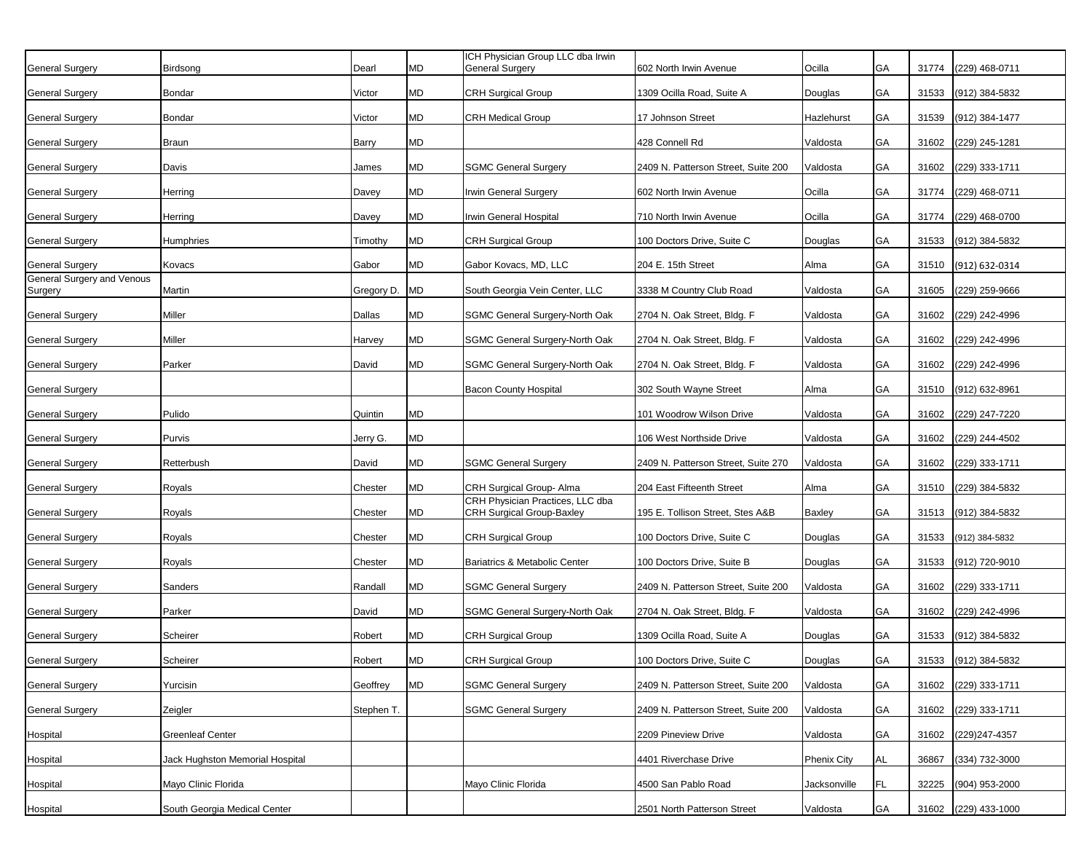|                                       |                                 |            |           | ICH Physician Group LLC dba Irwin                                    |                                     |                    |           |       |                      |
|---------------------------------------|---------------------------------|------------|-----------|----------------------------------------------------------------------|-------------------------------------|--------------------|-----------|-------|----------------------|
| <b>General Surgery</b>                | Birdsong                        | Dearl      | MD        | <b>General Surgery</b>                                               | 602 North Irwin Avenue              | Ocilla             | GA        | 31774 | (229) 468-0711       |
| General Surgery                       | <b>Bondar</b>                   | Victor     | MD        | <b>CRH Surgical Group</b>                                            | 1309 Ocilla Road, Suite A           | Douglas            | GA        | 31533 | (912) 384-5832       |
| General Surgery                       | <b>Bondar</b>                   | Victor     | МD        | <b>CRH Medical Group</b>                                             | 17 Johnson Street                   | Hazlehurst         | <b>GA</b> | 31539 | (912) 384-1477       |
| General Surgery                       | <b>Braun</b>                    | Barry      | MD        |                                                                      | 428 Connell Rd                      | Valdosta           | GA        | 31602 | (229) 245-1281       |
| General Surgery                       | Davis                           | James      | MD        | <b>SGMC General Surgery</b>                                          | 2409 N. Patterson Street, Suite 200 | Valdosta           | GA        | 31602 | (229) 333-1711       |
| General Surgery                       | Herring                         | Davey      | MD        | Irwin General Surgery                                                | 602 North Irwin Avenue              | Ocilla             | GA        | 31774 | (229) 468-0711       |
| General Surgery                       | Herring                         | Davey      | MD        | rwin General Hospital                                                | 710 North Irwin Avenue              | Ocilla             | GA        | 31774 | (229) 468-0700       |
| General Surgery                       | Humphries                       | Timothy    | MD        | <b>CRH Surgical Group</b>                                            | 100 Doctors Drive, Suite C          | Douglas            | GA        | 31533 | (912) 384-5832       |
| <b>General Surgery</b>                | Kovacs                          | Gabor      | MD        | Gabor Kovacs, MD, LLC                                                | 204 E. 15th Street                  | Alma               | GA        | 31510 | (912) 632-0314       |
| General Surgery and Venous<br>Surgery | Martin                          | Gregory D. | <b>MD</b> | South Georgia Vein Center, LLC                                       | 3338 M Country Club Road            | Valdosta           | GA        | 31605 | (229) 259-9666       |
| <b>General Surgery</b>                | Miller                          | Dallas     | MD        | SGMC General Surgery-North Oak                                       | 2704 N. Oak Street, Bldg. F         | Valdosta           | GA        | 31602 | (229) 242-4996       |
| <b>General Surgery</b>                | Miller                          | Harvey     | MD        | SGMC General Surgery-North Oak                                       | 2704 N. Oak Street, Bldg. F         | Valdosta           | GA        | 31602 | (229) 242-4996       |
| <b>General Surgery</b>                | Parker                          | David      | <b>MD</b> | SGMC General Surgery-North Oak                                       | 2704 N. Oak Street, Bldg. F         | Valdosta           | GA        | 31602 | (229) 242-4996       |
| <b>General Surgery</b>                |                                 |            |           | <b>Bacon County Hospital</b>                                         | 302 South Wayne Street              | Alma               | GA        | 31510 | (912) 632-8961       |
| <b>General Surgery</b>                | Pulido                          | Quintin    | MD        |                                                                      | 101 Woodrow Wilson Drive            | Valdosta           | GA        | 31602 | (229) 247-7220       |
| General Surgery                       | Purvis                          | Jerry G.   | MD        |                                                                      | 106 West Northside Drive            | Valdosta           | GA        | 31602 | (229) 244-4502       |
| <b>General Surgery</b>                | Retterbush                      | David      | MD        | <b>SGMC General Surgery</b>                                          | 2409 N. Patterson Street, Suite 270 | Valdosta           | GA        | 31602 | (229) 333-1711       |
| General Surgery                       | Royals                          | Chester    | MD        | CRH Surgical Group- Alma                                             | 204 East Fifteenth Street           | Alma               | GA        | 31510 | (229) 384-5832       |
| General Surgery                       | Royals                          | Chester    | MD        | CRH Physician Practices, LLC dba<br><b>CRH Surgical Group-Baxley</b> | 195 E. Tollison Street, Stes A&B    | Baxley             | GA        | 31513 | (912) 384-5832       |
| General Surgery                       | Royals                          | Chester    | <b>MD</b> | <b>CRH Surgical Group</b>                                            | 100 Doctors Drive, Suite C          | Douglas            | GA        | 31533 | (912) 384-5832       |
| <b>General Surgery</b>                | Royals                          | Chester    | MD        | Bariatrics & Metabolic Center                                        | 100 Doctors Drive, Suite B          | Douglas            | GA        | 31533 | (912) 720-9010       |
| General Surgery                       | Sanders                         | Randall    | <b>MD</b> | <b>SGMC General Surgery</b>                                          | 2409 N. Patterson Street, Suite 200 | Valdosta           | GA        | 31602 | (229) 333-1711       |
| <b>General Surgery</b>                | Parker                          | David      | MD        | SGMC General Surgery-North Oak                                       | 2704 N. Oak Street, Bldg. F         | Valdosta           | GA        | 31602 | (229) 242-4996       |
| <b>General Surgery</b>                | Scheirer                        | Robert     | MD        | <b>CRH Surgical Group</b>                                            | 1309 Ocilla Road, Suite A           | Douglas            | GA        | 31533 | (912) 384-5832       |
| <b>General Surgery</b>                | Scheirer                        | Robert     | <b>MD</b> | <b>CRH Surgical Group</b>                                            | 100 Doctors Drive, Suite C          | Douglas            | GA        |       | 31533 (912) 384-5832 |
| <b>General Surgery</b>                | Yurcisin                        | Geoffrey   | <b>MD</b> | <b>SGMC General Surgery</b>                                          | 2409 N. Patterson Street, Suite 200 | Valdosta           | GA        |       | 31602 (229) 333-1711 |
| <b>General Surgery</b>                | Zeigler                         | Stephen T. |           | <b>SGMC General Surgery</b>                                          | 2409 N. Patterson Street, Suite 200 | Valdosta           | GA        | 31602 | (229) 333-1711       |
| Hospital                              | Greenleaf Center                |            |           |                                                                      | 2209 Pineview Drive                 | Valdosta           | GA        | 31602 | (229) 247-4357       |
| Hospital                              | Jack Hughston Memorial Hospital |            |           |                                                                      | 4401 Riverchase Drive               | <b>Phenix City</b> | <b>AL</b> | 36867 | (334) 732-3000       |
| Hospital                              | Mayo Clinic Florida             |            |           | Mayo Clinic Florida                                                  | 4500 San Pablo Road                 | Jacksonville       | <b>FL</b> | 32225 | (904) 953-2000       |
| Hospital                              | South Georgia Medical Center    |            |           |                                                                      | 2501 North Patterson Street         | Valdosta           | GA        |       | 31602 (229) 433-1000 |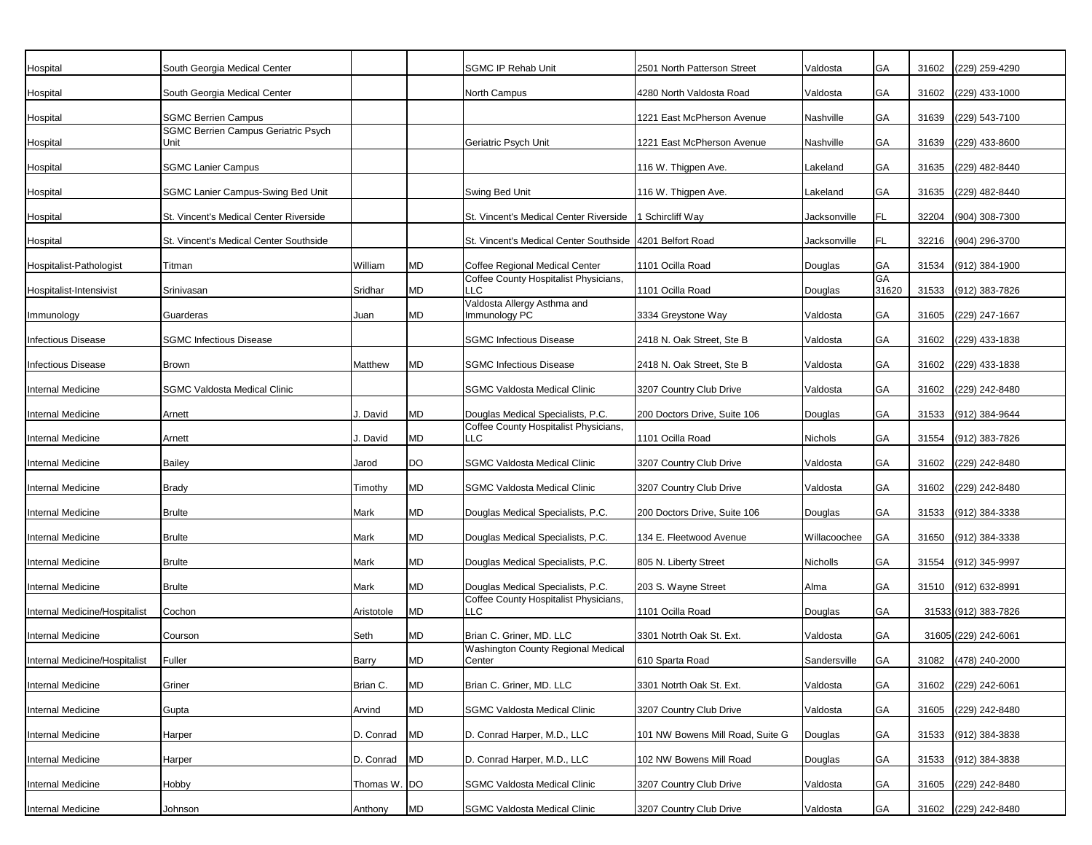| Hospital                      | South Georgia Medical Center                       |              |           | <b>SGMC IP Rehab Unit</b>                     | 2501 North Patterson Street      | Valdosta     | GA                 | 31602 | (229) 259-4290       |
|-------------------------------|----------------------------------------------------|--------------|-----------|-----------------------------------------------|----------------------------------|--------------|--------------------|-------|----------------------|
| Hospital                      | South Georgia Medical Center                       |              |           | North Campus                                  | 4280 North Valdosta Road         | Valdosta     | GA                 | 31602 | (229) 433-1000       |
| Hospital                      | <b>SGMC Berrien Campus</b>                         |              |           |                                               | 1221 East McPherson Avenue       | Nashville    | GA                 | 31639 | (229) 543-7100       |
| Hospital                      | <b>SGMC Berrien Campus Geriatric Psych</b><br>Unit |              |           | Geriatric Psych Unit                          | 1221 East McPherson Avenue       | Nashville    | GA                 | 31639 | (229) 433-8600       |
| Hospital                      | <b>SGMC Lanier Campus</b>                          |              |           |                                               | 116 W. Thigpen Ave.              | Lakeland     | GA                 | 31635 | (229) 482-8440       |
| Hospital                      | SGMC Lanier Campus-Swing Bed Unit                  |              |           | Swing Bed Unit                                | 116 W. Thigpen Ave.              | Lakeland     | GA                 | 31635 | (229) 482-8440       |
| Hospital                      | St. Vincent's Medical Center Riverside             |              |           | St. Vincent's Medical Center Riverside        | Schircliff Way                   | Jacksonville | <b>FL</b>          | 32204 | (904) 308-7300       |
| Hospital                      | St. Vincent's Medical Center Southside             |              |           | St. Vincent's Medical Center Southside        | 4201 Belfort Road                | Jacksonville | FL                 | 32216 | (904) 296-3700       |
| Hospitalist-Pathologist       | Titman                                             | William      | <b>MD</b> | Coffee Regional Medical Center                | 1101 Ocilla Road                 | Douglas      | GA                 | 31534 | (912) 384-1900       |
| Hospitalist-Intensivist       | Srinivasan                                         | Sridhar      | <b>MD</b> | Coffee County Hospitalist Physicians,<br>LLC  | 1101 Ocilla Road                 | Douglas      | <b>GA</b><br>31620 | 31533 | (912) 383-7826       |
| Immunology                    | Guarderas                                          | Juan         | MD        | Valdosta Allergy Asthma and<br>Immunology PC  | 3334 Greystone Way               | Valdosta     | GA                 | 31605 | (229) 247-1667       |
| Infectious Disease            | <b>SGMC Infectious Disease</b>                     |              |           | <b>SGMC Infectious Disease</b>                | 2418 N. Oak Street, Ste B        | Valdosta     | GA                 | 31602 | (229) 433-1838       |
| Infectious Disease            | Brown                                              | Matthew      | MD        | <b>SGMC Infectious Disease</b>                | 2418 N. Oak Street, Ste B        | Valdosta     | GA                 | 31602 | (229) 433-1838       |
| nternal Medicine              | <b>SGMC Valdosta Medical Clinic</b>                |              |           | <b>SGMC Valdosta Medical Clinic</b>           | 3207 Country Club Drive          | Valdosta     | GA                 | 31602 | (229) 242-8480       |
| nternal Medicine              | Arnett                                             | J. David     | <b>MD</b> | Douglas Medical Specialists, P.C.             | 200 Doctors Drive, Suite 106     | Douglas      | GA                 | 31533 | (912) 384-9644       |
| nternal Medicine              | Arnett                                             | . David      | MD        | Coffee County Hospitalist Physicians,<br>LLC. | 1101 Ocilla Road                 | Nichols      | GA                 | 31554 | (912) 383-7826       |
| nternal Medicine              | Bailey                                             | Jarod        | <b>DO</b> | <b>SGMC Valdosta Medical Clinic</b>           | 3207 Country Club Drive          | Valdosta     | GA                 | 31602 | (229) 242-8480       |
| Internal Medicine             | <b>Brady</b>                                       | Timothy      | <b>MD</b> | <b>SGMC Valdosta Medical Clinic</b>           | 3207 Country Club Drive          | Valdosta     | GA                 | 31602 | (229) 242-8480       |
| nternal Medicine              | <b>Brulte</b>                                      | Mark         | <b>MD</b> | Douglas Medical Specialists, P.C.             | 200 Doctors Drive, Suite 106     | Douglas      | GA                 | 31533 | (912) 384-3338       |
| Internal Medicine             | <b>Brulte</b>                                      | Mark         | <b>MD</b> | Douglas Medical Specialists, P.C.             | 134 E. Fleetwood Avenue          | Willacoochee | GA                 | 31650 | (912) 384-3338       |
| Internal Medicine             | <b>Brulte</b>                                      | Mark         | <b>MD</b> | Douglas Medical Specialists, P.C.             | 805 N. Liberty Street            | Nicholls     | GA                 | 31554 | (912) 345-9997       |
| Internal Medicine             | <b>Brulte</b>                                      | Mark         | <b>MD</b> | Douglas Medical Specialists, P.C.             | 203 S. Wayne Street              | Alma         | GA                 | 31510 | (912) 632-8991       |
| Internal Medicine/Hospitalist | Cochon                                             | Aristotole   | <b>MD</b> | Coffee County Hospitalist Physicians,<br>LLC  | 1101 Ocilla Road                 | Douglas      | GA                 |       | 31533 (912) 383-7826 |
| Internal Medicine             | Courson                                            | Seth         | <b>MD</b> | Brian C. Griner, MD. LLC                      | 3301 Notrth Oak St. Ext.         | Valdosta     | GA                 |       | 31605 (229) 242-6061 |
| Internal Medicine/Hospitalist | Fuller                                             | Barry        | <b>MD</b> | Washington County Regional Medical<br>Center  | 610 Sparta Road                  | Sandersville | GA                 |       | 31082 (478) 240-2000 |
| Internal Medicine             | Griner                                             | Brian C.     | <b>MD</b> | Brian C. Griner, MD. LLC                      | 3301 Notrth Oak St. Ext.         | Valdosta     | GA                 | 31602 | (229) 242-6061       |
| Internal Medicine             | Gupta                                              | Arvind       | MD        | <b>SGMC Valdosta Medical Clinic</b>           | 3207 Country Club Drive          | Valdosta     | GA                 | 31605 | (229) 242-8480       |
| Internal Medicine             | Harper                                             | D. Conrad    | <b>MD</b> | D. Conrad Harper, M.D., LLC                   | 101 NW Bowens Mill Road, Suite G | Douglas      | GA                 | 31533 | (912) 384-3838       |
| Internal Medicine             | Harper                                             | D. Conrad    | <b>MD</b> | D. Conrad Harper, M.D., LLC                   | 102 NW Bowens Mill Road          | Douglas      | <b>GA</b>          | 31533 | (912) 384-3838       |
| Internal Medicine             | Hobby                                              | Thomas W. DO |           | <b>SGMC Valdosta Medical Clinic</b>           | 3207 Country Club Drive          | Valdosta     | GA                 | 31605 | (229) 242-8480       |
| Internal Medicine             | Johnson                                            | Anthony      | <b>MD</b> | <b>SGMC Valdosta Medical Clinic</b>           | 3207 Country Club Drive          | Valdosta     | GA                 | 31602 | (229) 242-8480       |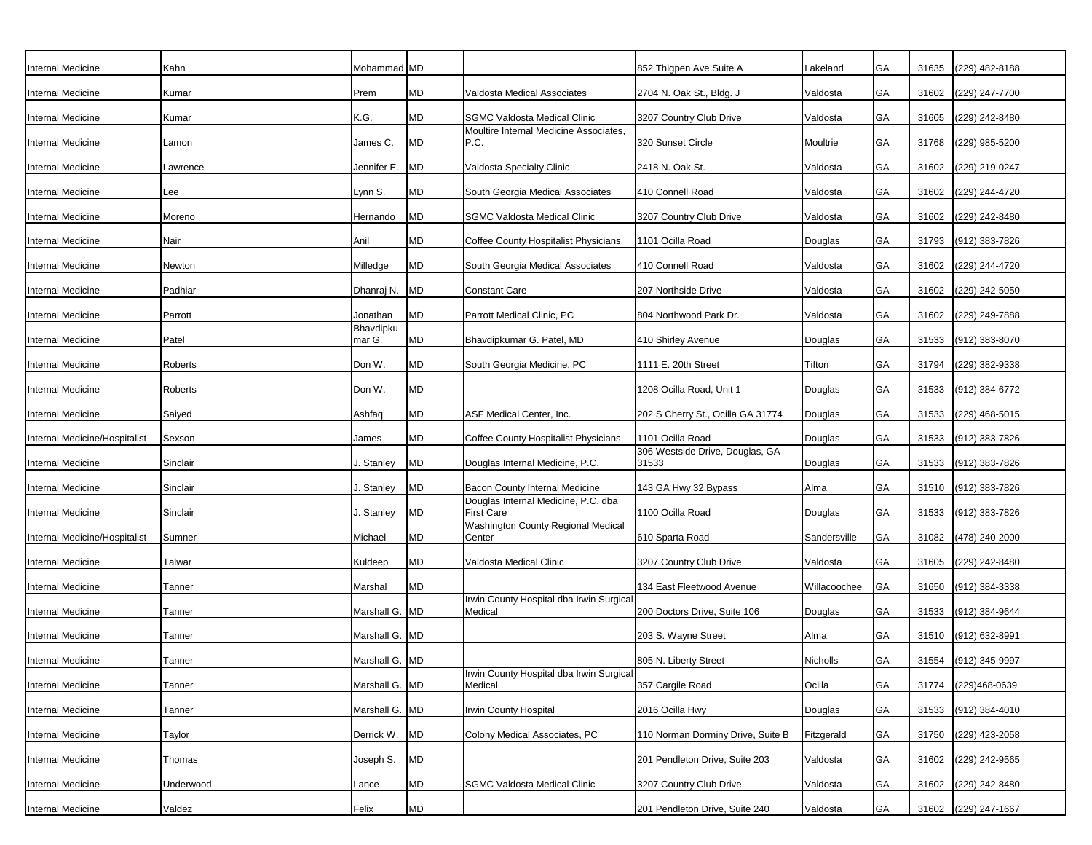| Internal Medicine             | Kahn      | Mohammad MD         |           |                                                          | 852 Thigpen Ave Suite A                  | Lakeland     | GA        | 31635 | (229) 482-8188       |
|-------------------------------|-----------|---------------------|-----------|----------------------------------------------------------|------------------------------------------|--------------|-----------|-------|----------------------|
| Internal Medicine             | Kumar     | Prem                | <b>MD</b> | Valdosta Medical Associates                              | 2704 N. Oak St., Bldg. J                 | Valdosta     | GA        | 31602 | (229) 247-7700       |
| nternal Medicine              | Kumar     | K.G.                | MD        | <b>SGMC Valdosta Medical Clinic</b>                      | 3207 Country Club Drive                  | Valdosta     | GA        | 31605 | (229) 242-8480       |
| Internal Medicine             | Lamon     | James C.            | <b>MD</b> | Moultire Internal Medicine Associates,<br>P.C.           | 320 Sunset Circle                        | Moultrie     | GA        | 31768 | (229) 985-5200       |
| Internal Medicine             | Lawrence  | Jennifer E.         | <b>MD</b> | Valdosta Specialty Clinic                                | 2418 N. Oak St.                          | Valdosta     | <b>GA</b> | 31602 | (229) 219-0247       |
| Internal Medicine             | Lee       | Lynn S.             | <b>MD</b> | South Georgia Medical Associates                         | 410 Connell Road                         | Valdosta     | GA        | 31602 | (229) 244-4720       |
| Internal Medicine             | Moreno    | Hernando            | <b>MD</b> | <b>SGMC Valdosta Medical Clinic</b>                      | 3207 Country Club Drive                  | Valdosta     | GA        | 31602 | (229) 242-8480       |
| nternal Medicine              | Nair      | Anil                | <b>MD</b> | Coffee County Hospitalist Physicians                     | 1101 Ocilla Road                         | Douglas      | <b>GA</b> | 31793 | (912) 383-7826       |
| Internal Medicine             | Newton    | Milledge            | <b>MD</b> | South Georgia Medical Associates                         | 410 Connell Road                         | Valdosta     | GA        | 31602 | (229) 244-4720       |
| Internal Medicine             | Padhiar   | Dhanraj N.          | <b>MD</b> | <b>Constant Care</b>                                     | 207 Northside Drive                      | Valdosta     | <b>GA</b> | 31602 | (229) 242-5050       |
| nternal Medicine              | Parrott   | Jonathan            | <b>MD</b> | Parrott Medical Clinic, PC                               | 804 Northwood Park Dr.                   | Valdosta     | GA        | 31602 | (229) 249-7888       |
| Internal Medicine             | Patel     | Bhavdipku<br>mar G. | <b>MD</b> | Bhavdipkumar G. Patel, MD                                | 410 Shirley Avenue                       | Douglas      | GA        | 31533 | (912) 383-8070       |
| Internal Medicine             | Roberts   | Don W.              | <b>MD</b> | South Georgia Medicine, PC                               | 1111 E. 20th Street                      | Tifton       | GA        | 31794 | (229) 382-9338       |
| Internal Medicine             | Roberts   | Don W.              | <b>MD</b> |                                                          | 1208 Ocilla Road, Unit 1                 | Douglas      | GA        | 31533 | (912) 384-6772       |
| Internal Medicine             | Saiyed    | Ashfaq              | <b>MD</b> | <b>ASF Medical Center, Inc.</b>                          | 202 S Cherry St., Ocilla GA 31774        | Douglas      | GA        | 31533 | (229) 468-5015       |
| Internal Medicine/Hospitalist | Sexson    | James               | <b>MD</b> | Coffee County Hospitalist Physicians                     | 1101 Ocilla Road                         | Douglas      | GA        | 31533 | (912) 383-7826       |
| Internal Medicine             | Sinclair  | I. Stanley          | <b>MD</b> | Douglas Internal Medicine, P.C.                          | 306 Westside Drive, Douglas, GA<br>31533 | Douglas      | GA        | 31533 | (912) 383-7826       |
| nternal Medicine              | Sinclair  | I. Stanley          | <b>MD</b> | Bacon County Internal Medicine                           | 143 GA Hwy 32 Bypass                     | Alma         | GA        | 31510 | (912) 383-7826       |
| nternal Medicine              | Sinclair  | . Stanley           | <b>MD</b> | Douglas Internal Medicine, P.C. dba<br><b>First Care</b> | 1100 Ocilla Road                         | Douglas      | GA        | 31533 | (912) 383-7826       |
| Internal Medicine/Hospitalist | Sumner    | Michael             | <b>MD</b> | Washington County Regional Medical<br>Center             | 610 Sparta Road                          | Sandersville | GA        | 31082 | (478) 240-2000       |
| nternal Medicine              | Talwar    | Kuldeep             | <b>MD</b> | Valdosta Medical Clinic                                  | 3207 Country Club Drive                  | Valdosta     | GA        | 31605 | (229) 242-8480       |
| Internal Medicine             | Tanner    | Marshal             | <b>MD</b> |                                                          | 134 East Fleetwood Avenue                | Willacoochee | GA        | 31650 | (912) 384-3338       |
| Internal Medicine             | Tanner    | Marshall G.         | <b>MD</b> | Irwin County Hospital dba Irwin Surgical<br>Medical      | 200 Doctors Drive, Suite 106             | Douglas      | GА        | 31533 | (912) 384-9644       |
| Internal Medicine             | Tanner    | Marshall G. MD      |           |                                                          | 203 S. Wayne Street                      | Alma         | GA        | 31510 | (912) 632-8991       |
| Internal Medicine             | Tanner    | Marshall G. MD      |           |                                                          | 805 N. Liberty Street                    | Nicholls     | GA        |       | 31554 (912) 345-9997 |
| Internal Medicine             | Tanner    | Marshall G. MD      |           | Irwin County Hospital dba Irwin Surgical<br>Medical      | 357 Cargile Road                         | Ocilla       | GA        | 31774 | (229)468-0639        |
| Internal Medicine             | Tanner    | Marshall G. MD      |           | Irwin County Hospital                                    | 2016 Ocilla Hwy                          | Douglas      | GA        | 31533 | (912) 384-4010       |
| Internal Medicine             | Taylor    | Derrick W.          | <b>MD</b> | Colony Medical Associates, PC                            | 110 Norman Dorminy Drive, Suite B        | Fitzgerald   | <b>GA</b> | 31750 | (229) 423-2058       |
| Internal Medicine             | Thomas    | Joseph S.           | <b>MD</b> |                                                          | 201 Pendleton Drive, Suite 203           | Valdosta     | GA        | 31602 | (229) 242-9565       |
| Internal Medicine             | Underwood | Lance               | <b>MD</b> | <b>SGMC Valdosta Medical Clinic</b>                      | 3207 Country Club Drive                  | Valdosta     | GA        | 31602 | (229) 242-8480       |
| Internal Medicine             | Valdez    | Felix               | MD        |                                                          | 201 Pendleton Drive, Suite 240           | Valdosta     | <b>GA</b> |       | 31602 (229) 247-1667 |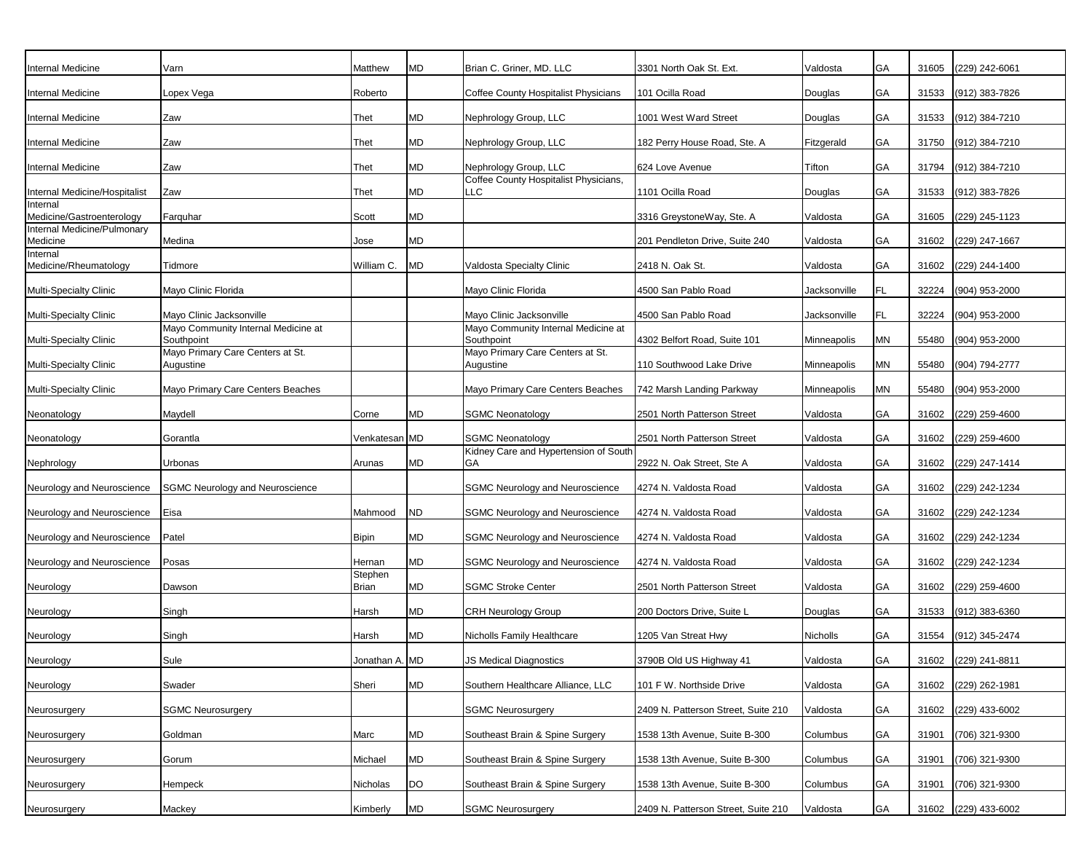| Internal Medicine                       | Varn                                              | Matthew          | MD         | Brian C. Griner, MD. LLC                          | 3301 North Oak St. Ext.             | Valdosta     | GA        | 31605 | (229) 242-6061       |
|-----------------------------------------|---------------------------------------------------|------------------|------------|---------------------------------------------------|-------------------------------------|--------------|-----------|-------|----------------------|
| Internal Medicine                       | Lopex Vega                                        | Roberto          |            | Coffee County Hospitalist Physicians              | 101 Ocilla Road                     | Douglas      | GA        | 31533 | (912) 383-7826       |
| Internal Medicine                       | Zaw                                               | Thet             | MD         | Nephrology Group, LLC                             | 1001 West Ward Street               | Douglas      | GA        | 31533 | (912) 384-7210       |
| Internal Medicine                       | Zaw                                               | Thet             | MD         | Nephrology Group, LLC                             | 182 Perry House Road, Ste. A        | Fitzgerald   | GA        | 31750 | (912) 384-7210       |
| Internal Medicine                       | Zaw                                               | Thet             | MD         | Nephrology Group, LLC                             | 624 Love Avenue                     | Tifton       | GA        | 31794 | (912) 384-7210       |
| Internal Medicine/Hospitalist           | Zaw                                               | Thet             | MD         | Coffee County Hospitalist Physicians,<br>LLC.     | 1101 Ocilla Road                    | Douglas      | GA        |       | 31533 (912) 383-7826 |
| Internal<br>Medicine/Gastroenterology   | Farquhar                                          | Scott            | MD         |                                                   | 3316 GreystoneWay, Ste. A           | Valdosta     | GA        | 31605 | (229) 245-1123       |
| Internal Medicine/Pulmonary<br>Medicine | Medina                                            | Jose             | MD         |                                                   | 201 Pendleton Drive, Suite 240      | Valdosta     | GA        | 31602 | (229) 247-1667       |
| Internal<br>Medicine/Rheumatology       | Tidmore                                           | William C.       | MD         | Valdosta Specialty Clinic                         | 2418 N. Oak St.                     | Valdosta     | GA        | 31602 | (229) 244-1400       |
| Multi-Specialty Clinic                  | Mayo Clinic Florida                               |                  |            | Mayo Clinic Florida                               | 4500 San Pablo Road                 | Jacksonville | FL        | 32224 | (904) 953-2000       |
| Multi-Specialty Clinic                  | Mayo Clinic Jacksonville                          |                  |            | Mayo Clinic Jacksonville                          | 4500 San Pablo Road                 | Jacksonville | FL        | 32224 | (904) 953-2000       |
| <b>Multi-Specialty Clinic</b>           | Mayo Community Internal Medicine at<br>Southpoint |                  |            | Mayo Community Internal Medicine at<br>Southpoint | 4302 Belfort Road, Suite 101        | Minneapolis  | <b>MN</b> | 55480 | (904) 953-2000       |
| Multi-Specialty Clinic                  | Mayo Primary Care Centers at St.<br>Augustine     |                  |            | Mayo Primary Care Centers at St.<br>Augustine     | 110 Southwood Lake Drive            | Minneapolis  | MN        | 55480 | (904) 794-2777       |
| Multi-Specialty Clinic                  | Mayo Primary Care Centers Beaches                 |                  |            | Mayo Primary Care Centers Beaches                 | 742 Marsh Landing Parkway           | Minneapolis  | <b>MN</b> | 55480 | (904) 953-2000       |
| Neonatology                             | Maydell                                           | Corne            | MD         | <b>SGMC Neonatology</b>                           | 2501 North Patterson Street         | Valdosta     | GA        | 31602 | (229) 259-4600       |
| Neonatology                             | Gorantla                                          | Venkatesan MD    |            | <b>SGMC Neonatology</b>                           | 2501 North Patterson Street         | Valdosta     | GA        | 31602 | (229) 259-4600       |
| Nephrology                              | Urbonas                                           | Arunas           | MD         | Kidney Care and Hypertension of South<br>GА       | 2922 N. Oak Street, Ste A           | Valdosta     | GA        | 31602 | (229) 247-1414       |
| Neurology and Neuroscience              | <b>SGMC Neurology and Neuroscience</b>            |                  |            | <b>SGMC Neurology and Neuroscience</b>            | 4274 N. Valdosta Road               | Valdosta     | GA        | 31602 | (229) 242-1234       |
| Neurology and Neuroscience              | Eisa                                              | Mahmood          | <b>ND</b>  | <b>SGMC Neurology and Neuroscience</b>            | 4274 N. Valdosta Road               | Valdosta     | GA        | 31602 | (229) 242-1234       |
| Neurology and Neuroscience              | Patel                                             | <b>Bipin</b>     | MD         | <b>SGMC Neurology and Neuroscience</b>            | 4274 N. Valdosta Road               | Valdosta     | GA        | 31602 | (229) 242-1234       |
| Neurology and Neuroscience              | Posas                                             | Hernan           | MD         | <b>SGMC Neurology and Neuroscience</b>            | 4274 N. Valdosta Road               | Valdosta     | GA        | 31602 | (229) 242-1234       |
| Neurology                               | Dawson                                            | Stephen<br>Brian | MD         | <b>SGMC Stroke Center</b>                         | 2501 North Patterson Street         | Valdosta     | GA        |       | 31602 (229) 259-4600 |
| Neurology                               | Singh                                             | Harsh            | MD         | <b>CRH Neurology Group</b>                        | 200 Doctors Drive, Suite L          | Douglas      | GA        | 31533 | (912) 383-6360       |
| Neurology                               | Singh                                             | Harsh            | MD         | Nicholls Family Healthcare                        | 1205 Van Streat Hwy                 | Nicholls     | GA        | 31554 | (912) 345-2474       |
| Neurology                               | Sule                                              | Jonathan A. MD   |            | JS Medical Diagnostics                            | 3790B Old US Highway 41             | Valdosta     | GA        |       | 31602 (229) 241-8811 |
| Neurology                               | Swader                                            | Sheri            | <b>MD</b>  | Southern Healthcare Alliance, LLC                 | 101 F W. Northside Drive            | Valdosta     | GA        |       | 31602 (229) 262-1981 |
| Neurosurgery                            | <b>SGMC Neurosurgery</b>                          |                  |            | <b>SGMC Neurosurgery</b>                          | 2409 N. Patterson Street, Suite 210 | Valdosta     | <b>GA</b> | 31602 | (229) 433-6002       |
| Neurosurgery                            | Goldman                                           | Marc             | ${\sf MD}$ | Southeast Brain & Spine Surgery                   | 1538 13th Avenue, Suite B-300       | Columbus     | GA        | 31901 | (706) 321-9300       |
| Neurosurgery                            | Gorum                                             | Michael          | MD         | Southeast Brain & Spine Surgery                   | 1538 13th Avenue, Suite B-300       | Columbus     | GA        | 31901 | (706) 321-9300       |
| Neurosurgery                            | Hempeck                                           | Nicholas         | DO         | Southeast Brain & Spine Surgery                   | 1538 13th Avenue, Suite B-300       | Columbus     | <b>GA</b> | 31901 | (706) 321-9300       |
| Neurosurgery                            | Mackey                                            | Kimberly         | MD         | <b>SGMC Neurosurgery</b>                          | 2409 N. Patterson Street, Suite 210 | Valdosta     | GA        |       | 31602 (229) 433-6002 |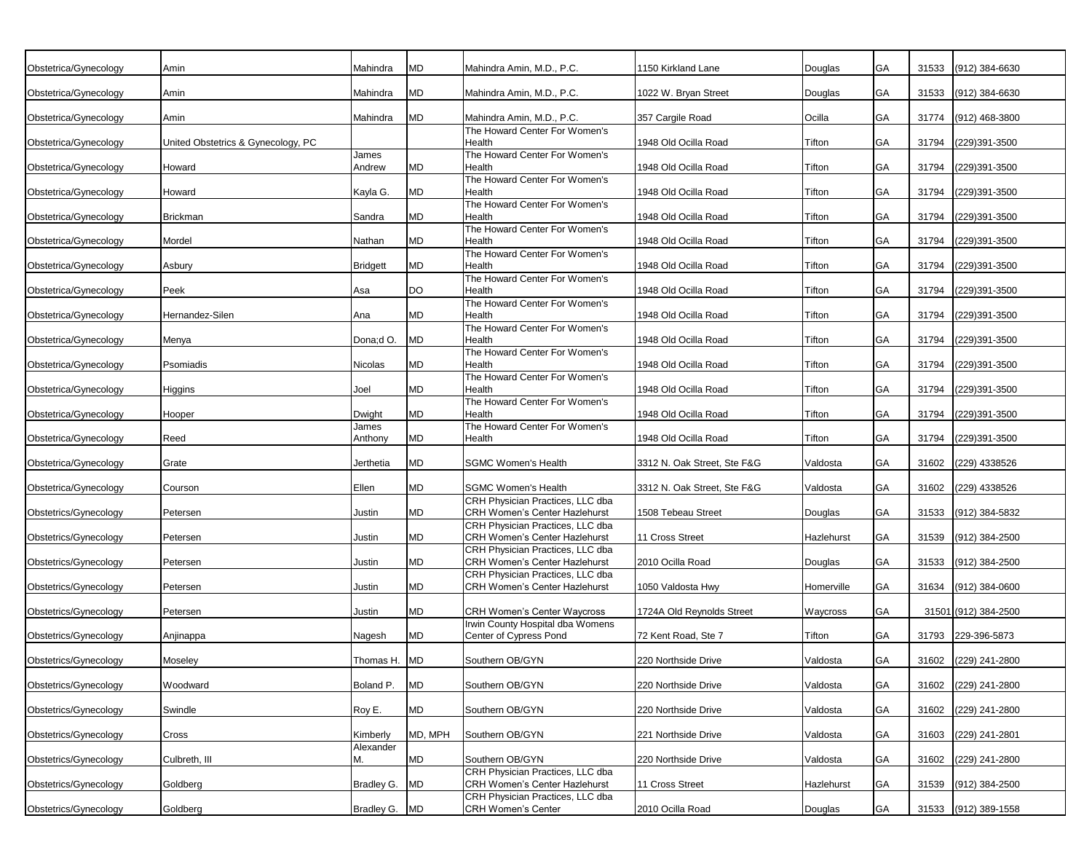| Obstetrica/Gynecology<br>MD<br>Mahindra Amin, M.D., P.C.<br>1150 Kirkland Lane<br>GA<br>31533<br>(912) 384-6630<br>Amin<br>Mahindra<br>Douglas<br>${\sf MD}$<br>Obstetrica/Gynecology<br>1022 W. Bryan Street<br>GA<br>31533<br>(912) 384-6630<br>Amin<br>Mahindra<br>Mahindra Amin, M.D., P.C.<br>Douglas<br>MD<br>Ocilla<br>GA<br>Obstetrica/Gynecology<br>357 Cargile Road<br>31774<br>(912) 468-3800<br>Amin<br>Mahindra<br>Mahindra Amin, M.D., P.C.<br>The Howard Center For Women's<br>GA<br>Obstetrica/Gynecology<br>United Obstetrics & Gynecology, PC<br>Health<br>1948 Old Ocilla Road<br>Tifton<br>31794<br>(229)391-3500<br>The Howard Center For Women's<br>James<br>MD<br>GA<br>31794<br>(229)391-3500<br>Obstetrica/Gynecology<br>Howard<br>Andrew<br>Health<br>1948 Old Ocilla Road<br>Tifton<br>The Howard Center For Women's<br>MD<br>GA<br>Obstetrica/Gynecology<br>Howard<br>Kayla G.<br>Health<br>1948 Old Ocilla Road<br>Tifton<br>31794<br>(229)391-3500<br>The Howard Center For Women's<br>MD<br>GA<br>Obstetrica/Gynecology<br><b>Brickman</b><br>Sandra<br>Health<br>1948 Old Ocilla Road<br>Tifton<br>31794<br>(229)391-3500<br>The Howard Center For Women's<br>MD<br>GA<br>Obstetrica/Gynecology<br>Mordel<br>Nathan<br>Health<br>1948 Old Ocilla Road<br>Tifton<br>31794<br>(229)391-3500<br>The Howard Center For Women's<br>MD<br>GA<br>Obstetrica/Gynecology<br>Asbury<br>Health<br>1948 Old Ocilla Road<br>Tifton<br>31794<br>(229)391-3500<br><b>Bridgett</b><br>The Howard Center For Women's<br><b>DO</b><br>Obstetrica/Gynecology<br>Peek<br>Health<br>1948 Old Ocilla Road<br>Tifton<br>GA<br>31794<br>(229)391-3500<br>Asa<br>The Howard Center For Women's<br>MD<br>Obstetrica/Gynecology<br>Hernandez-Silen<br>Health<br>1948 Old Ocilla Road<br>Tifton<br>GA<br>31794<br>(229)391-3500<br>Ana<br>The Howard Center For Women's<br><b>MD</b><br>Obstetrica/Gynecology<br>Dona;d O.<br>Health<br>1948 Old Ocilla Road<br>Tifton<br>GA<br>31794<br>(229)391-3500<br>Menya<br>The Howard Center For Women's<br>MD<br>GA<br>Obstetrica/Gynecology<br>Psomiadis<br>Health<br>1948 Old Ocilla Road<br>31794<br>(229)391-3500<br>Nicolas<br>Tifton<br>The Howard Center For Women's<br>MD<br>Health<br>1948 Old Ocilla Road<br>GA<br>31794<br>(229)391-3500<br>Obstetrica/Gynecology<br>Higgins<br>Joel<br>Tifton<br>The Howard Center For Women's<br>MD<br>Health<br>1948 Old Ocilla Road<br>GA<br>31794<br>(229)391-3500<br>Obstetrica/Gynecology<br>Hooper<br>Dwight<br>Tifton<br>The Howard Center For Women's<br>James<br>MD<br>GA<br>Health<br>1948 Old Ocilla Road<br>31794<br>(229)391-3500<br>Obstetrica/Gynecology<br>Reed<br>Anthony<br>Tifton<br>MD<br><b>SGMC Women's Health</b><br>31602<br>Obstetrica/Gynecology<br>Grate<br>3312 N. Oak Street, Ste F&G<br>GA<br>(229) 4338526<br>Jerthetia<br>Valdosta<br>MD<br><b>SGMC Women's Health</b><br>Ellen<br>3312 N. Oak Street, Ste F&G<br>GA<br>31602<br>(229) 4338526<br>Obstetrica/Gynecology<br>Courson<br>Valdosta<br>CRH Physician Practices, LLC dba<br>MD<br>CRH Women's Center Hazlehurst<br>31533<br>1508 Tebeau Street<br>GA<br>(912) 384-5832<br>Obstetrics/Gynecology<br>Petersen<br>Justin<br>Douglas<br>CRH Physician Practices, LLC dba<br>MD<br>CRH Women's Center Hazlehurst<br>11 Cross Street<br>Hazlehurst<br>GA<br>31539<br>(912) 384-2500<br>Obstetrics/Gynecology<br>Petersen<br>Justin<br>CRH Physician Practices, LLC dba<br>MD<br>CRH Women's Center Hazlehurst<br>Obstetrics/Gynecology<br>2010 Ocilla Road<br>GA<br>31533<br>(912) 384-2500<br>Petersen<br>Justin<br>Douglas<br>CRH Physician Practices, LLC dba<br>MD<br>CRH Women's Center Hazlehurst<br>Homerville<br>GA<br>31634<br>$(912)$ 384-0600<br>Obstetrics/Gynecology<br>Petersen<br>Justin<br>1050 Valdosta Hwy<br>MD<br><b>CRH Women's Center Waycross</b><br>1724A Old Reynolds Street<br>GA<br>31501 (912) 384-2500<br>Obstetrics/Gynecology<br>Petersen<br>Justin<br>Waycross<br>Irwin County Hospital dba Womens<br>MD<br>Center of Cypress Pond<br>72 Kent Road, Ste 7<br>31793<br>229-396-5873<br>Obstetrics/Gynecology<br>Anjinappa<br>Nagesh<br>Tifton<br>GA<br>Thomas H. MD<br>Southern OB/GYN<br>220 Northside Drive<br>GA<br>31602 (229) 241-2800<br>Obstetrics/Gynecology<br>Moseley<br>Valdosta<br><b>MD</b><br>Boland P.<br>Southern OB/GYN<br>220 Northside Drive<br>Valdosta<br>GA<br>31602 (229) 241-2800<br>Obstetrics/Gynecology<br>Woodward<br>${\sf MD}$<br>Swindle<br>Roy E.<br>Southern OB/GYN<br>220 Northside Drive<br>Obstetrics/Gynecology<br>Valdosta<br>GA<br>31602<br>(229) 241-2800<br>MD, MPH<br>Southern OB/GYN<br>221 Northside Drive<br>Obstetrics/Gynecology<br>Kimberly<br>Valdosta<br>GA<br>31603<br>(229) 241-2801<br>Cross<br>Alexander<br>MD<br>Culbreth, III<br>М.<br>Southern OB/GYN<br>220 Northside Drive<br>GA<br>31602 (229) 241-2800<br>Obstetrics/Gynecology<br>Valdosta<br>CRH Physician Practices, LLC dba<br>11 Cross Street<br>Bradley G.<br><b>MD</b><br><b>CRH Women's Center Hazlehurst</b><br>Hazlehurst<br>GA<br>(912) 384-2500<br>Obstetrics/Gynecology<br>Goldberg<br>31539<br>CRH Physician Practices, LLC dba<br>Obstetrics/Gynecology<br>Goldberg<br>Bradley G. MD<br><b>CRH Women's Center</b><br>2010 Ocilla Road<br>GA<br>31533 (912) 389-1558<br>Douglas |  |  |  |  |  |
|-------------------------------------------------------------------------------------------------------------------------------------------------------------------------------------------------------------------------------------------------------------------------------------------------------------------------------------------------------------------------------------------------------------------------------------------------------------------------------------------------------------------------------------------------------------------------------------------------------------------------------------------------------------------------------------------------------------------------------------------------------------------------------------------------------------------------------------------------------------------------------------------------------------------------------------------------------------------------------------------------------------------------------------------------------------------------------------------------------------------------------------------------------------------------------------------------------------------------------------------------------------------------------------------------------------------------------------------------------------------------------------------------------------------------------------------------------------------------------------------------------------------------------------------------------------------------------------------------------------------------------------------------------------------------------------------------------------------------------------------------------------------------------------------------------------------------------------------------------------------------------------------------------------------------------------------------------------------------------------------------------------------------------------------------------------------------------------------------------------------------------------------------------------------------------------------------------------------------------------------------------------------------------------------------------------------------------------------------------------------------------------------------------------------------------------------------------------------------------------------------------------------------------------------------------------------------------------------------------------------------------------------------------------------------------------------------------------------------------------------------------------------------------------------------------------------------------------------------------------------------------------------------------------------------------------------------------------------------------------------------------------------------------------------------------------------------------------------------------------------------------------------------------------------------------------------------------------------------------------------------------------------------------------------------------------------------------------------------------------------------------------------------------------------------------------------------------------------------------------------------------------------------------------------------------------------------------------------------------------------------------------------------------------------------------------------------------------------------------------------------------------------------------------------------------------------------------------------------------------------------------------------------------------------------------------------------------------------------------------------------------------------------------------------------------------------------------------------------------------------------------------------------------------------------------------------------------------------------------------------------------------------------------------------------------------------------------------------------------------------------------------------------------------------------------------------------------------------------------------------------------------------------------------------------------------------------------------------------------------------------------------------------------------------------------------------------------------------------------------------------------------------------------------------------------------------------------------------------------------------------------------------------------------------------------------------------------------------------------------------------------------------------------------------------------------------------------------------------------------------------------------------------------------------------------------------------------------------------------------------------------------------------------------------------------------------------|--|--|--|--|--|
|                                                                                                                                                                                                                                                                                                                                                                                                                                                                                                                                                                                                                                                                                                                                                                                                                                                                                                                                                                                                                                                                                                                                                                                                                                                                                                                                                                                                                                                                                                                                                                                                                                                                                                                                                                                                                                                                                                                                                                                                                                                                                                                                                                                                                                                                                                                                                                                                                                                                                                                                                                                                                                                                                                                                                                                                                                                                                                                                                                                                                                                                                                                                                                                                                                                                                                                                                                                                                                                                                                                                                                                                                                                                                                                                                                                                                                                                                                                                                                                                                                                                                                                                                                                                                                                                                                                                                                                                                                                                                                                                                                                                                                                                                                                                                                                                                                                                                                                                                                                                                                                                                                                                                                                                                                                                                                                         |  |  |  |  |  |
|                                                                                                                                                                                                                                                                                                                                                                                                                                                                                                                                                                                                                                                                                                                                                                                                                                                                                                                                                                                                                                                                                                                                                                                                                                                                                                                                                                                                                                                                                                                                                                                                                                                                                                                                                                                                                                                                                                                                                                                                                                                                                                                                                                                                                                                                                                                                                                                                                                                                                                                                                                                                                                                                                                                                                                                                                                                                                                                                                                                                                                                                                                                                                                                                                                                                                                                                                                                                                                                                                                                                                                                                                                                                                                                                                                                                                                                                                                                                                                                                                                                                                                                                                                                                                                                                                                                                                                                                                                                                                                                                                                                                                                                                                                                                                                                                                                                                                                                                                                                                                                                                                                                                                                                                                                                                                                                         |  |  |  |  |  |
|                                                                                                                                                                                                                                                                                                                                                                                                                                                                                                                                                                                                                                                                                                                                                                                                                                                                                                                                                                                                                                                                                                                                                                                                                                                                                                                                                                                                                                                                                                                                                                                                                                                                                                                                                                                                                                                                                                                                                                                                                                                                                                                                                                                                                                                                                                                                                                                                                                                                                                                                                                                                                                                                                                                                                                                                                                                                                                                                                                                                                                                                                                                                                                                                                                                                                                                                                                                                                                                                                                                                                                                                                                                                                                                                                                                                                                                                                                                                                                                                                                                                                                                                                                                                                                                                                                                                                                                                                                                                                                                                                                                                                                                                                                                                                                                                                                                                                                                                                                                                                                                                                                                                                                                                                                                                                                                         |  |  |  |  |  |
|                                                                                                                                                                                                                                                                                                                                                                                                                                                                                                                                                                                                                                                                                                                                                                                                                                                                                                                                                                                                                                                                                                                                                                                                                                                                                                                                                                                                                                                                                                                                                                                                                                                                                                                                                                                                                                                                                                                                                                                                                                                                                                                                                                                                                                                                                                                                                                                                                                                                                                                                                                                                                                                                                                                                                                                                                                                                                                                                                                                                                                                                                                                                                                                                                                                                                                                                                                                                                                                                                                                                                                                                                                                                                                                                                                                                                                                                                                                                                                                                                                                                                                                                                                                                                                                                                                                                                                                                                                                                                                                                                                                                                                                                                                                                                                                                                                                                                                                                                                                                                                                                                                                                                                                                                                                                                                                         |  |  |  |  |  |
|                                                                                                                                                                                                                                                                                                                                                                                                                                                                                                                                                                                                                                                                                                                                                                                                                                                                                                                                                                                                                                                                                                                                                                                                                                                                                                                                                                                                                                                                                                                                                                                                                                                                                                                                                                                                                                                                                                                                                                                                                                                                                                                                                                                                                                                                                                                                                                                                                                                                                                                                                                                                                                                                                                                                                                                                                                                                                                                                                                                                                                                                                                                                                                                                                                                                                                                                                                                                                                                                                                                                                                                                                                                                                                                                                                                                                                                                                                                                                                                                                                                                                                                                                                                                                                                                                                                                                                                                                                                                                                                                                                                                                                                                                                                                                                                                                                                                                                                                                                                                                                                                                                                                                                                                                                                                                                                         |  |  |  |  |  |
|                                                                                                                                                                                                                                                                                                                                                                                                                                                                                                                                                                                                                                                                                                                                                                                                                                                                                                                                                                                                                                                                                                                                                                                                                                                                                                                                                                                                                                                                                                                                                                                                                                                                                                                                                                                                                                                                                                                                                                                                                                                                                                                                                                                                                                                                                                                                                                                                                                                                                                                                                                                                                                                                                                                                                                                                                                                                                                                                                                                                                                                                                                                                                                                                                                                                                                                                                                                                                                                                                                                                                                                                                                                                                                                                                                                                                                                                                                                                                                                                                                                                                                                                                                                                                                                                                                                                                                                                                                                                                                                                                                                                                                                                                                                                                                                                                                                                                                                                                                                                                                                                                                                                                                                                                                                                                                                         |  |  |  |  |  |
|                                                                                                                                                                                                                                                                                                                                                                                                                                                                                                                                                                                                                                                                                                                                                                                                                                                                                                                                                                                                                                                                                                                                                                                                                                                                                                                                                                                                                                                                                                                                                                                                                                                                                                                                                                                                                                                                                                                                                                                                                                                                                                                                                                                                                                                                                                                                                                                                                                                                                                                                                                                                                                                                                                                                                                                                                                                                                                                                                                                                                                                                                                                                                                                                                                                                                                                                                                                                                                                                                                                                                                                                                                                                                                                                                                                                                                                                                                                                                                                                                                                                                                                                                                                                                                                                                                                                                                                                                                                                                                                                                                                                                                                                                                                                                                                                                                                                                                                                                                                                                                                                                                                                                                                                                                                                                                                         |  |  |  |  |  |
|                                                                                                                                                                                                                                                                                                                                                                                                                                                                                                                                                                                                                                                                                                                                                                                                                                                                                                                                                                                                                                                                                                                                                                                                                                                                                                                                                                                                                                                                                                                                                                                                                                                                                                                                                                                                                                                                                                                                                                                                                                                                                                                                                                                                                                                                                                                                                                                                                                                                                                                                                                                                                                                                                                                                                                                                                                                                                                                                                                                                                                                                                                                                                                                                                                                                                                                                                                                                                                                                                                                                                                                                                                                                                                                                                                                                                                                                                                                                                                                                                                                                                                                                                                                                                                                                                                                                                                                                                                                                                                                                                                                                                                                                                                                                                                                                                                                                                                                                                                                                                                                                                                                                                                                                                                                                                                                         |  |  |  |  |  |
|                                                                                                                                                                                                                                                                                                                                                                                                                                                                                                                                                                                                                                                                                                                                                                                                                                                                                                                                                                                                                                                                                                                                                                                                                                                                                                                                                                                                                                                                                                                                                                                                                                                                                                                                                                                                                                                                                                                                                                                                                                                                                                                                                                                                                                                                                                                                                                                                                                                                                                                                                                                                                                                                                                                                                                                                                                                                                                                                                                                                                                                                                                                                                                                                                                                                                                                                                                                                                                                                                                                                                                                                                                                                                                                                                                                                                                                                                                                                                                                                                                                                                                                                                                                                                                                                                                                                                                                                                                                                                                                                                                                                                                                                                                                                                                                                                                                                                                                                                                                                                                                                                                                                                                                                                                                                                                                         |  |  |  |  |  |
|                                                                                                                                                                                                                                                                                                                                                                                                                                                                                                                                                                                                                                                                                                                                                                                                                                                                                                                                                                                                                                                                                                                                                                                                                                                                                                                                                                                                                                                                                                                                                                                                                                                                                                                                                                                                                                                                                                                                                                                                                                                                                                                                                                                                                                                                                                                                                                                                                                                                                                                                                                                                                                                                                                                                                                                                                                                                                                                                                                                                                                                                                                                                                                                                                                                                                                                                                                                                                                                                                                                                                                                                                                                                                                                                                                                                                                                                                                                                                                                                                                                                                                                                                                                                                                                                                                                                                                                                                                                                                                                                                                                                                                                                                                                                                                                                                                                                                                                                                                                                                                                                                                                                                                                                                                                                                                                         |  |  |  |  |  |
|                                                                                                                                                                                                                                                                                                                                                                                                                                                                                                                                                                                                                                                                                                                                                                                                                                                                                                                                                                                                                                                                                                                                                                                                                                                                                                                                                                                                                                                                                                                                                                                                                                                                                                                                                                                                                                                                                                                                                                                                                                                                                                                                                                                                                                                                                                                                                                                                                                                                                                                                                                                                                                                                                                                                                                                                                                                                                                                                                                                                                                                                                                                                                                                                                                                                                                                                                                                                                                                                                                                                                                                                                                                                                                                                                                                                                                                                                                                                                                                                                                                                                                                                                                                                                                                                                                                                                                                                                                                                                                                                                                                                                                                                                                                                                                                                                                                                                                                                                                                                                                                                                                                                                                                                                                                                                                                         |  |  |  |  |  |
|                                                                                                                                                                                                                                                                                                                                                                                                                                                                                                                                                                                                                                                                                                                                                                                                                                                                                                                                                                                                                                                                                                                                                                                                                                                                                                                                                                                                                                                                                                                                                                                                                                                                                                                                                                                                                                                                                                                                                                                                                                                                                                                                                                                                                                                                                                                                                                                                                                                                                                                                                                                                                                                                                                                                                                                                                                                                                                                                                                                                                                                                                                                                                                                                                                                                                                                                                                                                                                                                                                                                                                                                                                                                                                                                                                                                                                                                                                                                                                                                                                                                                                                                                                                                                                                                                                                                                                                                                                                                                                                                                                                                                                                                                                                                                                                                                                                                                                                                                                                                                                                                                                                                                                                                                                                                                                                         |  |  |  |  |  |
|                                                                                                                                                                                                                                                                                                                                                                                                                                                                                                                                                                                                                                                                                                                                                                                                                                                                                                                                                                                                                                                                                                                                                                                                                                                                                                                                                                                                                                                                                                                                                                                                                                                                                                                                                                                                                                                                                                                                                                                                                                                                                                                                                                                                                                                                                                                                                                                                                                                                                                                                                                                                                                                                                                                                                                                                                                                                                                                                                                                                                                                                                                                                                                                                                                                                                                                                                                                                                                                                                                                                                                                                                                                                                                                                                                                                                                                                                                                                                                                                                                                                                                                                                                                                                                                                                                                                                                                                                                                                                                                                                                                                                                                                                                                                                                                                                                                                                                                                                                                                                                                                                                                                                                                                                                                                                                                         |  |  |  |  |  |
|                                                                                                                                                                                                                                                                                                                                                                                                                                                                                                                                                                                                                                                                                                                                                                                                                                                                                                                                                                                                                                                                                                                                                                                                                                                                                                                                                                                                                                                                                                                                                                                                                                                                                                                                                                                                                                                                                                                                                                                                                                                                                                                                                                                                                                                                                                                                                                                                                                                                                                                                                                                                                                                                                                                                                                                                                                                                                                                                                                                                                                                                                                                                                                                                                                                                                                                                                                                                                                                                                                                                                                                                                                                                                                                                                                                                                                                                                                                                                                                                                                                                                                                                                                                                                                                                                                                                                                                                                                                                                                                                                                                                                                                                                                                                                                                                                                                                                                                                                                                                                                                                                                                                                                                                                                                                                                                         |  |  |  |  |  |
|                                                                                                                                                                                                                                                                                                                                                                                                                                                                                                                                                                                                                                                                                                                                                                                                                                                                                                                                                                                                                                                                                                                                                                                                                                                                                                                                                                                                                                                                                                                                                                                                                                                                                                                                                                                                                                                                                                                                                                                                                                                                                                                                                                                                                                                                                                                                                                                                                                                                                                                                                                                                                                                                                                                                                                                                                                                                                                                                                                                                                                                                                                                                                                                                                                                                                                                                                                                                                                                                                                                                                                                                                                                                                                                                                                                                                                                                                                                                                                                                                                                                                                                                                                                                                                                                                                                                                                                                                                                                                                                                                                                                                                                                                                                                                                                                                                                                                                                                                                                                                                                                                                                                                                                                                                                                                                                         |  |  |  |  |  |
|                                                                                                                                                                                                                                                                                                                                                                                                                                                                                                                                                                                                                                                                                                                                                                                                                                                                                                                                                                                                                                                                                                                                                                                                                                                                                                                                                                                                                                                                                                                                                                                                                                                                                                                                                                                                                                                                                                                                                                                                                                                                                                                                                                                                                                                                                                                                                                                                                                                                                                                                                                                                                                                                                                                                                                                                                                                                                                                                                                                                                                                                                                                                                                                                                                                                                                                                                                                                                                                                                                                                                                                                                                                                                                                                                                                                                                                                                                                                                                                                                                                                                                                                                                                                                                                                                                                                                                                                                                                                                                                                                                                                                                                                                                                                                                                                                                                                                                                                                                                                                                                                                                                                                                                                                                                                                                                         |  |  |  |  |  |
|                                                                                                                                                                                                                                                                                                                                                                                                                                                                                                                                                                                                                                                                                                                                                                                                                                                                                                                                                                                                                                                                                                                                                                                                                                                                                                                                                                                                                                                                                                                                                                                                                                                                                                                                                                                                                                                                                                                                                                                                                                                                                                                                                                                                                                                                                                                                                                                                                                                                                                                                                                                                                                                                                                                                                                                                                                                                                                                                                                                                                                                                                                                                                                                                                                                                                                                                                                                                                                                                                                                                                                                                                                                                                                                                                                                                                                                                                                                                                                                                                                                                                                                                                                                                                                                                                                                                                                                                                                                                                                                                                                                                                                                                                                                                                                                                                                                                                                                                                                                                                                                                                                                                                                                                                                                                                                                         |  |  |  |  |  |
|                                                                                                                                                                                                                                                                                                                                                                                                                                                                                                                                                                                                                                                                                                                                                                                                                                                                                                                                                                                                                                                                                                                                                                                                                                                                                                                                                                                                                                                                                                                                                                                                                                                                                                                                                                                                                                                                                                                                                                                                                                                                                                                                                                                                                                                                                                                                                                                                                                                                                                                                                                                                                                                                                                                                                                                                                                                                                                                                                                                                                                                                                                                                                                                                                                                                                                                                                                                                                                                                                                                                                                                                                                                                                                                                                                                                                                                                                                                                                                                                                                                                                                                                                                                                                                                                                                                                                                                                                                                                                                                                                                                                                                                                                                                                                                                                                                                                                                                                                                                                                                                                                                                                                                                                                                                                                                                         |  |  |  |  |  |
|                                                                                                                                                                                                                                                                                                                                                                                                                                                                                                                                                                                                                                                                                                                                                                                                                                                                                                                                                                                                                                                                                                                                                                                                                                                                                                                                                                                                                                                                                                                                                                                                                                                                                                                                                                                                                                                                                                                                                                                                                                                                                                                                                                                                                                                                                                                                                                                                                                                                                                                                                                                                                                                                                                                                                                                                                                                                                                                                                                                                                                                                                                                                                                                                                                                                                                                                                                                                                                                                                                                                                                                                                                                                                                                                                                                                                                                                                                                                                                                                                                                                                                                                                                                                                                                                                                                                                                                                                                                                                                                                                                                                                                                                                                                                                                                                                                                                                                                                                                                                                                                                                                                                                                                                                                                                                                                         |  |  |  |  |  |
|                                                                                                                                                                                                                                                                                                                                                                                                                                                                                                                                                                                                                                                                                                                                                                                                                                                                                                                                                                                                                                                                                                                                                                                                                                                                                                                                                                                                                                                                                                                                                                                                                                                                                                                                                                                                                                                                                                                                                                                                                                                                                                                                                                                                                                                                                                                                                                                                                                                                                                                                                                                                                                                                                                                                                                                                                                                                                                                                                                                                                                                                                                                                                                                                                                                                                                                                                                                                                                                                                                                                                                                                                                                                                                                                                                                                                                                                                                                                                                                                                                                                                                                                                                                                                                                                                                                                                                                                                                                                                                                                                                                                                                                                                                                                                                                                                                                                                                                                                                                                                                                                                                                                                                                                                                                                                                                         |  |  |  |  |  |
|                                                                                                                                                                                                                                                                                                                                                                                                                                                                                                                                                                                                                                                                                                                                                                                                                                                                                                                                                                                                                                                                                                                                                                                                                                                                                                                                                                                                                                                                                                                                                                                                                                                                                                                                                                                                                                                                                                                                                                                                                                                                                                                                                                                                                                                                                                                                                                                                                                                                                                                                                                                                                                                                                                                                                                                                                                                                                                                                                                                                                                                                                                                                                                                                                                                                                                                                                                                                                                                                                                                                                                                                                                                                                                                                                                                                                                                                                                                                                                                                                                                                                                                                                                                                                                                                                                                                                                                                                                                                                                                                                                                                                                                                                                                                                                                                                                                                                                                                                                                                                                                                                                                                                                                                                                                                                                                         |  |  |  |  |  |
|                                                                                                                                                                                                                                                                                                                                                                                                                                                                                                                                                                                                                                                                                                                                                                                                                                                                                                                                                                                                                                                                                                                                                                                                                                                                                                                                                                                                                                                                                                                                                                                                                                                                                                                                                                                                                                                                                                                                                                                                                                                                                                                                                                                                                                                                                                                                                                                                                                                                                                                                                                                                                                                                                                                                                                                                                                                                                                                                                                                                                                                                                                                                                                                                                                                                                                                                                                                                                                                                                                                                                                                                                                                                                                                                                                                                                                                                                                                                                                                                                                                                                                                                                                                                                                                                                                                                                                                                                                                                                                                                                                                                                                                                                                                                                                                                                                                                                                                                                                                                                                                                                                                                                                                                                                                                                                                         |  |  |  |  |  |
|                                                                                                                                                                                                                                                                                                                                                                                                                                                                                                                                                                                                                                                                                                                                                                                                                                                                                                                                                                                                                                                                                                                                                                                                                                                                                                                                                                                                                                                                                                                                                                                                                                                                                                                                                                                                                                                                                                                                                                                                                                                                                                                                                                                                                                                                                                                                                                                                                                                                                                                                                                                                                                                                                                                                                                                                                                                                                                                                                                                                                                                                                                                                                                                                                                                                                                                                                                                                                                                                                                                                                                                                                                                                                                                                                                                                                                                                                                                                                                                                                                                                                                                                                                                                                                                                                                                                                                                                                                                                                                                                                                                                                                                                                                                                                                                                                                                                                                                                                                                                                                                                                                                                                                                                                                                                                                                         |  |  |  |  |  |
|                                                                                                                                                                                                                                                                                                                                                                                                                                                                                                                                                                                                                                                                                                                                                                                                                                                                                                                                                                                                                                                                                                                                                                                                                                                                                                                                                                                                                                                                                                                                                                                                                                                                                                                                                                                                                                                                                                                                                                                                                                                                                                                                                                                                                                                                                                                                                                                                                                                                                                                                                                                                                                                                                                                                                                                                                                                                                                                                                                                                                                                                                                                                                                                                                                                                                                                                                                                                                                                                                                                                                                                                                                                                                                                                                                                                                                                                                                                                                                                                                                                                                                                                                                                                                                                                                                                                                                                                                                                                                                                                                                                                                                                                                                                                                                                                                                                                                                                                                                                                                                                                                                                                                                                                                                                                                                                         |  |  |  |  |  |
|                                                                                                                                                                                                                                                                                                                                                                                                                                                                                                                                                                                                                                                                                                                                                                                                                                                                                                                                                                                                                                                                                                                                                                                                                                                                                                                                                                                                                                                                                                                                                                                                                                                                                                                                                                                                                                                                                                                                                                                                                                                                                                                                                                                                                                                                                                                                                                                                                                                                                                                                                                                                                                                                                                                                                                                                                                                                                                                                                                                                                                                                                                                                                                                                                                                                                                                                                                                                                                                                                                                                                                                                                                                                                                                                                                                                                                                                                                                                                                                                                                                                                                                                                                                                                                                                                                                                                                                                                                                                                                                                                                                                                                                                                                                                                                                                                                                                                                                                                                                                                                                                                                                                                                                                                                                                                                                         |  |  |  |  |  |
|                                                                                                                                                                                                                                                                                                                                                                                                                                                                                                                                                                                                                                                                                                                                                                                                                                                                                                                                                                                                                                                                                                                                                                                                                                                                                                                                                                                                                                                                                                                                                                                                                                                                                                                                                                                                                                                                                                                                                                                                                                                                                                                                                                                                                                                                                                                                                                                                                                                                                                                                                                                                                                                                                                                                                                                                                                                                                                                                                                                                                                                                                                                                                                                                                                                                                                                                                                                                                                                                                                                                                                                                                                                                                                                                                                                                                                                                                                                                                                                                                                                                                                                                                                                                                                                                                                                                                                                                                                                                                                                                                                                                                                                                                                                                                                                                                                                                                                                                                                                                                                                                                                                                                                                                                                                                                                                         |  |  |  |  |  |
|                                                                                                                                                                                                                                                                                                                                                                                                                                                                                                                                                                                                                                                                                                                                                                                                                                                                                                                                                                                                                                                                                                                                                                                                                                                                                                                                                                                                                                                                                                                                                                                                                                                                                                                                                                                                                                                                                                                                                                                                                                                                                                                                                                                                                                                                                                                                                                                                                                                                                                                                                                                                                                                                                                                                                                                                                                                                                                                                                                                                                                                                                                                                                                                                                                                                                                                                                                                                                                                                                                                                                                                                                                                                                                                                                                                                                                                                                                                                                                                                                                                                                                                                                                                                                                                                                                                                                                                                                                                                                                                                                                                                                                                                                                                                                                                                                                                                                                                                                                                                                                                                                                                                                                                                                                                                                                                         |  |  |  |  |  |
|                                                                                                                                                                                                                                                                                                                                                                                                                                                                                                                                                                                                                                                                                                                                                                                                                                                                                                                                                                                                                                                                                                                                                                                                                                                                                                                                                                                                                                                                                                                                                                                                                                                                                                                                                                                                                                                                                                                                                                                                                                                                                                                                                                                                                                                                                                                                                                                                                                                                                                                                                                                                                                                                                                                                                                                                                                                                                                                                                                                                                                                                                                                                                                                                                                                                                                                                                                                                                                                                                                                                                                                                                                                                                                                                                                                                                                                                                                                                                                                                                                                                                                                                                                                                                                                                                                                                                                                                                                                                                                                                                                                                                                                                                                                                                                                                                                                                                                                                                                                                                                                                                                                                                                                                                                                                                                                         |  |  |  |  |  |
|                                                                                                                                                                                                                                                                                                                                                                                                                                                                                                                                                                                                                                                                                                                                                                                                                                                                                                                                                                                                                                                                                                                                                                                                                                                                                                                                                                                                                                                                                                                                                                                                                                                                                                                                                                                                                                                                                                                                                                                                                                                                                                                                                                                                                                                                                                                                                                                                                                                                                                                                                                                                                                                                                                                                                                                                                                                                                                                                                                                                                                                                                                                                                                                                                                                                                                                                                                                                                                                                                                                                                                                                                                                                                                                                                                                                                                                                                                                                                                                                                                                                                                                                                                                                                                                                                                                                                                                                                                                                                                                                                                                                                                                                                                                                                                                                                                                                                                                                                                                                                                                                                                                                                                                                                                                                                                                         |  |  |  |  |  |
|                                                                                                                                                                                                                                                                                                                                                                                                                                                                                                                                                                                                                                                                                                                                                                                                                                                                                                                                                                                                                                                                                                                                                                                                                                                                                                                                                                                                                                                                                                                                                                                                                                                                                                                                                                                                                                                                                                                                                                                                                                                                                                                                                                                                                                                                                                                                                                                                                                                                                                                                                                                                                                                                                                                                                                                                                                                                                                                                                                                                                                                                                                                                                                                                                                                                                                                                                                                                                                                                                                                                                                                                                                                                                                                                                                                                                                                                                                                                                                                                                                                                                                                                                                                                                                                                                                                                                                                                                                                                                                                                                                                                                                                                                                                                                                                                                                                                                                                                                                                                                                                                                                                                                                                                                                                                                                                         |  |  |  |  |  |
|                                                                                                                                                                                                                                                                                                                                                                                                                                                                                                                                                                                                                                                                                                                                                                                                                                                                                                                                                                                                                                                                                                                                                                                                                                                                                                                                                                                                                                                                                                                                                                                                                                                                                                                                                                                                                                                                                                                                                                                                                                                                                                                                                                                                                                                                                                                                                                                                                                                                                                                                                                                                                                                                                                                                                                                                                                                                                                                                                                                                                                                                                                                                                                                                                                                                                                                                                                                                                                                                                                                                                                                                                                                                                                                                                                                                                                                                                                                                                                                                                                                                                                                                                                                                                                                                                                                                                                                                                                                                                                                                                                                                                                                                                                                                                                                                                                                                                                                                                                                                                                                                                                                                                                                                                                                                                                                         |  |  |  |  |  |
|                                                                                                                                                                                                                                                                                                                                                                                                                                                                                                                                                                                                                                                                                                                                                                                                                                                                                                                                                                                                                                                                                                                                                                                                                                                                                                                                                                                                                                                                                                                                                                                                                                                                                                                                                                                                                                                                                                                                                                                                                                                                                                                                                                                                                                                                                                                                                                                                                                                                                                                                                                                                                                                                                                                                                                                                                                                                                                                                                                                                                                                                                                                                                                                                                                                                                                                                                                                                                                                                                                                                                                                                                                                                                                                                                                                                                                                                                                                                                                                                                                                                                                                                                                                                                                                                                                                                                                                                                                                                                                                                                                                                                                                                                                                                                                                                                                                                                                                                                                                                                                                                                                                                                                                                                                                                                                                         |  |  |  |  |  |
|                                                                                                                                                                                                                                                                                                                                                                                                                                                                                                                                                                                                                                                                                                                                                                                                                                                                                                                                                                                                                                                                                                                                                                                                                                                                                                                                                                                                                                                                                                                                                                                                                                                                                                                                                                                                                                                                                                                                                                                                                                                                                                                                                                                                                                                                                                                                                                                                                                                                                                                                                                                                                                                                                                                                                                                                                                                                                                                                                                                                                                                                                                                                                                                                                                                                                                                                                                                                                                                                                                                                                                                                                                                                                                                                                                                                                                                                                                                                                                                                                                                                                                                                                                                                                                                                                                                                                                                                                                                                                                                                                                                                                                                                                                                                                                                                                                                                                                                                                                                                                                                                                                                                                                                                                                                                                                                         |  |  |  |  |  |
|                                                                                                                                                                                                                                                                                                                                                                                                                                                                                                                                                                                                                                                                                                                                                                                                                                                                                                                                                                                                                                                                                                                                                                                                                                                                                                                                                                                                                                                                                                                                                                                                                                                                                                                                                                                                                                                                                                                                                                                                                                                                                                                                                                                                                                                                                                                                                                                                                                                                                                                                                                                                                                                                                                                                                                                                                                                                                                                                                                                                                                                                                                                                                                                                                                                                                                                                                                                                                                                                                                                                                                                                                                                                                                                                                                                                                                                                                                                                                                                                                                                                                                                                                                                                                                                                                                                                                                                                                                                                                                                                                                                                                                                                                                                                                                                                                                                                                                                                                                                                                                                                                                                                                                                                                                                                                                                         |  |  |  |  |  |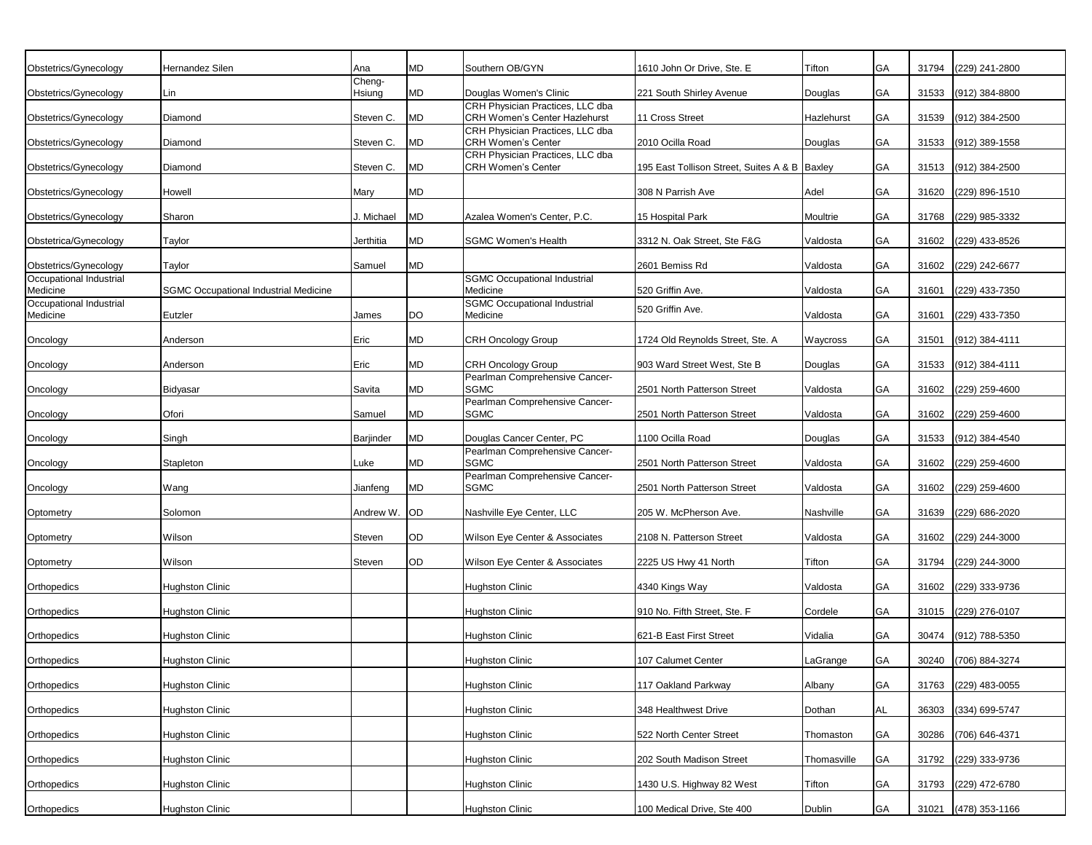| Obstetrics/Gynecology               | Hernandez Silen                              | Ana              | <b>MD</b> | Southern OB/GYN                                                          | 1610 John Or Drive, Ste. E                      | Tifton      | GA        | 31794 | (229) 241-2800       |
|-------------------------------------|----------------------------------------------|------------------|-----------|--------------------------------------------------------------------------|-------------------------------------------------|-------------|-----------|-------|----------------------|
| Obstetrics/Gynecology               | Lin                                          | Cheng-<br>Hsiung | <b>MD</b> | Douglas Women's Clinic                                                   | 221 South Shirley Avenue                        | Douglas     | GA        | 31533 | (912) 384-8800       |
|                                     |                                              |                  |           | CRH Physician Practices, LLC dba                                         |                                                 |             |           |       |                      |
| Obstetrics/Gynecology               | Diamond                                      | Steven C.        | <b>MD</b> | <b>CRH Women's Center Hazlehurst</b><br>CRH Physician Practices, LLC dba | 11 Cross Street                                 | Hazlehurst  | GA        | 31539 | (912) 384-2500       |
| Obstetrics/Gynecology               | Diamond                                      | Steven C.        | <b>MD</b> | <b>CRH Women's Center</b>                                                | 2010 Ocilla Road                                | Douglas     | <b>GA</b> | 31533 | (912) 389-1558       |
| Obstetrics/Gynecology               | Diamond                                      | Steven C.        | <b>MD</b> | CRH Physician Practices, LLC dba<br><b>CRH Women's Center</b>            | 195 East Tollison Street, Suites A & B   Baxley |             | GA        | 31513 | (912) 384-2500       |
| Obstetrics/Gynecology               | Howell                                       | Mary             | <b>MD</b> |                                                                          | 308 N Parrish Ave                               | Adel        | <b>GA</b> | 31620 | (229) 896-1510       |
| Obstetrics/Gynecology               | Sharon                                       | J. Michael       | <b>MD</b> | Azalea Women's Center, P.C.                                              | 15 Hospital Park                                | Moultrie    | <b>GA</b> | 31768 | (229) 985-3332       |
| Obstetrica/Gynecology               | Taylor                                       | Jerthitia        | <b>MD</b> | <b>SGMC Women's Health</b>                                               | 3312 N. Oak Street. Ste F&G                     | Valdosta    | GA        | 31602 | (229) 433-8526       |
| Obstetrics/Gynecology               | Taylor                                       | Samuel           | <b>MD</b> |                                                                          | 2601 Bemiss Rd                                  | Valdosta    | <b>GA</b> | 31602 | (229) 242-6677       |
| Occupational Industrial<br>Medicine | <b>SGMC Occupational Industrial Medicine</b> |                  |           | <b>SGMC Occupational Industrial</b><br>Medicine                          | 520 Griffin Ave.                                | Valdosta    | GA        | 31601 | (229) 433-7350       |
| Occupational Industrial             |                                              |                  |           | <b>SGMC Occupational Industrial</b>                                      |                                                 |             |           |       |                      |
| Medicine                            | Eutzler                                      | James            | DO        | Medicine                                                                 | 520 Griffin Ave.                                | Valdosta    | <b>GA</b> | 31601 | (229) 433-7350       |
| Oncology                            | Anderson                                     | Eric             | <b>MD</b> | CRH Oncology Group                                                       | 1724 Old Reynolds Street, Ste. A                | Waycross    | GA        | 31501 | (912) 384-4111       |
| Oncology                            | Anderson                                     | Eric             | <b>MD</b> | <b>CRH Oncology Group</b>                                                | 903 Ward Street West, Ste B                     | Douglas     | <b>GA</b> | 31533 | (912) 384-4111       |
| Oncology                            | Bidyasar                                     | Savita           | MD        | Pearlman Comprehensive Cancer-<br><b>SGMC</b>                            | 2501 North Patterson Street                     | Valdosta    | <b>GA</b> | 31602 | (229) 259-4600       |
| Oncology                            | Ofori                                        | Samuel           | MD        | Pearlman Comprehensive Cancer-<br><b>SGMC</b>                            | 2501 North Patterson Street                     | Valdosta    | <b>GA</b> | 31602 | (229) 259-4600       |
| Oncology                            | Singh                                        | Barjinder        | <b>MD</b> | Douglas Cancer Center, PC                                                | 1100 Ocilla Road                                | Douglas     | <b>GA</b> | 31533 | (912) 384-4540       |
| Oncology                            | Stapleton                                    | Luke             | <b>MD</b> | Pearlman Comprehensive Cancer-<br><b>SGMC</b>                            | 2501 North Patterson Street                     | Valdosta    | <b>GA</b> | 31602 | (229) 259-4600       |
| Oncology                            | Wang                                         | Jianfeng         | <b>MD</b> | Pearlman Comprehensive Cancer-<br><b>SGMC</b>                            | 2501 North Patterson Street                     | Valdosta    | <b>GA</b> | 31602 | (229) 259-4600       |
|                                     |                                              |                  |           |                                                                          |                                                 |             |           |       |                      |
| Optometry                           | Solomon                                      | Andrew W.        | <b>OD</b> | Nashville Eye Center, LLC                                                | 205 W. McPherson Ave.                           | Nashville   | GA        | 31639 | (229) 686-2020       |
| Optometry                           | Wilson                                       | Steven           | OD        | Wilson Eye Center & Associates                                           | 2108 N. Patterson Street                        | Valdosta    | <b>GA</b> | 31602 | (229) 244-3000       |
| Optometry                           | Wilson                                       | Steven           | OD        | Wilson Eye Center & Associates                                           | 2225 US Hwy 41 North                            | Tifton      | GA        | 31794 | (229) 244-3000       |
| Orthopedics                         | <b>Hughston Clinic</b>                       |                  |           | <b>Hughston Clinic</b>                                                   | 4340 Kings Way                                  | Valdosta    | <b>GA</b> | 31602 | (229) 333-9736       |
| Orthopedics                         | <b>Hughston Clinic</b>                       |                  |           | <b>Hughston Clinic</b>                                                   | 910 No. Fifth Street, Ste. F                    | Cordele     | GA        | 31015 | (229) 276-0107       |
| Orthopedics                         | <b>Hughston Clinic</b>                       |                  |           | <b>Hughston Clinic</b>                                                   | 621-B East First Street                         | Vidalia     | GA        | 30474 | (912) 788-5350       |
| Orthopedics                         | <b>Hughston Clinic</b>                       |                  |           | <b>Hughston Clinic</b>                                                   | 107 Calumet Center                              | LaGrange    | GA        |       | 30240 (706) 884-3274 |
|                                     |                                              |                  |           |                                                                          |                                                 |             |           |       |                      |
| Orthopedics                         | <b>Hughston Clinic</b>                       |                  |           | <b>Hughston Clinic</b>                                                   | 117 Oakland Parkway                             | Albany      | <b>GA</b> | 31763 | (229) 483-0055       |
| Orthopedics                         | <b>Hughston Clinic</b>                       |                  |           | <b>Hughston Clinic</b>                                                   | 348 Healthwest Drive                            | Dothan      | AL        | 36303 | (334) 699-5747       |
| Orthopedics                         | <b>Hughston Clinic</b>                       |                  |           | <b>Hughston Clinic</b>                                                   | 522 North Center Street                         | Thomaston   | GA        | 30286 | (706) 646-4371       |
| Orthopedics                         | Hughston Clinic                              |                  |           | Hughston Clinic                                                          | 202 South Madison Street                        | Thomasville | <b>GA</b> | 31792 | (229) 333-9736       |
| Orthopedics                         | <b>Hughston Clinic</b>                       |                  |           | <b>Hughston Clinic</b>                                                   | 1430 U.S. Highway 82 West                       | Tifton      | GA        | 31793 | (229) 472-6780       |
| Orthopedics                         | <b>Hughston Clinic</b>                       |                  |           | <b>Hughston Clinic</b>                                                   | 100 Medical Drive, Ste 400                      | Dublin      | GA        | 31021 | (478) 353-1166       |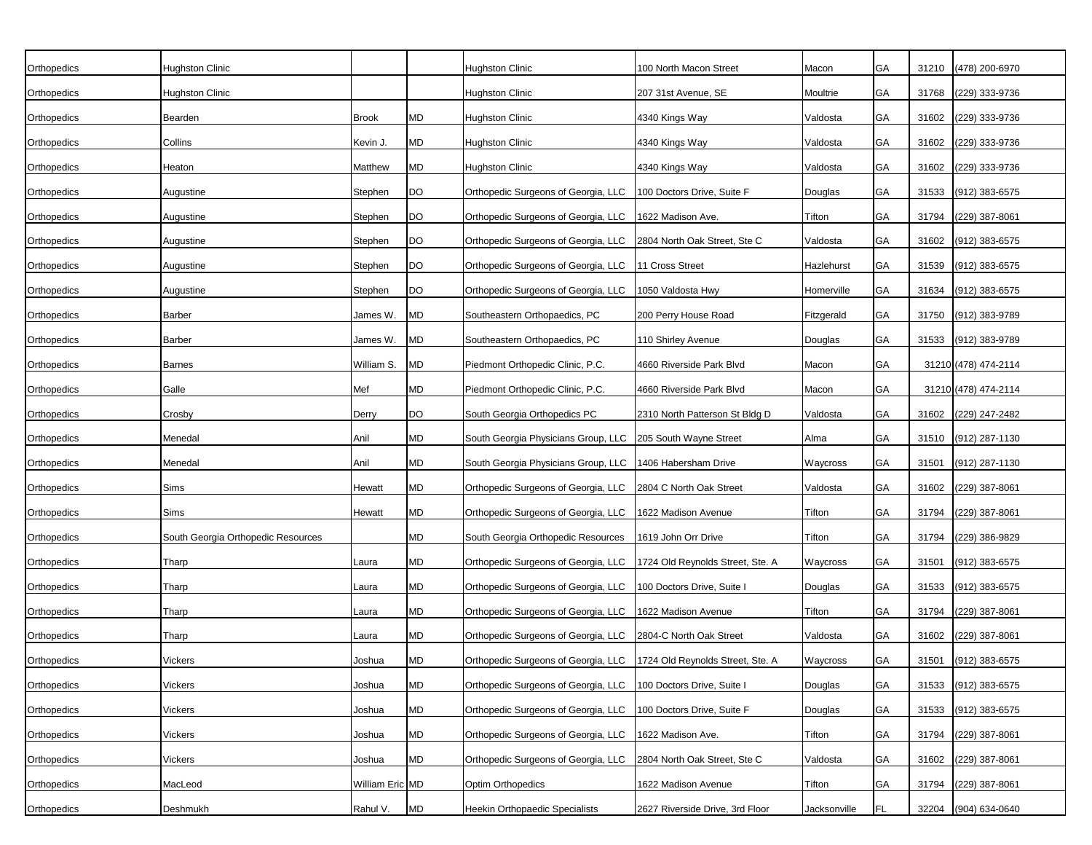| Orthopedics | <b>Hughston Clinic</b>             |                 |           | Hughston Clinic                                                        | 100 North Macon Street          | Macon        | GA        | 31210 | (478) 200-6970       |
|-------------|------------------------------------|-----------------|-----------|------------------------------------------------------------------------|---------------------------------|--------------|-----------|-------|----------------------|
| Orthopedics | Hughston Clinic                    |                 |           | Hughston Clinic                                                        | 207 31st Avenue, SE             | Moultrie     | GA        | 31768 | (229) 333-9736       |
| Orthopedics | Bearden                            | <b>Brook</b>    | MD        | Hughston Clinic                                                        | 4340 Kings Way                  | Valdosta     | <b>GA</b> | 31602 | (229) 333-9736       |
| Orthopedics | Collins                            | Kevin J.        | <b>MD</b> | <b>Hughston Clinic</b>                                                 | 4340 Kings Way                  | Valdosta     | <b>GA</b> | 31602 | (229) 333-9736       |
| Orthopedics | Heaton                             | Matthew         | <b>MD</b> | <b>Hughston Clinic</b>                                                 | 4340 Kings Way                  | Valdosta     | <b>GA</b> | 31602 | (229) 333-9736       |
| Orthopedics | Augustine                          | Stephen         | DO        | Orthopedic Surgeons of Georgia, LLC                                    | 100 Doctors Drive, Suite F      | Douglas      | GA        | 31533 | (912) 383-6575       |
| Orthopedics | Augustine                          | Stephen         | <b>DO</b> | Orthopedic Surgeons of Georgia, LLC                                    | 1622 Madison Ave.               | Tifton       | GA        | 31794 | (229) 387-8061       |
| Orthopedics | Augustine                          | Stephen         | DO        | Orthopedic Surgeons of Georgia, LLC                                    | 2804 North Oak Street, Ste C    | Valdosta     | GA        | 31602 | (912) 383-6575       |
| Orthopedics | Augustine                          | Stephen         | DO        | Orthopedic Surgeons of Georgia, LLC                                    | 11 Cross Street                 | Hazlehurst   | GA        | 31539 | (912) 383-6575       |
| Orthopedics | Augustine                          | Stephen         | DO        | Orthopedic Surgeons of Georgia, LLC                                    | 1050 Valdosta Hwy               | Homerville   | GA        | 31634 | (912) 383-6575       |
| Orthopedics | Barber                             | James W.        | <b>MD</b> | Southeastern Orthopaedics, PC                                          | 200 Perry House Road            | Fitzgerald   | GA        | 31750 | (912) 383-9789       |
| Orthopedics | <b>Barber</b>                      | James W.        | <b>MD</b> | Southeastern Orthopaedics, PC                                          | 110 Shirley Avenue              | Douglas      | GA        | 31533 | (912) 383-9789       |
| Orthopedics | <b>Barnes</b>                      | William S.      | <b>MD</b> | Piedmont Orthopedic Clinic, P.C.                                       | 4660 Riverside Park Blvd        | Macon        | GA        |       | 31210 (478) 474-2114 |
| Orthopedics | Galle                              | Mef             | MD        | Piedmont Orthopedic Clinic, P.C.                                       | 4660 Riverside Park Blvd        | Macon        | GA        |       | 31210 (478) 474-2114 |
| Orthopedics | Crosby                             | Derry           | DO        | South Georgia Orthopedics PC                                           | 2310 North Patterson St Bldg D  | Valdosta     | GA        | 31602 | (229) 247-2482       |
| Orthopedics | Menedal                            | Anil            | MD        | South Georgia Physicians Group, LLC                                    | 205 South Wayne Street          | Alma         | GA        | 31510 | (912) 287-1130       |
| Orthopedics | Menedal                            | Anil            | MD        | South Georgia Physicians Group, LLC                                    | 1406 Habersham Drive            | Waycross     | GA        | 31501 | (912) 287-1130       |
| Orthopedics | Sims                               | Hewatt          | MD        | Orthopedic Surgeons of Georgia, LLC 2804 C North Oak Street            |                                 | Valdosta     | GA        | 31602 | (229) 387-8061       |
| Orthopedics | Sims                               | Hewatt          | <b>MD</b> | Orthopedic Surgeons of Georgia, LLC                                    | 1622 Madison Avenue             | Tifton       | GA        | 31794 | $(229)$ 387-8061     |
| Orthopedics | South Georgia Orthopedic Resources |                 | MD        | South Georgia Orthopedic Resources                                     | 1619 John Orr Drive             | Tifton       | GА        | 31794 | (229) 386-9829       |
| Orthopedics | Tharp                              | Laura           | MD        | Orthopedic Surgeons of Georgia, LLC   1724 Old Reynolds Street, Ste. A |                                 | Waycross     | GA        | 31501 | (912) 383-6575       |
| Orthopedics | Tharp                              | Laura           | MD        | Orthopedic Surgeons of Georgia, LLC                                    | 100 Doctors Drive, Suite I      | Douglas      | GА        | 31533 | (912) 383-6575       |
| Orthopedics | Tharp                              | Laura           | <b>MD</b> | Orthopedic Surgeons of Georgia, LLC                                    | 1622 Madison Avenue             | Tifton       | GA        | 31794 | (229) 387-8061       |
| Orthopedics | Tharp                              | Laura           | <b>MD</b> | Orthopedic Surgeons of Georgia, LLC 2804-C North Oak Street            |                                 | Valdosta     | GA        | 31602 | (229) 387-8061       |
| Orthopedics | Vickers                            | Joshua          | <b>MD</b> | Orthopedic Surgeons of Georgia, LLC   1724 Old Reynolds Street, Ste. A |                                 | Waycross     | GA        |       | 31501 (912) 383-6575 |
| Orthopedics | Vickers                            | Joshua          | <b>MD</b> | Orthopedic Surgeons of Georgia, LLC 100 Doctors Drive, Suite I         |                                 | Douglas      | GA        | 31533 | (912) 383-6575       |
| Orthopedics | Vickers                            | Joshua          | MD        | Orthopedic Surgeons of Georgia, LLC 100 Doctors Drive, Suite F         |                                 | Douglas      | GA        | 31533 | (912) 383-6575       |
| Orthopedics | Vickers                            | Joshua          | <b>MD</b> | Orthopedic Surgeons of Georgia, LLC 1622 Madison Ave.                  |                                 | Tifton       | GA        | 31794 | (229) 387-8061       |
| Orthopedics | Vickers                            | Joshua          | <b>MD</b> | Orthopedic Surgeons of Georgia, LLC   2804 North Oak Street, Ste C     |                                 | Valdosta     | GA        |       | 31602 (229) 387-8061 |
| Orthopedics | MacLeod                            | William Eric MD |           | Optim Orthopedics                                                      | 1622 Madison Avenue             | Tifton       | GA        | 31794 | (229) 387-8061       |
| Orthopedics | Deshmukh                           | Rahul V.        | <b>MD</b> | Heekin Orthopaedic Specialists                                         | 2627 Riverside Drive, 3rd Floor | Jacksonville | FL        | 32204 | (904) 634-0640       |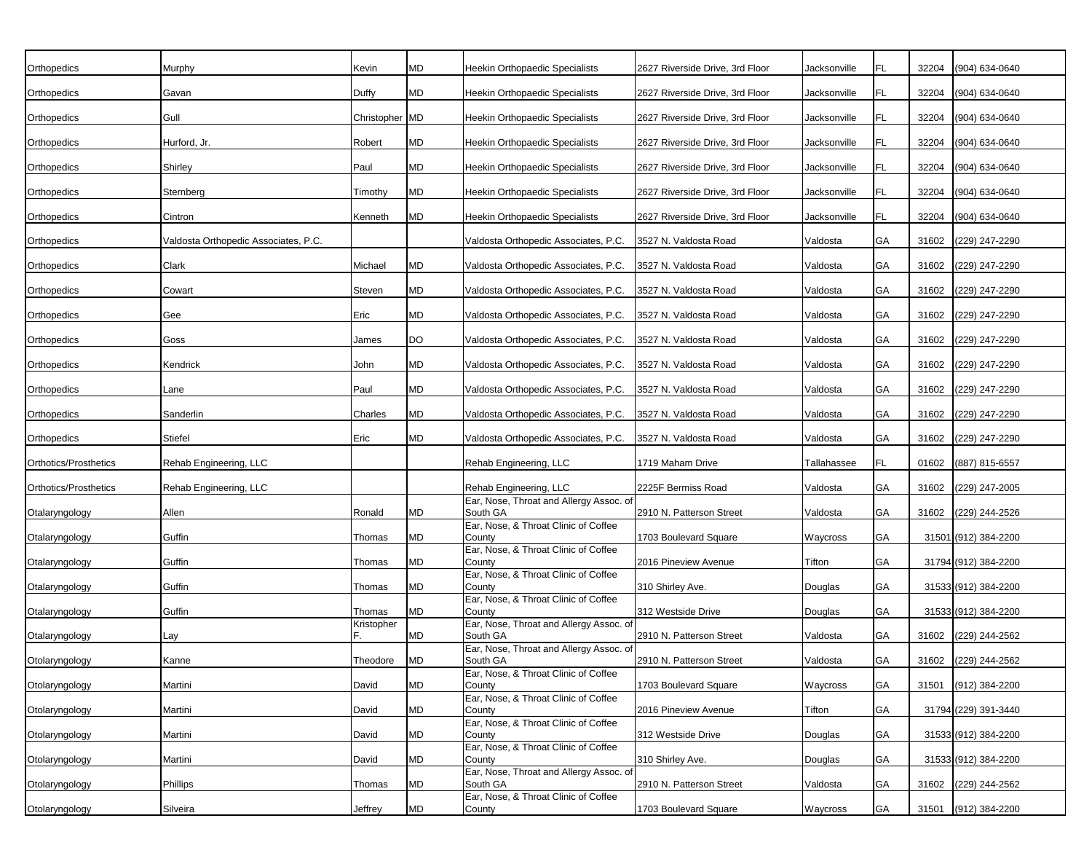| Orthopedics           | Murphy                               | Kevin          | MD        | Heekin Orthopaedic Specialists                      | 2627 Riverside Drive, 3rd Floor | Jacksonville | FL | 32204 | (904) 634-0640       |
|-----------------------|--------------------------------------|----------------|-----------|-----------------------------------------------------|---------------------------------|--------------|----|-------|----------------------|
| Orthopedics           | Gavan                                | Duffy          | MD        | Heekin Orthopaedic Specialists                      | 2627 Riverside Drive, 3rd Floor | Jacksonville | FL | 32204 | (904) 634-0640       |
|                       | Gull                                 |                |           |                                                     | 2627 Riverside Drive, 3rd Floor | Jacksonville | FL | 32204 | (904) 634-0640       |
| Orthopedics           |                                      | Christopher MD |           | Heekin Orthopaedic Specialists                      |                                 |              |    |       |                      |
| Orthopedics           | Hurford, Jr.                         | Robert         | MD        | Heekin Orthopaedic Specialists                      | 2627 Riverside Drive, 3rd Floor | Jacksonville | FL | 32204 | (904) 634-0640       |
| Orthopedics           | Shirley                              | Paul           | MD        | Heekin Orthopaedic Specialists                      | 2627 Riverside Drive, 3rd Floor | Jacksonville | FL | 32204 | (904) 634-0640       |
| Orthopedics           | Sternberg                            | Timothy        | MD        | Heekin Orthopaedic Specialists                      | 2627 Riverside Drive, 3rd Floor | Jacksonville | FL | 32204 | (904) 634-0640       |
| Orthopedics           | Cintron                              | Kenneth        | MD        | Heekin Orthopaedic Specialists                      | 2627 Riverside Drive, 3rd Floor | Jacksonville | FL | 32204 | (904) 634-0640       |
| Orthopedics           | Valdosta Orthopedic Associates, P.C. |                |           | Valdosta Orthopedic Associates, P.C.                | 3527 N. Valdosta Road           | Valdosta     | GA | 31602 | (229) 247-2290       |
| Orthopedics           | Clark                                | Michael        | MD        | Valdosta Orthopedic Associates, P.C.                | 3527 N. Valdosta Road           | Valdosta     | GA | 31602 | (229) 247-2290       |
| Orthopedics           | Cowart                               | Steven         | MD        | Valdosta Orthopedic Associates, P.C.                | 3527 N. Valdosta Road           | Valdosta     | GA | 31602 | (229) 247-2290       |
| Orthopedics           | Gee                                  | Eric           | MD        | Valdosta Orthopedic Associates, P.C.                | 3527 N. Valdosta Road           | Valdosta     | GA | 31602 | (229) 247-2290       |
| Orthopedics           | Goss                                 | James          | DO        | Valdosta Orthopedic Associates, P.C.                | 3527 N. Valdosta Road           | Valdosta     | GA | 31602 | (229) 247-2290       |
| Orthopedics           | Kendrick                             | John           | MD        | Valdosta Orthopedic Associates, P.C.                | 3527 N. Valdosta Road           | Valdosta     | GA | 31602 | (229) 247-2290       |
| Orthopedics           | Lane                                 | Paul           | <b>MD</b> | Valdosta Orthopedic Associates, P.C.                | 3527 N. Valdosta Road           | Valdosta     | GA | 31602 | (229) 247-2290       |
| Orthopedics           | Sanderlin                            | Charles        | MD        | Valdosta Orthopedic Associates, P.C.                | 3527 N. Valdosta Road           | Valdosta     | GA | 31602 | (229) 247-2290       |
| Orthopedics           | Stiefel                              | Eric           | MD        | Valdosta Orthopedic Associates, P.C.                | 3527 N. Valdosta Road           | Valdosta     | GA | 31602 | (229) 247-2290       |
| Orthotics/Prosthetics | Rehab Engineering, LLC               |                |           | Rehab Engineering, LLC                              | 1719 Maham Drive                | Tallahassee  | FL | 01602 | (887) 815-6557       |
| Orthotics/Prosthetics | Rehab Engineering, LLC               |                |           | Rehab Engineering, LLC                              | 2225F Bermiss Road              | Valdosta     | GA | 31602 | (229) 247-2005       |
| Otalaryngology        | Allen                                | Ronald         | MD        | Ear, Nose, Throat and Allergy Assoc. of<br>South GA | 2910 N. Patterson Street        | Valdosta     | GA | 31602 | (229) 244-2526       |
| Otalaryngology        | Guffin                               | Thomas         | MD        | Ear, Nose, & Throat Clinic of Coffee<br>County      | 1703 Boulevard Square           | Waycross     | GA |       | 31501 (912) 384-2200 |
| Otalaryngology        | Guffin                               | Thomas         | MD        | Ear, Nose, & Throat Clinic of Coffee<br>County      | 2016 Pineview Avenue            | Tifton       | GA |       | 31794 (912) 384-2200 |
| Otalaryngology        | Guffin                               | Thomas         | MD        | Ear, Nose, & Throat Clinic of Coffee<br>County      | 310 Shirley Ave.                | Douglas      | GA |       | 31533 (912) 384-2200 |
| Otalaryngology        | Guffin                               | Thomas         | <b>MD</b> | Ear, Nose, & Throat Clinic of Coffee<br>County      | 312 Westside Drive              | Douglas      | GА |       | 31533 (912) 384-2200 |
| Otalaryngology        | Lay                                  | Kristopher     | <b>MD</b> | Ear, Nose, Throat and Allergy Assoc. of<br>South GA | 2910 N. Patterson Street        | Valdosta     | GА | 31602 | (229) 244-2562       |
| Otolaryngology        | Kanne                                | Theodore       | <b>MD</b> | Ear, Nose, Throat and Allergy Assoc. of<br>South GA | 2910 N. Patterson Street        | Valdosta     | GА |       | 31602 (229) 244-2562 |
| Otolaryngology        | Martini                              | David          | <b>MD</b> | Ear, Nose, & Throat Clinic of Coffee<br>County      | 1703 Boulevard Square           | Waycross     | GA | 31501 | (912) 384-2200       |
| Otolaryngology        | Martini                              | David          | MD        | Ear, Nose, & Throat Clinic of Coffee<br>County      | 2016 Pineview Avenue            | Tifton       | GA |       | 31794 (229) 391-3440 |
| Otolaryngology        | Martini                              | David          | <b>MD</b> | Ear, Nose, & Throat Clinic of Coffee<br>County      | 312 Westside Drive              | Douglas      | GA |       | 31533 (912) 384-2200 |
|                       |                                      |                |           | Ear, Nose, & Throat Clinic of Coffee                |                                 |              |    |       |                      |
| Otolaryngology        | Martini                              | David          | MD        | County<br>Ear, Nose, Throat and Allergy Assoc. of   | 310 Shirley Ave.                | Douglas      | GA |       | 31533 (912) 384-2200 |
| Otolaryngology        | Phillips                             | Thomas         | <b>MD</b> | South GA<br>Ear, Nose, & Throat Clinic of Coffee    | 2910 N. Patterson Street        | Valdosta     | GA | 31602 | (229) 244-2562       |
| Otolaryngology        | Silveira                             | Jeffrey        | MD        | County                                              | 1703 Boulevard Square           | Waycross     | GA | 31501 | (912) 384-2200       |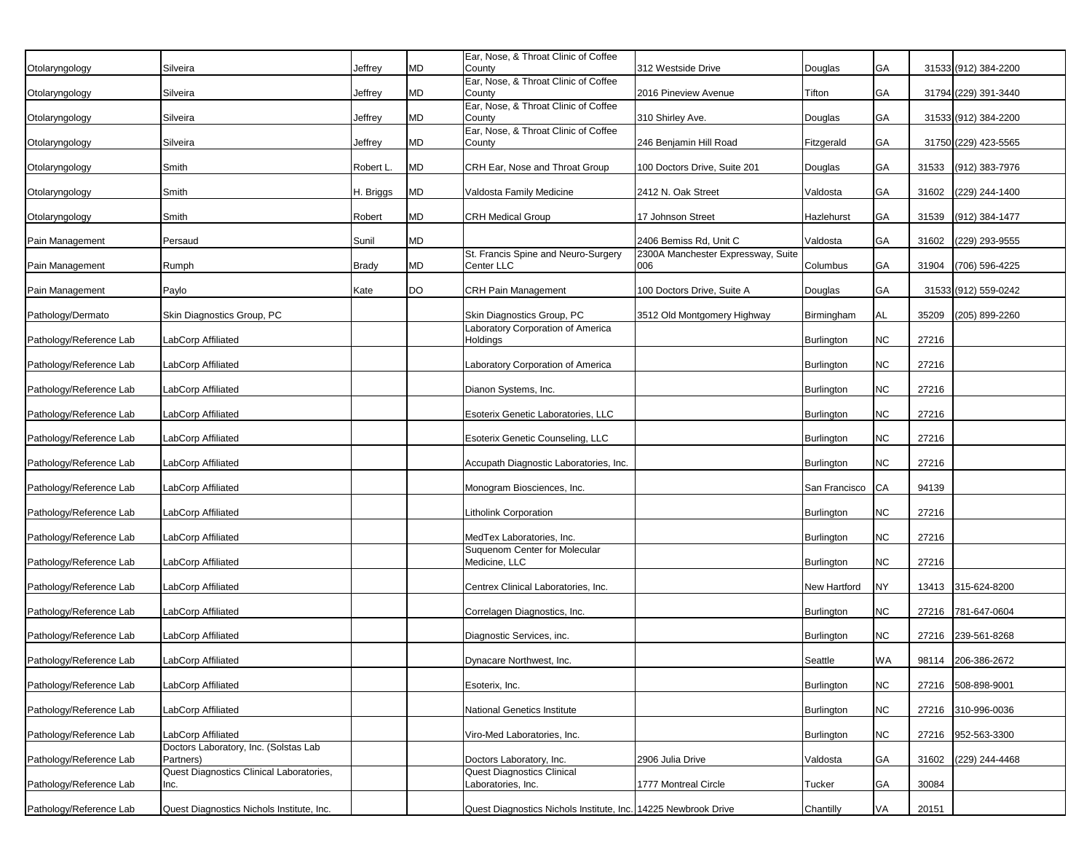|                         |                                                    |              |           | Ear, Nose, & Throat Clinic of Coffee                    |                                           |                   |            |       |                      |
|-------------------------|----------------------------------------------------|--------------|-----------|---------------------------------------------------------|-------------------------------------------|-------------------|------------|-------|----------------------|
| Otolaryngology          | Silveira                                           | Jeffrey      | <b>MD</b> | County                                                  | 312 Westside Drive                        | Douglas           | GA         |       | 31533 (912) 384-2200 |
| Otolaryngology          | Silveira                                           | Jeffrey      | <b>MD</b> | Ear, Nose, & Throat Clinic of Coffee<br>County          | 2016 Pineview Avenue                      | Tifton            | GA         |       | 31794 (229) 391-3440 |
|                         |                                                    |              |           | Ear, Nose, & Throat Clinic of Coffee                    |                                           |                   |            |       |                      |
| Otolaryngology          | Silveira                                           | Jeffrey      | MD        | County<br>Ear, Nose, & Throat Clinic of Coffee          | 310 Shirley Ave.                          | Douglas           | GA         |       | 31533 (912) 384-2200 |
| Otolaryngology          | Silveira                                           | Jeffrey      | <b>MD</b> | County                                                  | 246 Benjamin Hill Road                    | Fitzgerald        | GA         |       | 31750 (229) 423-5565 |
| Otolaryngology          | Smith                                              | Robert L.    | <b>MD</b> | CRH Ear, Nose and Throat Group                          | 100 Doctors Drive, Suite 201              | Douglas           | GA         | 31533 | (912) 383-7976       |
| Otolaryngology          | Smith                                              | H. Briggs    | MD        | Valdosta Family Medicine                                | 2412 N. Oak Street                        | Valdosta          | GA         | 31602 | (229) 244-1400       |
| Otolaryngology          | Smith                                              | Robert       | MD        | CRH Medical Group                                       | 17 Johnson Street                         | Hazlehurst        | GA         | 31539 | (912) 384-1477       |
| Pain Management         | Persaud                                            | Sunil        | MD        |                                                         | 2406 Bemiss Rd, Unit C                    | Valdosta          | GA         | 31602 | (229) 293-9555       |
| Pain Management         | Rumph                                              | <b>Brady</b> | MD        | St. Francis Spine and Neuro-Surgery<br>Center LLC       | 2300A Manchester Expressway, Suite<br>006 | Columbus          | GA         | 31904 | (706) 596-4225       |
| Pain Management         | Paylo                                              | Kate         | DO        | <b>CRH Pain Management</b>                              | 100 Doctors Drive, Suite A                | Douglas           | GA         |       | 31533 (912) 559-0242 |
| Pathology/Dermato       | Skin Diagnostics Group, PC                         |              |           | Skin Diagnostics Group, PC                              | 3512 Old Montgomery Highway               | Birmingham        | <b>AL</b>  | 35209 | (205) 899-2260       |
| Pathology/Reference Lab | LabCorp Affiliated                                 |              |           | Laboratory Corporation of America<br>Holdings           |                                           | Burlington        | ${\sf NC}$ | 27216 |                      |
| Pathology/Reference Lab | LabCorp Affiliated                                 |              |           | Laboratory Corporation of America                       |                                           | <b>Burlington</b> | NC         | 27216 |                      |
| Pathology/Reference Lab | LabCorp Affiliated                                 |              |           | Dianon Systems, Inc.                                    |                                           | <b>Burlington</b> | ${\sf NC}$ | 27216 |                      |
| Pathology/Reference Lab | LabCorp Affiliated                                 |              |           | Esoterix Genetic Laboratories, LLC                      |                                           | <b>Burlington</b> | ${\sf NC}$ | 27216 |                      |
| Pathology/Reference Lab | LabCorp Affiliated                                 |              |           | Esoterix Genetic Counseling, LLC                        |                                           | <b>Burlington</b> | <b>NC</b>  | 27216 |                      |
| Pathology/Reference Lab | LabCorp Affiliated                                 |              |           | Accupath Diagnostic Laboratories, Inc.                  |                                           | <b>Burlington</b> | <b>NC</b>  | 27216 |                      |
| Pathology/Reference Lab | LabCorp Affiliated                                 |              |           | Monogram Biosciences, Inc.                              |                                           | San Francisco     | CA         | 94139 |                      |
| Pathology/Reference Lab | LabCorp Affiliated                                 |              |           | Litholink Corporation                                   |                                           | Burlington        | NC         | 27216 |                      |
| Pathology/Reference Lab | LabCorp Affiliated                                 |              |           | MedTex Laboratories, Inc.                               |                                           | <b>Burlington</b> | <b>NC</b>  | 27216 |                      |
| Pathology/Reference Lab | LabCorp Affiliated                                 |              |           | Suquenom Center for Molecular<br>Medicine, LLC          |                                           | <b>Burlington</b> | <b>NC</b>  | 27216 |                      |
| Pathology/Reference Lab | LabCorp Affiliated                                 |              |           | Centrex Clinical Laboratories, Inc.                     |                                           | New Hartford      | <b>NY</b>  | 13413 | 315-624-8200         |
| Pathology/Reference Lab | LabCorp Affiliated                                 |              |           | Correlagen Diagnostics, Inc.                            |                                           | <b>Burlington</b> | <b>NC</b>  | 27216 | 781-647-0604         |
| Pathology/Reference Lab | LabCorp Affiliated                                 |              |           | Diagnostic Services, inc.                               |                                           | <b>Burlington</b> | NC         |       | 27216 239-561-8268   |
| Pathology/Reference Lab | LabCorp Affiliated                                 |              |           | Dynacare Northwest, Inc.                                |                                           | Seattle           | <b>WA</b>  |       | 98114 206-386-2672   |
| Pathology/Reference Lab | LabCorp Affiliated                                 |              |           | Esoterix, Inc.                                          |                                           | <b>Burlington</b> | <b>NC</b>  | 27216 | 508-898-9001         |
| Pathology/Reference Lab | LabCorp Affiliated                                 |              |           | National Genetics Institute                             |                                           | Burlington        | <b>NC</b>  | 27216 | 310-996-0036         |
| Pathology/Reference Lab | LabCorp Affiliated                                 |              |           | Viro-Med Laboratories, Inc.                             |                                           | <b>Burlington</b> | <b>NC</b>  | 27216 | 952-563-3300         |
| Pathology/Reference Lab | Doctors Laboratory, Inc. (Solstas Lab<br>Partners) |              |           | Doctors Laboratory, Inc.                                | 2906 Julia Drive                          | Valdosta          | GA         | 31602 | (229) 244-4468       |
| Pathology/Reference Lab | Quest Diagnostics Clinical Laboratories,<br>Inc.   |              |           | <b>Quest Diagnostics Clinical</b><br>Laboratories, Inc. | 1777 Montreal Circle                      | Tucker            | <b>GA</b>  | 30084 |                      |
|                         |                                                    |              |           |                                                         |                                           |                   |            |       |                      |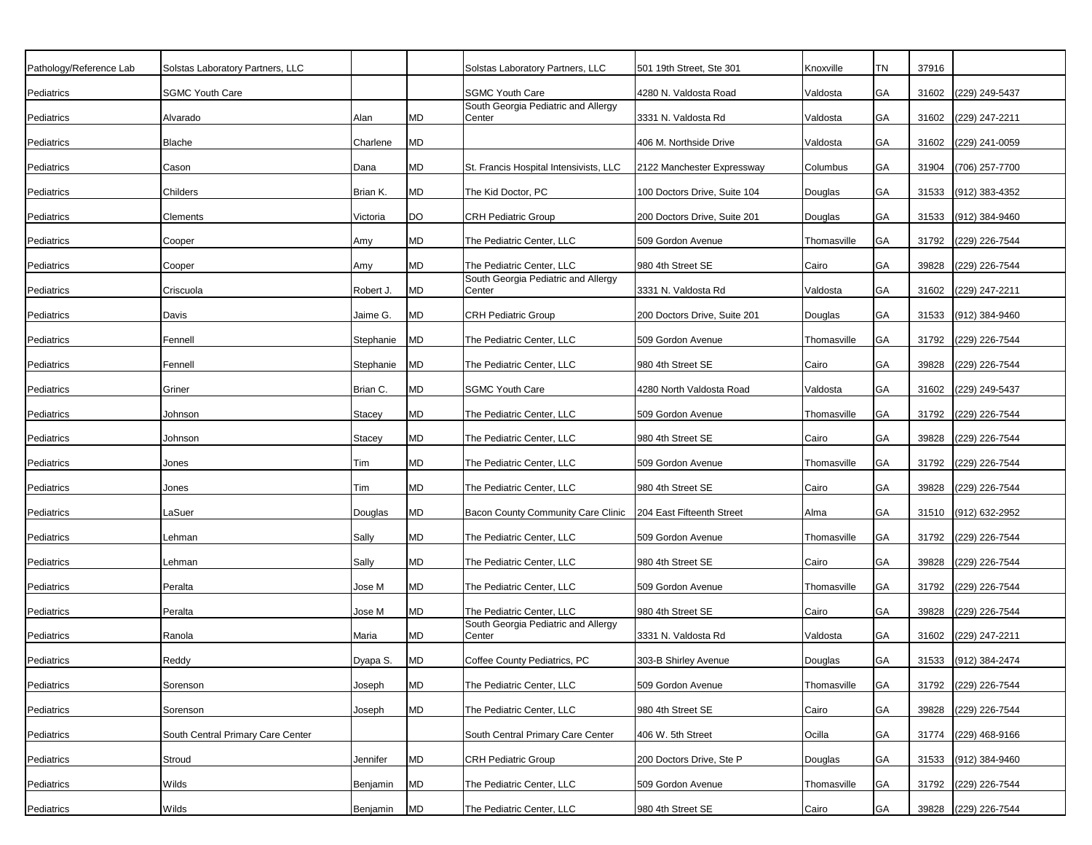| Pathology/Reference Lab | Solstas Laboratory Partners, LLC  |           |           | Solstas Laboratory Partners, LLC              | 501 19th Street, Ste 301     | Knoxville   | TN        | 37916 |                      |
|-------------------------|-----------------------------------|-----------|-----------|-----------------------------------------------|------------------------------|-------------|-----------|-------|----------------------|
| Pediatrics              | <b>SGMC Youth Care</b>            |           |           | <b>SGMC Youth Care</b>                        | 4280 N. Valdosta Road        | Valdosta    | GA        | 31602 | (229) 249-5437       |
| Pediatrics              | Alvarado                          | Alan      | MD        | South Georgia Pediatric and Allergy<br>Center | 3331 N. Valdosta Rd          | Valdosta    | GA        | 31602 | (229) 247-2211       |
| Pediatrics              | Blache                            | Charlene  | <b>MD</b> |                                               | 406 M. Northside Drive       | Valdosta    | GA        | 31602 | (229) 241-0059       |
| Pediatrics              | Cason                             | Dana      | MD        | St. Francis Hospital Intensivists, LLC        | 2122 Manchester Expressway   | Columbus    | <b>GA</b> | 31904 | (706) 257-7700       |
| Pediatrics              | Childers                          | Brian K.  | <b>MD</b> | The Kid Doctor, PC                            | 100 Doctors Drive, Suite 104 | Douglas     | GA        | 31533 | (912) 383-4352       |
| Pediatrics              | Clements                          | Victoria  | DO        | <b>CRH Pediatric Group</b>                    | 200 Doctors Drive, Suite 201 | Douglas     | <b>GA</b> | 31533 | (912) 384-9460       |
| Pediatrics              | Cooper                            | Amy       | <b>MD</b> | The Pediatric Center, LLC                     | 509 Gordon Avenue            | Thomasville | <b>GA</b> | 31792 | (229) 226-7544       |
| Pediatrics              | Cooper                            | Amy       | <b>MD</b> | The Pediatric Center, LLC                     | 980 4th Street SE            | Cairo       | GA        | 39828 | (229) 226-7544       |
|                         |                                   |           |           | South Georgia Pediatric and Allergy           |                              |             |           |       |                      |
| Pediatrics              | Criscuola                         | Robert J. | <b>MD</b> | Center                                        | 3331 N. Valdosta Rd          | Valdosta    | <b>GA</b> | 31602 | (229) 247-2211       |
| Pediatrics              | Davis                             | Jaime G.  | <b>MD</b> | <b>CRH Pediatric Group</b>                    | 200 Doctors Drive, Suite 201 | Douglas     | GA        | 31533 | (912) 384-9460       |
| Pediatrics              | Fennell                           | Stephanie | <b>MD</b> | The Pediatric Center, LLC                     | 509 Gordon Avenue            | Thomasville | GA        | 31792 | (229) 226-7544       |
| Pediatrics              | Fennell                           | Stephanie | <b>MD</b> | The Pediatric Center, LLC                     | 980 4th Street SE            | Cairo       | GA        | 39828 | (229) 226-7544       |
| Pediatrics              | Griner                            | Brian C.  | <b>MD</b> | <b>SGMC Youth Care</b>                        | 4280 North Valdosta Road     | Valdosta    | GA        | 31602 | (229) 249-5437       |
| Pediatrics              | Johnson                           | Stacey    | <b>MD</b> | The Pediatric Center, LLC                     | 509 Gordon Avenue            | Thomasville | GA        | 31792 | (229) 226-7544       |
| Pediatrics              | Johnson                           | Stacey    | <b>MD</b> | The Pediatric Center, LLC                     | 980 4th Street SE            | Cairo       | GA        | 39828 | (229) 226-7544       |
| Pediatrics              | Jones                             | Tim       | <b>MD</b> | The Pediatric Center, LLC                     | 509 Gordon Avenue            | Thomasville | GA        | 31792 | (229) 226-7544       |
| Pediatrics              | Jones                             | Tim       | <b>MD</b> | The Pediatric Center, LLC                     | 980 4th Street SE            | Cairo       | GA        | 39828 | (229) 226-7544       |
| Pediatrics              | ∟aSuer                            | Douglas   | <b>MD</b> | Bacon County Community Care Clinic            | 204 East Fifteenth Street    | Alma        | GA        | 31510 | (912) 632-2952       |
| Pediatrics              | Lehman                            | Sally     | <b>MD</b> | The Pediatric Center, LLC                     | 509 Gordon Avenue            | Thomasville | GA        | 31792 | (229) 226-7544       |
| Pediatrics              | Lehman                            | Sally     | <b>MD</b> | The Pediatric Center, LLC                     | 980 4th Street SE            | Cairo       | GA        | 39828 | (229) 226-7544       |
| Pediatrics              | Peralta                           | Jose M    | <b>MD</b> | The Pediatric Center, LLC                     | 509 Gordon Avenue            | Thomasville | <b>GA</b> | 31792 | (229) 226-7544       |
| Pediatrics              | Peralta                           | Jose M    | MD        | The Pediatric Center, LLC                     | 980 4th Street SE            | Cairo       | GА        | 39828 | (229) 226-7544       |
| Pediatrics              | Ranola                            | Maria     | <b>MD</b> | South Georgia Pediatric and Allergy<br>Center | 3331 N. Valdosta Rd          | Valdosta    | GA        | 31602 | (229) 247-2211       |
| Pediatrics              | Reddy                             | Dyapa S.  | <b>MD</b> | Coffee County Pediatrics, PC                  | 303-B Shirley Avenue         | Douglas     | GA        |       | 31533 (912) 384-2474 |
| Pediatrics              | Sorenson                          | Joseph    | <b>MD</b> | The Pediatric Center, LLC                     | 509 Gordon Avenue            | Thomasville | GA        |       | 31792 (229) 226-7544 |
| Pediatrics              | Sorenson                          | Joseph    | <b>MD</b> | The Pediatric Center, LLC                     | 980 4th Street SE            | Cairo       | GA        | 39828 | (229) 226-7544       |
| Pediatrics              | South Central Primary Care Center |           |           | South Central Primary Care Center             | 406 W. 5th Street            | Ocilla      | GA        | 31774 | (229) 468-9166       |
| Pediatrics              | Stroud                            | Jennifer  | <b>MD</b> | <b>CRH Pediatric Group</b>                    | 200 Doctors Drive, Ste P     | Douglas     | GA        | 31533 | (912) 384-9460       |
| Pediatrics              | Wilds                             | Benjamin  | <b>MD</b> | The Pediatric Center, LLC                     | 509 Gordon Avenue            | Thomasville | GA        | 31792 | (229) 226-7544       |
| Pediatrics              | Wilds                             | Benjamin  | <b>MD</b> | The Pediatric Center, LLC                     | 980 4th Street SE            | Cairo       | GA        | 39828 | (229) 226-7544       |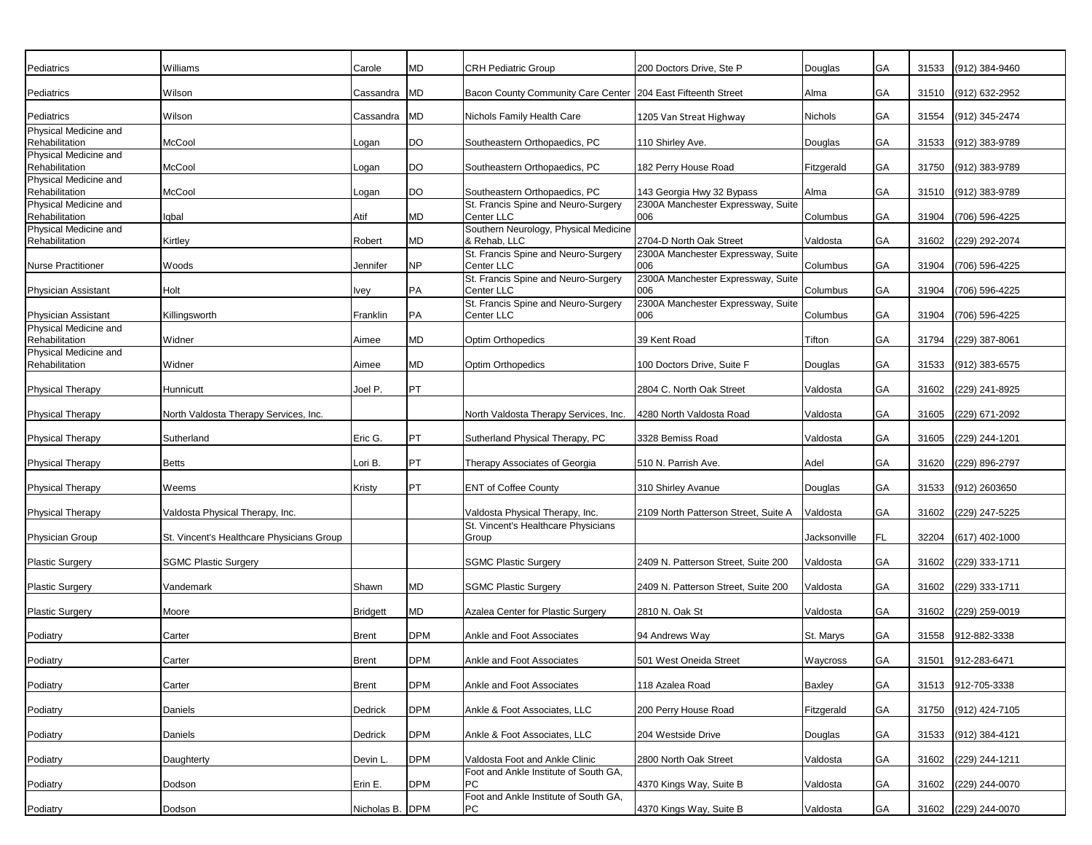| Pediatrics                              | Williams                                  | Carole          | MD         | <b>CRH Pediatric Group</b>                                              | 200 Doctors Drive, Ste P                  | Douglas      | GA        | 31533 | (912) 384-9460       |
|-----------------------------------------|-------------------------------------------|-----------------|------------|-------------------------------------------------------------------------|-------------------------------------------|--------------|-----------|-------|----------------------|
| Pediatrics                              | Wilson                                    | Cassandra       | MD         | Bacon County Community Care Center   204 East Fifteenth Street          |                                           | Alma         | GA        | 31510 | (912) 632-2952       |
| Pediatrics                              | Wilson                                    | Cassandra       | MD         | Nichols Family Health Care                                              | 1205 Van Streat Highway                   | Nichols      | GA        | 31554 | (912) 345-2474       |
| Physical Medicine and<br>Rehabilitation | McCool                                    | Logan           | DO         | Southeastern Orthopaedics, PC                                           | 110 Shirley Ave.                          | Douglas      | GA        | 31533 | (912) 383-9789       |
| Physical Medicine and                   |                                           |                 |            |                                                                         |                                           |              |           |       |                      |
| Rehabilitation<br>Physical Medicine and | McCool                                    | Logan           | DO         | Southeastern Orthopaedics, PC                                           | 182 Perry House Road                      | Fitzgerald   | GA        | 31750 | (912) 383-9789       |
| Rehabilitation                          | McCool                                    | Logan           | <b>DO</b>  | Southeastern Orthopaedics, PC                                           | 143 Georgia Hwy 32 Bypass                 | Alma         | GA        | 31510 | (912) 383-9789       |
| Physical Medicine and                   |                                           |                 |            | St. Francis Spine and Neuro-Surgery                                     | 2300A Manchester Expressway, Suite        |              |           |       |                      |
| Rehabilitation<br>Physical Medicine and | Iqbal                                     | Atif            | MD         | <b>Center LLC</b><br>Southern Neurology, Physical Medicine              | 006                                       | Columbus     | GA        | 31904 | (706) 596-4225       |
| Rehabilitation                          | Kirtley                                   | Robert          | MD         | & Rehab, LLC                                                            | 2704-D North Oak Street                   | Valdosta     | GA        | 31602 | (229) 292-2074       |
| <b>Nurse Practitioner</b>               | Woods                                     | Jennifer        | NΡ         | St. Francis Spine and Neuro-Surgery<br>Center LLC                       | 2300A Manchester Expressway, Suite<br>006 | Columbus     | GA        | 31904 | (706) 596-4225       |
| <b>Physician Assistant</b>              | Holt                                      | Ivey            | PA         | St. Francis Spine and Neuro-Surgery<br>Center LLC                       | 2300A Manchester Expressway, Suite<br>006 | Columbus     | GA        | 31904 | (706) 596-4225       |
| Physician Assistant                     | Killingsworth                             | Franklin        | PA         | St. Francis Spine and Neuro-Surgery<br>Center LLC                       | 2300A Manchester Expressway, Suite<br>006 | Columbus     | GA        | 31904 | (706) 596-4225       |
| Physical Medicine and                   |                                           |                 |            |                                                                         |                                           |              |           |       |                      |
| Rehabilitation<br>Physical Medicine and | Widner                                    | Aimee           | MD         | Optim Orthopedics                                                       | 39 Kent Road                              | Tifton       | GA        | 31794 | (229) 387-8061       |
| Rehabilitation                          | Widner                                    | Aimee           | <b>MD</b>  | <b>Optim Orthopedics</b>                                                | 100 Doctors Drive, Suite F                | Douglas      | GA        | 31533 | (912) 383-6575       |
| <b>Physical Therapy</b>                 | Hunnicutt                                 | Joel P.         | PT         |                                                                         | 2804 C. North Oak Street                  | Valdosta     | GA        | 31602 | (229) 241-8925       |
| <b>Physical Therapy</b>                 | North Valdosta Therapy Services, Inc.     |                 |            | North Valdosta Therapy Services, Inc.                                   | 4280 North Valdosta Road                  | Valdosta     | GA        | 31605 | (229) 671-2092       |
| <b>Physical Therapy</b>                 | Sutherland                                | Eric G.         | PT         | Sutherland Physical Therapy, PC                                         | 3328 Bemiss Road                          | Valdosta     | GA        | 31605 | (229) 244-1201       |
| <b>Physical Therapy</b>                 | <b>Betts</b>                              | Lori B.         | PT         | Therapy Associates of Georgia                                           | 510 N. Parrish Ave.                       | Adel         | GA        | 31620 | (229) 896-2797       |
| <b>Physical Therapy</b>                 | Weems                                     | Kristy          | PT         | <b>ENT of Coffee County</b>                                             | 310 Shirley Avanue                        | Douglas      | GA        | 31533 | (912) 2603650        |
| <b>Physical Therapy</b>                 | Valdosta Physical Therapy, Inc.           |                 |            | Valdosta Physical Therapy, Inc.                                         | 2109 North Patterson Street, Suite A      | Valdosta     | GA        | 31602 | (229) 247-5225       |
| <b>Physician Group</b>                  | St. Vincent's Healthcare Physicians Group |                 |            | St. Vincent's Healthcare Physicians<br>Group                            |                                           | Jacksonville | <b>FL</b> | 32204 | $(617)$ 402-1000     |
| <b>Plastic Surgery</b>                  | <b>SGMC Plastic Surgery</b>               |                 |            | <b>SGMC Plastic Surgery</b>                                             | 2409 N. Patterson Street, Suite 200       | Valdosta     | GA        | 31602 | (229) 333-1711       |
| <b>Plastic Surgery</b>                  | Vandemark                                 | Shawn           | MD         | <b>SGMC Plastic Surgery</b>                                             | 2409 N. Patterson Street, Suite 200       | Valdosta     | GA        | 31602 | (229) 333-1711       |
| <b>Plastic Surgery</b>                  | Moore                                     | <b>Bridgett</b> | MD         | Azalea Center for Plastic Surgery                                       | 2810 N. Oak St                            | Valdosta     | GA        | 31602 | (229) 259-0019       |
| Podiatry                                | Carter                                    | Brent           | <b>DPM</b> | Ankle and Foot Associates                                               | 94 Andrews Way                            | St. Marys    | GA        | 31558 | 912-882-3338         |
| Podiatry                                | Carter                                    | <b>Brent</b>    | <b>DPM</b> | Ankle and Foot Associates                                               | 501 West Oneida Street                    | Waycross     | GA        |       | 31501 912-283-6471   |
| Podiatry                                | Carter                                    | <b>Brent</b>    | <b>DPM</b> | Ankle and Foot Associates                                               | 118 Azalea Road                           | Baxley       | GA        |       | 31513 912-705-3338   |
| Podiatry                                | Daniels                                   | Dedrick         | <b>DPM</b> | Ankle & Foot Associates, LLC                                            | 200 Perry House Road                      | Fitzgerald   | GA        | 31750 | (912) 424-7105       |
| Podiatry                                | Daniels                                   | Dedrick         | <b>DPM</b> | Ankle & Foot Associates, LLC                                            | 204 Westside Drive                        | Douglas      | GA        |       | 31533 (912) 384-4121 |
|                                         |                                           |                 | <b>DPM</b> |                                                                         | 2800 North Oak Street                     |              |           |       | 31602 (229) 244-1211 |
| Podiatry                                | Daughterty                                | Devin L.        |            | Valdosta Foot and Ankle Clinic<br>Foot and Ankle Institute of South GA, |                                           | Valdosta     | GA        |       |                      |
| Podiatry                                | Dodson                                    | Erin E.         | <b>DPM</b> | <b>PC</b><br>Foot and Ankle Institute of South GA,                      | 4370 Kings Way, Suite B                   | Valdosta     | GA        |       | 31602 (229) 244-0070 |
| Podiatry                                | Dodson                                    | Nicholas B. DPM |            | PC                                                                      | 4370 Kings Way, Suite B                   | Valdosta     | GA        |       | 31602 (229) 244-0070 |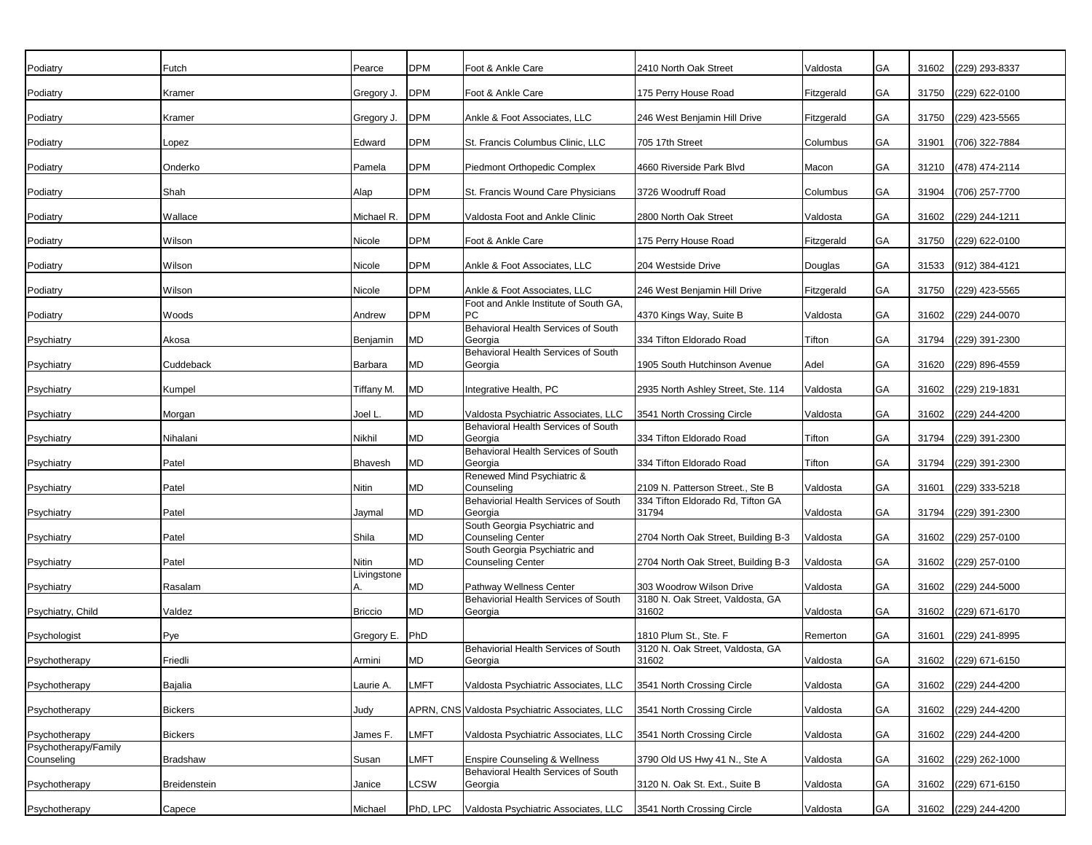| Podiatry             | Futch               | Pearce               | <b>DPM</b> | Foot & Ankle Care                                                               | 2410 North Oak Street                      | Valdosta   | GA        | 31602 | (229) 293-8337       |
|----------------------|---------------------|----------------------|------------|---------------------------------------------------------------------------------|--------------------------------------------|------------|-----------|-------|----------------------|
| Podiatry             | Kramer              | Gregory J.           | <b>DPM</b> | Foot & Ankle Care                                                               | 175 Perry House Road                       | Fitzgerald | GA        | 31750 | (229) 622-0100       |
| Podiatry             | Kramer              | Gregory J.           | <b>DPM</b> | Ankle & Foot Associates, LLC                                                    | 246 West Benjamin Hill Drive               | Fitzgerald | GA        | 31750 | (229) 423-5565       |
| Podiatry             | Lopez               | Edward               | <b>DPM</b> | St. Francis Columbus Clinic, LLC                                                | 705 17th Street                            | Columbus   | GA        | 31901 | (706) 322-7884       |
|                      |                     |                      |            |                                                                                 |                                            |            |           |       |                      |
| Podiatry             | Onderko             | Pamela               | <b>DPM</b> | Piedmont Orthopedic Complex                                                     | 4660 Riverside Park Blvd                   | Macon      | GA        | 31210 | (478) 474-2114       |
| Podiatry             | Shah                | Alap                 | <b>DPM</b> | St. Francis Wound Care Physicians                                               | 3726 Woodruff Road                         | Columbus   | GA        | 31904 | (706) 257-7700       |
| Podiatry             | Wallace             | Michael R.           | <b>DPM</b> | Valdosta Foot and Ankle Clinic                                                  | 2800 North Oak Street                      | Valdosta   | GA        | 31602 | (229) 244-1211       |
| Podiatry             | Wilson              | Nicole               | <b>DPM</b> | Foot & Ankle Care                                                               | 175 Perry House Road                       | Fitzgerald | GA        | 31750 | (229) 622-0100       |
| Podiatry             | Wilson              | Nicole               | <b>DPM</b> | Ankle & Foot Associates, LLC                                                    | 204 Westside Drive                         | Douglas    | GA        | 31533 | (912) 384-4121       |
| Podiatry             | Wilson              | Nicole               | <b>DPM</b> | Ankle & Foot Associates, LLC                                                    | 246 West Benjamin Hill Drive               | Fitzgerald | GA        | 31750 | (229) 423-5565       |
| Podiatry             | Woods               | Andrew               | <b>DPM</b> | Foot and Ankle Institute of South GA.<br>PC                                     | 4370 Kings Way, Suite B                    | Valdosta   | GA        | 31602 | (229) 244-0070       |
| Psychiatry           | Akosa               | Benjamin             | <b>MD</b>  | Behavioral Health Services of South<br>Georgia                                  | 334 Tifton Eldorado Road                   | Tifton     | GA        | 31794 | (229) 391-2300       |
| Psychiatry           | Cuddeback           | Barbara              | MD         | Behavioral Health Services of South<br>Georgia                                  | 1905 South Hutchinson Avenue               | Adel       | GA        | 31620 | (229) 896-4559       |
| Psychiatry           | Kumpel              | Tiffany M.           | <b>MD</b>  | Integrative Health, PC                                                          | 2935 North Ashley Street, Ste. 114         | Valdosta   | GA        | 31602 | (229) 219-1831       |
| Psychiatry           | Morgan              | Joel L.              | MD         | Valdosta Psychiatric Associates, LLC                                            | 3541 North Crossing Circle                 | Valdosta   | <b>GA</b> | 31602 | (229) 244-4200       |
|                      |                     |                      | MD         | Behavioral Health Services of South                                             |                                            |            | GA        |       |                      |
| Psychiatry           | Nihalani            | Nikhil               |            | Georgia<br>Behavioral Health Services of South                                  | 334 Tifton Eldorado Road                   | Tifton     |           | 31794 | (229) 391-2300       |
| Psychiatry           | Patel               | <b>Bhavesh</b>       | <b>MD</b>  | Georgia<br>Renewed Mind Psychiatric &                                           | 334 Tifton Eldorado Road                   | Tifton     | GA        | 31794 | (229) 391-2300       |
| Psychiatry           | Patel               | Nitin                | MD         | Counseling                                                                      | 2109 N. Patterson Street., Ste B           | Valdosta   | GA        | 31601 | (229) 333-5218       |
| Psychiatry           | Patel               | Jaymal               | <b>MD</b>  | Behaviorial Health Services of South<br>Georgia                                 | 334 Tifton Eldorado Rd, Tifton GA<br>31794 | Valdosta   | GA        | 31794 | (229) 391-2300       |
| Psychiatry           | Patel               | Shila                | MD         | South Georgia Psychiatric and<br><b>Counseling Center</b>                       | 2704 North Oak Street, Building B-3        | Valdosta   | <b>GA</b> | 31602 | $(229)$ 257-0100     |
|                      |                     |                      |            | South Georgia Psychiatric and                                                   |                                            |            |           |       |                      |
| Psychiatry           | Patel               | Nitin<br>Livingstone | MD         | <b>Counseling Center</b>                                                        | 2704 North Oak Street, Building B-3        | Valdosta   | <b>GA</b> | 31602 | (229) 257-0100       |
| Psychiatry           | Rasalam             | Α.                   | MD         | Pathway Wellness Center                                                         | 303 Woodrow Wilson Drive                   | Valdosta   | <b>GA</b> | 31602 | (229) 244-5000       |
| Psychiatry, Child    | Valdez              | <b>Briccio</b>       | МD         | Behaviorial Health Services of South<br>Georgia                                 | 3180 N. Oak Street, Valdosta, GA<br>31602  | Valdosta   | GA        | 31602 | (229) 671-6170       |
| Psychologist         | Pye                 | Gregory E.           | PhD        |                                                                                 | 1810 Plum St., Ste. F                      | Remerton   | GA        | 31601 | (229) 241-8995       |
|                      | Friedli             |                      | <b>MD</b>  | Behaviorial Health Services of South                                            | 3120 N. Oak Street, Valdosta, GA           |            | GA        |       |                      |
| Psychotherapy        |                     | Armini               |            | Georgia                                                                         | 31602                                      | Valdosta   |           |       | 31602 (229) 671-6150 |
| Psychotherapy        | Bajalia             | Laurie A.            | LMFT       | Valdosta Psychiatric Associates, LLC                                            | 3541 North Crossing Circle                 | Valdosta   | GA        | 31602 | (229) 244-4200       |
| Psychotherapy        | <b>Bickers</b>      | Judy                 |            | APRN, CNS Valdosta Psychiatric Associates, LLC                                  | 3541 North Crossing Circle                 | Valdosta   | GA        | 31602 | (229) 244-4200       |
| Psychotherapy        | <b>Bickers</b>      | James F.             | LMFT       | Valdosta Psychiatric Associates, LLC                                            | 3541 North Crossing Circle                 | Valdosta   | GA        | 31602 | (229) 244-4200       |
| Psychotherapy/Family | <b>Bradshaw</b>     |                      |            |                                                                                 |                                            |            |           |       |                      |
| Counseling           |                     | Susan                | LMFT       | <b>Enspire Counseling &amp; Wellness</b><br>Behavioral Health Services of South | 3790 Old US Hwy 41 N., Ste A               | Valdosta   | GA        | 31602 | (229) 262-1000       |
| Psychotherapy        | <b>Breidenstein</b> | Janice               | LCSW       | Georgia                                                                         | 3120 N. Oak St. Ext., Suite B              | Valdosta   | GA        | 31602 | (229) 671-6150       |
| Psychotherapy        | Capece              | Michael              | PhD, LPC   | Valdosta Psychiatric Associates, LLC                                            | 3541 North Crossing Circle                 | Valdosta   | GA        |       | 31602 (229) 244-4200 |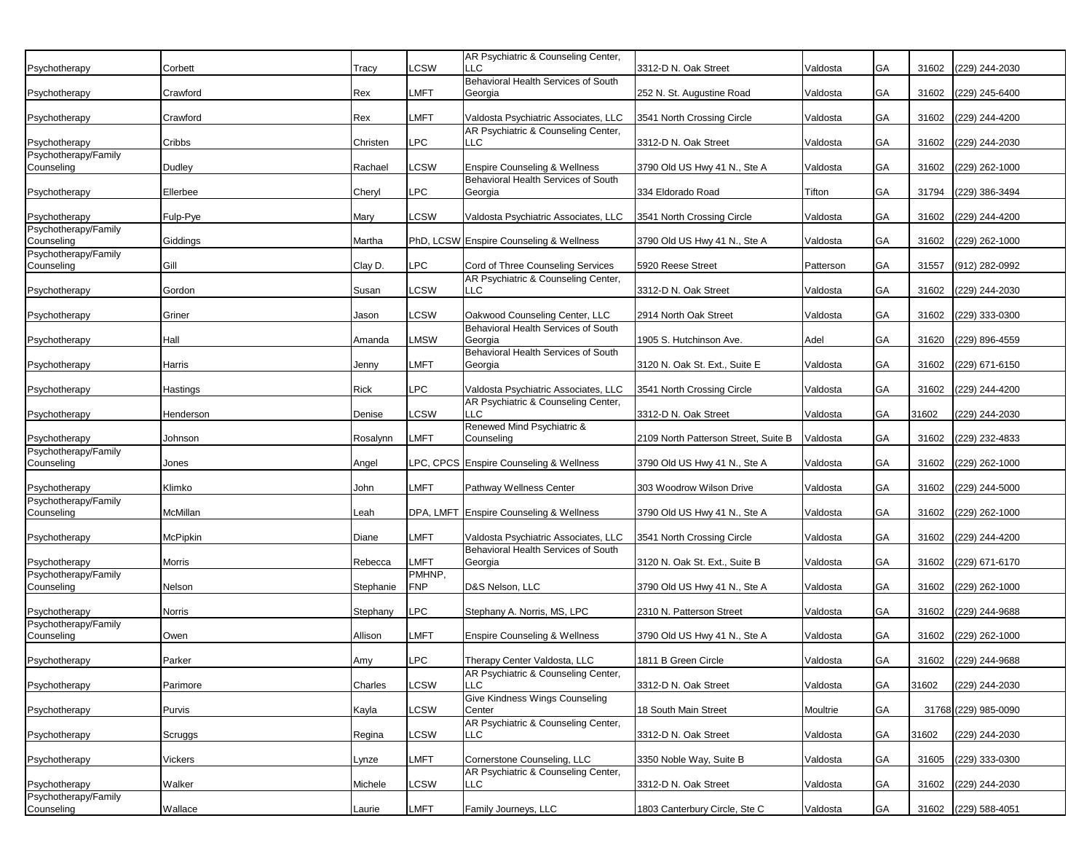| Psychotherapy                         | Corbett   | Tracy     | <b>LCSW</b>    | AR Psychiatric & Counseling Center,<br>LLC                               | 3312-D N. Oak Street                 | Valdosta  | GA | 31602 | (229) 244-2030       |
|---------------------------------------|-----------|-----------|----------------|--------------------------------------------------------------------------|--------------------------------------|-----------|----|-------|----------------------|
|                                       |           |           |                | Behavioral Health Services of South                                      |                                      |           |    |       |                      |
| Psychotherapy                         | Crawford  | Rex       | LMFT           | Georgia                                                                  | 252 N. St. Augustine Road            | Valdosta  | GA | 31602 | (229) 245-6400       |
| Psychotherapy                         | Crawford  | Rex       | LMFT           | Valdosta Psychiatric Associates, LLC                                     | 3541 North Crossing Circle           | Valdosta  | GA | 31602 | (229) 244-4200       |
|                                       |           |           |                | AR Psychiatric & Counseling Center,                                      |                                      |           |    |       |                      |
| Psychotherapy                         | Cribbs    | Christen  | LPC.           | LLC.                                                                     | 3312-D N. Oak Street                 | Valdosta  | GA | 31602 | (229) 244-2030       |
| Psychotherapy/Family<br>Counseling    | Dudley    | Rachael   | LCSW           | <b>Enspire Counseling &amp; Wellness</b>                                 | 3790 Old US Hwy 41 N., Ste A         | Valdosta  | GA | 31602 | (229) 262-1000       |
|                                       |           |           |                | Behavioral Health Services of South                                      |                                      |           |    |       |                      |
| Psychotherapy                         | Ellerbee  | Cheryl    | PC             | Georgia                                                                  | 334 Eldorado Road                    | Tifton    | GA | 31794 | (229) 386-3494       |
|                                       |           |           |                |                                                                          |                                      |           | GA |       |                      |
| Psychotherapy<br>Psychotherapy/Family | Fulp-Pye  | Mary      | <b>LCSW</b>    | Valdosta Psychiatric Associates, LLC                                     | 3541 North Crossing Circle           | Valdosta  |    | 31602 | (229) 244-4200       |
| Counseling                            | Giddings  | Martha    |                | PhD, LCSW Enspire Counseling & Wellness                                  | 3790 Old US Hwy 41 N., Ste A         | Valdosta  | GA | 31602 | (229) 262-1000       |
| Psychotherapy/Family                  |           |           |                |                                                                          |                                      |           |    |       |                      |
| Counseling                            | Gill      | Clay D.   | LPC            | Cord of Three Counseling Services<br>AR Psychiatric & Counseling Center, | 5920 Reese Street                    | Patterson | GA | 31557 | (912) 282-0992       |
| Psychotherapy                         | Gordon    | Susan     | <b>LCSW</b>    | LLC                                                                      | 3312-D N. Oak Street                 | Valdosta  | GA | 31602 | (229) 244-2030       |
|                                       |           |           |                |                                                                          |                                      |           |    |       |                      |
| Psychotherapy                         | Griner    | Jason     | .CSW           | Oakwood Counseling Center, LLC                                           | 2914 North Oak Street                | Valdosta  | GA | 31602 | (229) 333-0300       |
| Psychotherapy                         | Hall      | Amanda    | LMSW           | Behavioral Health Services of South<br>Georgia                           | 1905 S. Hutchinson Ave.              | Adel      | GA | 31620 | (229) 896-4559       |
|                                       |           |           |                | Behavioral Health Services of South                                      |                                      |           |    |       |                      |
| Psychotherapy                         | Harris    | Jenny     | LMFT           | Georgia                                                                  | 3120 N. Oak St. Ext., Suite E        | Valdosta  | GA | 31602 | (229) 671-6150       |
|                                       |           | Rick      | _PC            | Valdosta Psychiatric Associates, LLC                                     | 3541 North Crossing Circle           | Valdosta  | GA | 31602 | (229) 244-4200       |
| Psychotherapy                         | Hastings  |           |                | AR Psychiatric & Counseling Center,                                      |                                      |           |    |       |                      |
| Psychotherapy                         | Henderson | Denise    | <b>LCSW</b>    | LLC                                                                      | 3312-D N. Oak Street                 | Valdosta  | GA | 31602 | (229) 244-2030       |
|                                       |           |           |                | Renewed Mind Psychiatric &                                               |                                      |           |    |       |                      |
| Psychotherapy<br>Psychotherapy/Family | Johnson   | Rosalynn  | LMFT           | Counseling                                                               | 2109 North Patterson Street, Suite B | Valdosta  | GA | 31602 | (229) 232-4833       |
| Counseling                            | Jones     | Angel     |                | LPC, CPCS Enspire Counseling & Wellness                                  | 3790 Old US Hwy 41 N., Ste A         | Valdosta  | GA | 31602 | (229) 262-1000       |
|                                       |           |           |                |                                                                          |                                      |           |    |       |                      |
| Psychotherapy                         | Klimko    | John      | LMFT           | Pathway Wellness Center                                                  | 303 Woodrow Wilson Drive             | Valdosta  | GA | 31602 | (229) 244-5000       |
| Psychotherapy/Family<br>Counseling    | McMillan  | Leah      | DPA, LMFT      | <b>Enspire Counseling &amp; Wellness</b>                                 | 3790 Old US Hwy 41 N., Ste A         | Valdosta  | GА | 31602 | (229) 262-1000       |
|                                       |           |           |                |                                                                          |                                      |           |    |       |                      |
| Psychotherapy                         | McPipkin  | Diane     | LMFT           | Valdosta Psychiatric Associates, LLC                                     | 3541 North Crossing Circle           | Valdosta  | GA | 31602 | (229) 244-4200       |
|                                       |           |           |                | Behavioral Health Services of South                                      |                                      |           |    |       |                      |
| Psychotherapy<br>Psychotherapy/Family | Morris    | Rebecca   | LMFT<br>PMHNP, | Georgia                                                                  | 3120 N. Oak St. Ext., Suite B        | Valdosta  | GA | 31602 | (229) 671-6170       |
| Counseling                            | Nelson    | Stephanie | FNP            | D&S Nelson, LLC                                                          | 3790 Old US Hwy 41 N., Ste A         | Valdosta  | GA | 31602 | (229) 262-1000       |
|                                       |           |           |                |                                                                          |                                      |           |    |       |                      |
| Psychotherapy<br>Psychotherapy/Family | Norris    | Stephany  | PC             | Stephany A. Norris, MS, LPC                                              | 2310 N. Patterson Street             | Valdosta  | GA | 31602 | (229) 244-9688       |
| Counseling                            | Owen      | Allison   | <b>MFT</b>     | <b>Enspire Counseling &amp; Wellness</b>                                 | 3790 Old US Hwy 41 N., Ste A         | Valdosta  | GА | 31602 | (229) 262-1000       |
|                                       |           |           |                |                                                                          |                                      |           |    |       |                      |
| Psychotherapy                         | Parker    | Amy       | _PC            | Therapy Center Valdosta, LLC                                             | 1811 B Green Circle                  | Valdosta  | GA |       | 31602 (229) 244-9688 |
| Psychotherapy                         | Parimore  | Charles   | <b>LCSW</b>    | AR Psychiatric & Counseling Center,<br>LLC.                              | 3312-D N. Oak Street                 | Valdosta  | GA | 31602 | (229) 244-2030       |
|                                       |           |           |                | <b>Give Kindness Wings Counseling</b>                                    |                                      |           |    |       |                      |
| Psychotherapy                         | Purvis    | Kayla     | <b>LCSW</b>    | Center                                                                   | 18 South Main Street                 | Moultrie  | GA |       | 31768 (229) 985-0090 |
|                                       |           |           | <b>LCSW</b>    | AR Psychiatric & Counseling Center,<br>TC.                               | 3312-D N. Oak Street                 |           | GA | 31602 |                      |
| Psychotherapy                         | Scruggs   | Regina    |                |                                                                          |                                      | Valdosta  |    |       | (229) 244-2030       |
| Psychotherapy                         | Vickers   | Lynze     | _MFT           | Cornerstone Counseling, LLC                                              | 3350 Noble Way, Suite B              | Valdosta  | GA | 31605 | (229) 333-0300       |
|                                       |           |           |                | AR Psychiatric & Counseling Center,                                      |                                      |           |    |       |                      |
| Psychotherapy<br>Psychotherapy/Family | Walker    | Michele   | LCSW           | ∟LC                                                                      | 3312-D N. Oak Street                 | Valdosta  | GA | 31602 | (229) 244-2030       |
| Counseling                            | Wallace   | Laurie    | <b>LMFT</b>    | Family Journeys, LLC                                                     | 1803 Canterbury Circle, Ste C        | Valdosta  | GA |       | 31602 (229) 588-4051 |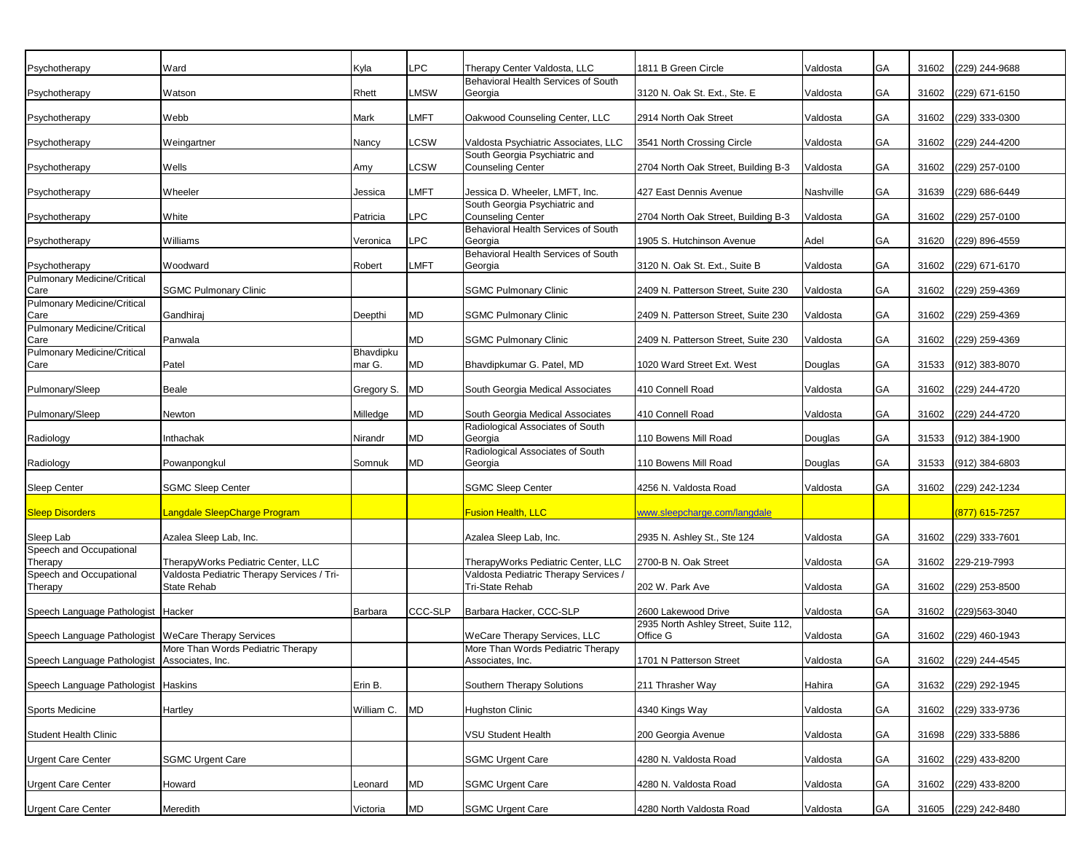| Psychotherapy                                                                                      | Ward                                       | Kyla                | <b>LPC</b>     | Therapy Center Valdosta, LLC                                          | 1811 B Green Circle                                         | Valdosta  | GA        | 31602 | (229) 244-9688       |
|----------------------------------------------------------------------------------------------------|--------------------------------------------|---------------------|----------------|-----------------------------------------------------------------------|-------------------------------------------------------------|-----------|-----------|-------|----------------------|
| Psychotherapy                                                                                      | Watson                                     | Rhett               | <b>LMSW</b>    | Behavioral Health Services of South<br>Georgia                        | 3120 N. Oak St. Ext., Ste. E                                | Valdosta  | GA        | 31602 | (229) 671-6150       |
| Psychotherapy                                                                                      | Webb                                       | Mark                | <b>LMFT</b>    | Oakwood Counseling Center, LLC                                        | 2914 North Oak Street                                       | Valdosta  | GA        | 31602 | (229) 333-0300       |
|                                                                                                    |                                            |                     |                |                                                                       |                                                             |           |           |       |                      |
| Psychotherapy                                                                                      | Weingartner                                | Nancy               | <b>LCSW</b>    | Valdosta Psychiatric Associates, LLC<br>South Georgia Psychiatric and | 3541 North Crossing Circle                                  | Valdosta  | GA        | 31602 | (229) 244-4200       |
| Psychotherapy                                                                                      | Wells                                      | Amy                 | <b>LCSW</b>    | <b>Counseling Center</b>                                              | 2704 North Oak Street, Building B-3                         | Valdosta  | GA        | 31602 | (229) 257-0100       |
| Psychotherapy                                                                                      | Wheeler                                    | Jessica             | <b>LMFT</b>    | Jessica D. Wheeler, LMFT, Inc.                                        | 427 East Dennis Avenue                                      | Nashville | GA        | 31639 | (229) 686-6449       |
| Psychotherapy                                                                                      | White                                      | Patricia            | <b>LPC</b>     | South Georgia Psychiatric and<br><b>Counseling Center</b>             | 2704 North Oak Street, Building B-3                         | Valdosta  | GA        | 31602 | (229) 257-0100       |
| Psychotherapy                                                                                      | Williams                                   | Veronica            | <b>LPC</b>     | Behavioral Health Services of South<br>Georgia                        | 1905 S. Hutchinson Avenue                                   | Adel      | GA        | 31620 | (229) 896-4559       |
|                                                                                                    |                                            |                     |                | Behavioral Health Services of South                                   |                                                             |           |           |       | (229) 671-6170       |
| Psychotherapy<br><b>Pulmonary Medicine/Critical</b>                                                | Woodward                                   | Robert              | <b>LMFT</b>    | Georgia                                                               | 3120 N. Oak St. Ext., Suite B                               | Valdosta  | GA        | 31602 |                      |
| Care<br><b>Pulmonary Medicine/Critical</b>                                                         | <b>SGMC Pulmonary Clinic</b>               |                     |                | <b>SGMC Pulmonary Clinic</b>                                          | 2409 N. Patterson Street, Suite 230                         | Valdosta  | GA        | 31602 | (229) 259-4369       |
| Care                                                                                               | Gandhiraj                                  | Deepthi             | <b>MD</b>      | <b>SGMC Pulmonary Clinic</b>                                          | 2409 N. Patterson Street, Suite 230                         | Valdosta  | GA        | 31602 | (229) 259-4369       |
| <b>Pulmonary Medicine/Critical</b><br>Care                                                         | Panwala                                    |                     | <b>MD</b>      | <b>SGMC Pulmonary Clinic</b>                                          | 2409 N. Patterson Street. Suite 230                         | Valdosta  | GA        | 31602 | (229) 259-4369       |
| <b>Pulmonary Medicine/Critical</b>                                                                 |                                            | Bhavdipku<br>mar G. |                |                                                                       |                                                             |           |           |       |                      |
| Care                                                                                               | Patel                                      |                     | <b>MD</b>      | Bhavdipkumar G. Patel, MD                                             | 1020 Ward Street Ext. West                                  | Douglas   | GA        | 31533 | (912) 383-8070       |
| Pulmonary/Sleep                                                                                    | Beale                                      | Gregory S.          | <b>MD</b>      | South Georgia Medical Associates                                      | 410 Connell Road                                            | Valdosta  | GA        | 31602 | (229) 244-4720       |
| Pulmonary/Sleep                                                                                    | Newton                                     | Milledge            | <b>MD</b>      | South Georgia Medical Associates                                      | 410 Connell Road                                            | Valdosta  | GA        | 31602 | (229) 244-4720       |
| Radiology                                                                                          | Inthachak                                  | Nirandr             | MD             | Radiological Associates of South<br>Georgia                           | 110 Bowens Mill Road                                        | Douglas   | GA        | 31533 | (912) 384-1900       |
| Radiology                                                                                          | Powanpongkul                               | Somnuk              | <b>MD</b>      | Radiological Associates of South<br>Georgia                           | 110 Bowens Mill Road                                        | Douglas   | GA        | 31533 | (912) 384-6803       |
| <b>Sleep Center</b>                                                                                | <b>SGMC Sleep Center</b>                   |                     |                | <b>SGMC Sleep Center</b>                                              | 4256 N. Valdosta Road                                       | Valdosta  | GA        |       | 31602 (229) 242-1234 |
| <b>Sleep Disorders</b>                                                                             | Langdale SleepCharge Program               |                     |                | <b>Fusion Health, LLC</b>                                             | www.sleepcharge.com/langdale                                |           |           |       | (877) 615-7257       |
| Sleep Lab                                                                                          | Azalea Sleep Lab, Inc.                     |                     |                | Azalea Sleep Lab, Inc.                                                | 2935 N. Ashley St., Ste 124                                 | Valdosta  | GA        | 31602 | $(229)$ 333-7601     |
| Speech and Occupational<br>Therapy                                                                 | TherapyWorks Pediatric Center, LLC         |                     |                | TherapyWorks Pediatric Center, LLC                                    | 2700-B N. Oak Street                                        | Valdosta  | GA        | 31602 | 229-219-7993         |
| Speech and Occupational                                                                            | Valdosta Pediatric Therapy Services / Tri- |                     |                | Valdosta Pediatric Therapy Services /                                 |                                                             |           |           |       |                      |
| Therapy                                                                                            | State Rehab                                |                     |                | Tri-State Rehab                                                       | 202 W. Park Ave                                             | Valdosta  | GA        | 31602 | (229) 253-8500       |
| Speech Language Pathologist   Hacker                                                               |                                            | Barbara             | <b>CCC-SLP</b> | Barbara Hacker, CCC-SLP                                               | 2600 Lakewood Drive<br>2935 North Ashley Street, Suite 112, | Valdosta  | GA        | 31602 | (229) 563-3040       |
| Speech Language Pathologist   WeCare Therapy Services                                              |                                            |                     |                | WeCare Therapy Services, LLC                                          | Office G                                                    | Valdosta  | GA        | 31602 | (229) 460-1943       |
| Speech Language Pathologist Associates, Inc.                                                       | More Than Words Pediatric Therapy          |                     |                | More Than Words Pediatric Therapy<br>Associates, Inc.                 | 1701 N Patterson Street                                     | Valdosta  | GA        |       | 31602 (229) 244-4545 |
| Speech Language Pathologist Haskins                                                                |                                            | Erin B.             |                | Southern Therapy Solutions                                            | 211 Thrasher Way                                            | Hahira    | <b>GA</b> | 31632 | (229) 292-1945       |
|                                                                                                    |                                            |                     |                |                                                                       |                                                             |           | GA        | 31602 |                      |
|                                                                                                    |                                            |                     |                |                                                                       |                                                             |           |           |       | (229) 333-9736       |
|                                                                                                    | Hartley                                    | William C.          | <b>MD</b>      | <b>Hughston Clinic</b>                                                | 4340 Kings Way                                              | Valdosta  |           |       |                      |
|                                                                                                    |                                            |                     |                | VSU Student Health                                                    | 200 Georgia Avenue                                          | Valdosta  | GA        | 31698 | (229) 333-5886       |
|                                                                                                    | <b>SGMC Urgent Care</b>                    |                     |                | <b>SGMC Urgent Care</b>                                               | 4280 N. Valdosta Road                                       | Valdosta  | <b>GA</b> | 31602 | (229) 433-8200       |
| Sports Medicine<br>Student Health Clinic<br><b>Urgent Care Center</b><br><b>Urgent Care Center</b> | Howard                                     | Leonard             | <b>MD</b>      | <b>SGMC Urgent Care</b>                                               | 4280 N. Valdosta Road                                       | Valdosta  | GA        | 31602 | (229) 433-8200       |